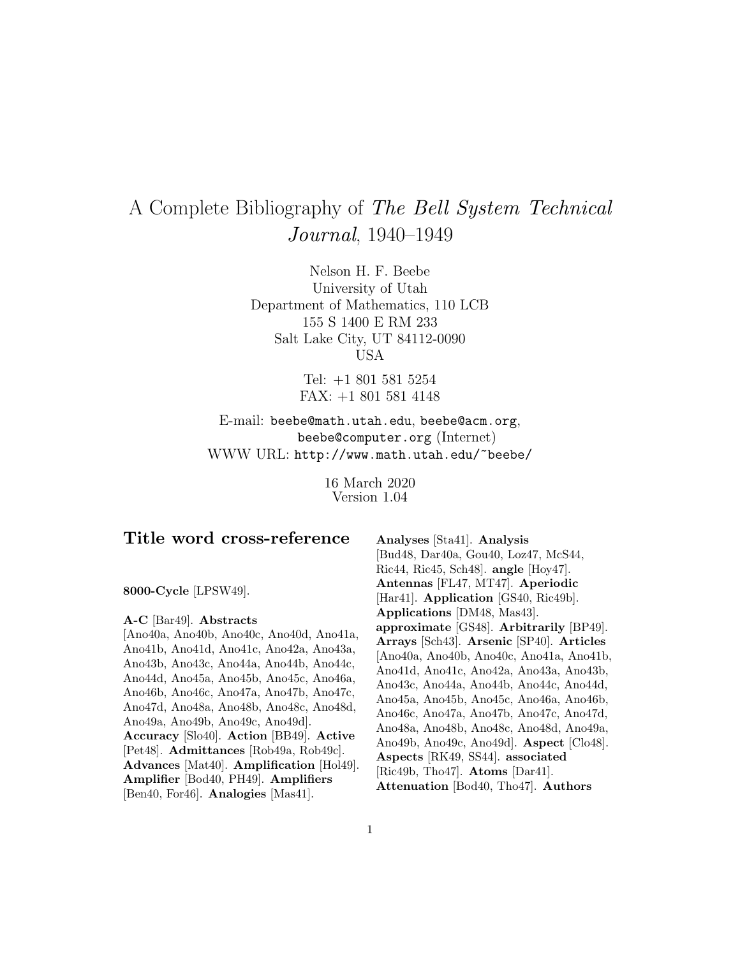# A Complete Bibliography of The Bell System Technical Journal, 1940–1949

Nelson H. F. Beebe University of Utah Department of Mathematics, 110 LCB 155 S 1400 E RM 233 Salt Lake City, UT 84112-0090 USA

> Tel: +1 801 581 5254 FAX: +1 801 581 4148

E-mail: beebe@math.utah.edu, beebe@acm.org, beebe@computer.org (Internet) WWW URL: http://www.math.utah.edu/~beebe/

> 16 March 2020 Version 1.04

# **Title word cross-reference**

**8000-Cycle** [LPSW49].

**A-C** [Bar49]. **Abstracts** [Ano40a, Ano40b, Ano40c, Ano40d, Ano41a, Ano41b, Ano41d, Ano41c, Ano42a, Ano43a, Ano43b, Ano43c, Ano44a, Ano44b, Ano44c, Ano44d, Ano45a, Ano45b, Ano45c, Ano46a, Ano46b, Ano46c, Ano47a, Ano47b, Ano47c, Ano47d, Ano48a, Ano48b, Ano48c, Ano48d, Ano49a, Ano49b, Ano49c, Ano49d]. **Accuracy** [Slo40]. **Action** [BB49]. **Active** [Pet48]. **Admittances** [Rob49a, Rob49c]. **Advances** [Mat40]. **Amplification** [Hol49]. **Amplifier** [Bod40, PH49]. **Amplifiers** [Ben40, For46]. **Analogies** [Mas41].

**Analyses** [Sta41]. **Analysis** [Bud48, Dar40a, Gou40, Loz47, McS44, Ric44, Ric45, Sch48]. **angle** [Hoy47]. **Antennas** [FL47, MT47]. **Aperiodic** [Har41]. **Application** [GS40, Ric49b]. **Applications** [DM48, Mas43]. **approximate** [GS48]. **Arbitrarily** [BP49]. **Arrays** [Sch43]. **Arsenic** [SP40]. **Articles** [Ano40a, Ano40b, Ano40c, Ano41a, Ano41b, Ano41d, Ano41c, Ano42a, Ano43a, Ano43b, Ano43c, Ano44a, Ano44b, Ano44c, Ano44d, Ano45a, Ano45b, Ano45c, Ano46a, Ano46b, Ano46c, Ano47a, Ano47b, Ano47c, Ano47d, Ano48a, Ano48b, Ano48c, Ano48d, Ano49a, Ano49b, Ano49c, Ano49d]. **Aspect** [Clo48]. **Aspects** [RK49, SS44]. **associated** [Ric49b, Tho47]. **Atoms** [Dar41]. **Attenuation** [Bod40, Tho47]. **Authors**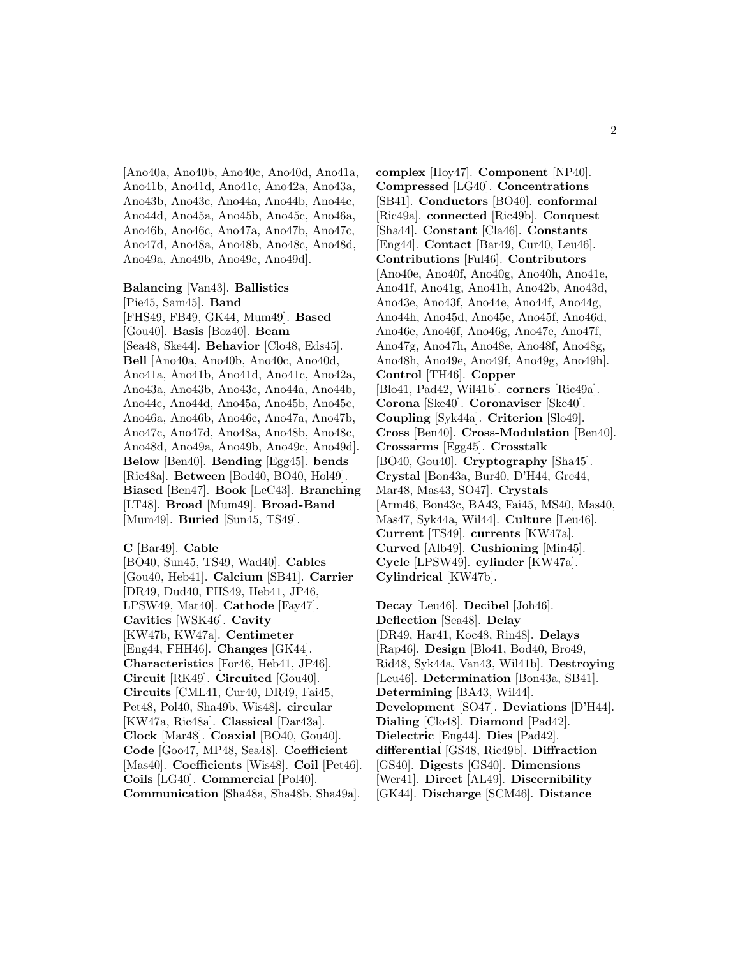[Ano40a, Ano40b, Ano40c, Ano40d, Ano41a, Ano41b, Ano41d, Ano41c, Ano42a, Ano43a, Ano43b, Ano43c, Ano44a, Ano44b, Ano44c, Ano44d, Ano45a, Ano45b, Ano45c, Ano46a, Ano46b, Ano46c, Ano47a, Ano47b, Ano47c, Ano47d, Ano48a, Ano48b, Ano48c, Ano48d, Ano49a, Ano49b, Ano49c, Ano49d].

#### **Balancing** [Van43]. **Ballistics**

[Pie45, Sam45]. **Band** [FHS49, FB49, GK44, Mum49]. **Based** [Gou40]. **Basis** [Boz40]. **Beam** [Sea48, Ske44]. **Behavior** [Clo48, Eds45]. **Bell** [Ano40a, Ano40b, Ano40c, Ano40d, Ano41a, Ano41b, Ano41d, Ano41c, Ano42a, Ano43a, Ano43b, Ano43c, Ano44a, Ano44b, Ano44c, Ano44d, Ano45a, Ano45b, Ano45c, Ano46a, Ano46b, Ano46c, Ano47a, Ano47b, Ano47c, Ano47d, Ano48a, Ano48b, Ano48c, Ano48d, Ano49a, Ano49b, Ano49c, Ano49d]. **Below** [Ben40]. **Bending** [Egg45]. **bends** [Ric48a]. **Between** [Bod40, BO40, Hol49]. **Biased** [Ben47]. **Book** [LeC43]. **Branching** [LT48]. **Broad** [Mum49]. **Broad-Band** [Mum49]. **Buried** [Sun45, TS49].

#### **C** [Bar49]. **Cable**

[BO40, Sun45, TS49, Wad40]. **Cables** [Gou40, Heb41]. **Calcium** [SB41]. **Carrier** [DR49, Dud40, FHS49, Heb41, JP46, LPSW49, Mat40]. **Cathode** [Fay47]. **Cavities** [WSK46]. **Cavity** [KW47b, KW47a]. **Centimeter** [Eng44, FHH46]. **Changes** [GK44]. **Characteristics** [For46, Heb41, JP46]. **Circuit** [RK49]. **Circuited** [Gou40]. **Circuits** [CML41, Cur40, DR49, Fai45, Pet48, Pol40, Sha49b, Wis48]. **circular** [KW47a, Ric48a]. **Classical** [Dar43a]. **Clock** [Mar48]. **Coaxial** [BO40, Gou40]. **Code** [Goo47, MP48, Sea48]. **Coefficient** [Mas40]. **Coefficients** [Wis48]. **Coil** [Pet46]. **Coils** [LG40]. **Commercial** [Pol40]. **Communication** [Sha48a, Sha48b, Sha49a].

**complex** [Hoy47]. **Component** [NP40]. **Compressed** [LG40]. **Concentrations** [SB41]. **Conductors** [BO40]. **conformal** [Ric49a]. **connected** [Ric49b]. **Conquest** [Sha44]. **Constant** [Cla46]. **Constants** [Eng44]. **Contact** [Bar49, Cur40, Leu46]. **Contributions** [Ful46]. **Contributors** [Ano40e, Ano40f, Ano40g, Ano40h, Ano41e, Ano41f, Ano41g, Ano41h, Ano42b, Ano43d, Ano43e, Ano43f, Ano44e, Ano44f, Ano44g, Ano44h, Ano45d, Ano45e, Ano45f, Ano46d, Ano46e, Ano46f, Ano46g, Ano47e, Ano47f, Ano47g, Ano47h, Ano48e, Ano48f, Ano48g, Ano48h, Ano49e, Ano49f, Ano49g, Ano49h]. **Control** [TH46]. **Copper** [Blo41, Pad42, Wil41b]. **corners** [Ric49a]. **Corona** [Ske40]. **Coronaviser** [Ske40]. **Coupling** [Syk44a]. **Criterion** [Slo49]. **Cross** [Ben40]. **Cross-Modulation** [Ben40]. **Crossarms** [Egg45]. **Crosstalk** [BO40, Gou40]. **Cryptography** [Sha45]. **Crystal** [Bon43a, Bur40, D'H44, Gre44, Mar48, Mas43, SO47]. **Crystals** [Arm46, Bon43c, BA43, Fai45, MS40, Mas40, Mas47, Syk44a, Wil44]. **Culture** [Leu46]. **Current** [TS49]. **currents** [KW47a]. **Curved** [Alb49]. **Cushioning** [Min45]. **Cycle** [LPSW49]. **cylinder** [KW47a]. **Cylindrical** [KW47b].

**Decay** [Leu46]. **Decibel** [Joh46]. **Deflection** [Sea48]. **Delay** [DR49, Har41, Koc48, Rin48]. **Delays** [Rap46]. **Design** [Blo41, Bod40, Bro49, Rid48, Syk44a, Van43, Wil41b]. **Destroying** [Leu46]. **Determination** [Bon43a, SB41]. **Determining** [BA43, Wil44]. **Development** [SO47]. **Deviations** [D'H44]. **Dialing** [Clo48]. **Diamond** [Pad42]. **Dielectric** [Eng44]. **Dies** [Pad42]. **differential** [GS48, Ric49b]. **Diffraction** [GS40]. **Digests** [GS40]. **Dimensions** [Wer41]. **Direct** [AL49]. **Discernibility** [GK44]. **Discharge** [SCM46]. **Distance**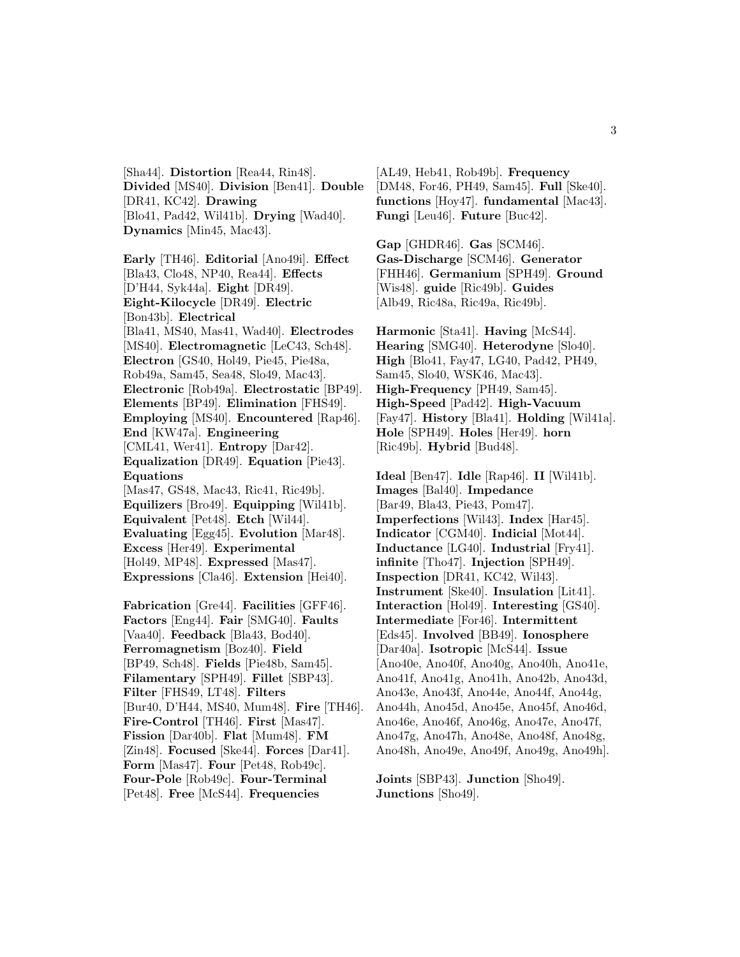[Sha44]. **Distortion** [Rea44, Rin48]. **Divided** [MS40]. **Division** [Ben41]. **Double** [DR41, KC42]. **Drawing** [Blo41, Pad42, Wil41b]. **Drying** [Wad40]. **Dynamics** [Min45, Mac43].

**Early** [TH46]. **Editorial** [Ano49i]. **Effect** [Bla43, Clo48, NP40, Rea44]. **Effects** [D'H44, Syk44a]. **Eight** [DR49]. **Eight-Kilocycle** [DR49]. **Electric** [Bon43b]. **Electrical** [Bla41, MS40, Mas41, Wad40]. **Electrodes** [MS40]. **Electromagnetic** [LeC43, Sch48]. **Electron** [GS40, Hol49, Pie45, Pie48a, Rob49a, Sam45, Sea48, Slo49, Mac43]. **Electronic** [Rob49a]. **Electrostatic** [BP49]. **Elements** [BP49]. **Elimination** [FHS49]. **Employing** [MS40]. **Encountered** [Rap46]. **End** [KW47a]. **Engineering** [CML41, Wer41]. **Entropy** [Dar42]. **Equalization** [DR49]. **Equation** [Pie43]. **Equations** [Mas47, GS48, Mac43, Ric41, Ric49b]. **Equilizers** [Bro49]. **Equipping** [Wil41b]. **Equivalent** [Pet48]. **Etch** [Wil44]. **Evaluating** [Egg45]. **Evolution** [Mar48]. **Excess** [Her49]. **Experimental** [Hol49, MP48]. **Expressed** [Mas47]. **Expressions** [Cla46]. **Extension** [Hei40].

**Fabrication** [Gre44]. **Facilities** [GFF46]. **Factors** [Eng44]. **Fair** [SMG40]. **Faults** [Vaa40]. **Feedback** [Bla43, Bod40]. **Ferromagnetism** [Boz40]. **Field** [BP49, Sch48]. **Fields** [Pie48b, Sam45]. **Filamentary** [SPH49]. **Fillet** [SBP43]. **Filter** [FHS49, LT48]. **Filters** [Bur40, D'H44, MS40, Mum48]. **Fire** [TH46]. **Fire-Control** [TH46]. **First** [Mas47]. **Fission** [Dar40b]. **Flat** [Mum48]. **FM** [Zin48]. **Focused** [Ske44]. **Forces** [Dar41]. **Form** [Mas47]. **Four** [Pet48, Rob49c]. **Four-Pole** [Rob49c]. **Four-Terminal** [Pet48]. **Free** [McS44]. **Frequencies**

[AL49, Heb41, Rob49b]. **Frequency** [DM48, For46, PH49, Sam45]. **Full** [Ske40]. **functions** [Hoy47]. **fundamental** [Mac43]. **Fungi** [Leu46]. **Future** [Buc42].

**Gap** [GHDR46]. **Gas** [SCM46]. **Gas-Discharge** [SCM46]. **Generator** [FHH46]. **Germanium** [SPH49]. **Ground** [Wis48]. **guide** [Ric49b]. **Guides** [Alb49, Ric48a, Ric49a, Ric49b].

**Harmonic** [Sta41]. **Having** [McS44]. **Hearing** [SMG40]. **Heterodyne** [Slo40]. **High** [Blo41, Fay47, LG40, Pad42, PH49, Sam45, Slo40, WSK46, Mac43]. **High-Frequency** [PH49, Sam45]. **High-Speed** [Pad42]. **High-Vacuum** [Fay47]. **History** [Bla41]. **Holding** [Wil41a]. **Hole** [SPH49]. **Holes** [Her49]. **horn** [Ric49b]. **Hybrid** [Bud48].

**Ideal** [Ben47]. **Idle** [Rap46]. **II** [Wil41b]. **Images** [Bal40]. **Impedance** [Bar49, Bla43, Pie43, Pom47]. **Imperfections** [Wil43]. **Index** [Har45]. **Indicator** [CGM40]. **Indicial** [Mot44]. **Inductance** [LG40]. **Industrial** [Fry41]. **infinite** [Tho47]. **Injection** [SPH49]. **Inspection** [DR41, KC42, Wil43]. **Instrument** [Ske40]. **Insulation** [Lit41]. **Interaction** [Hol49]. **Interesting** [GS40]. **Intermediate** [For46]. **Intermittent** [Eds45]. **Involved** [BB49]. **Ionosphere** [Dar40a]. **Isotropic** [McS44]. **Issue** [Ano40e, Ano40f, Ano40g, Ano40h, Ano41e, Ano41f, Ano41g, Ano41h, Ano42b, Ano43d, Ano43e, Ano43f, Ano44e, Ano44f, Ano44g, Ano44h, Ano45d, Ano45e, Ano45f, Ano46d, Ano46e, Ano46f, Ano46g, Ano47e, Ano47f, Ano47g, Ano47h, Ano48e, Ano48f, Ano48g, Ano48h, Ano49e, Ano49f, Ano49g, Ano49h].

**Joints** [SBP43]. **Junction** [Sho49]. **Junctions** [Sho49].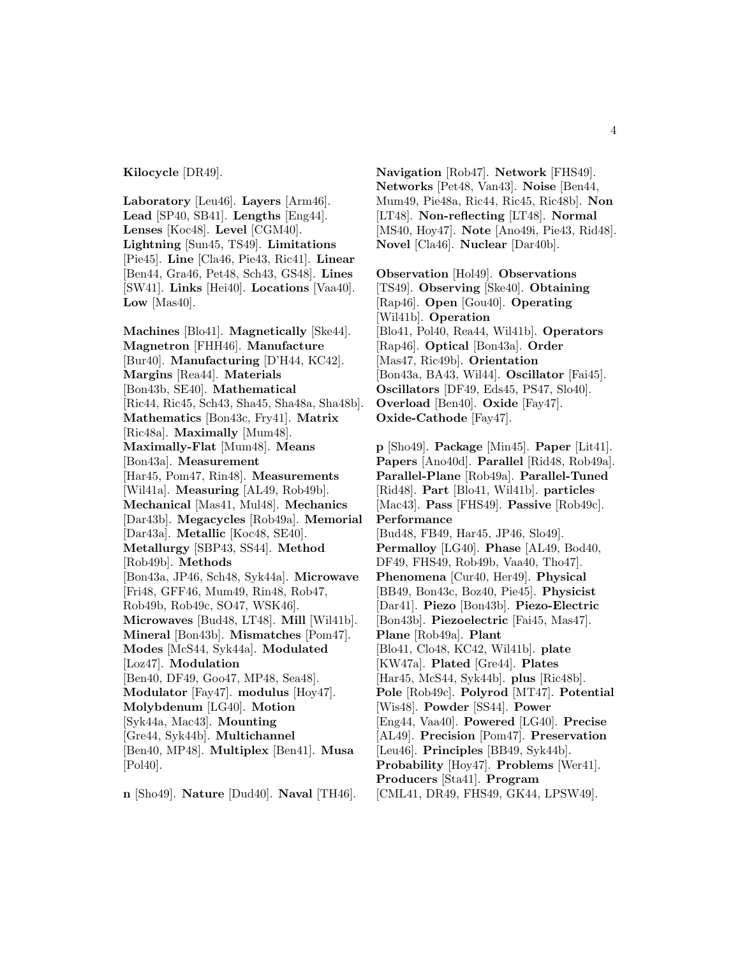#### **Kilocycle** [DR49].

**Laboratory** [Leu46]. **Layers** [Arm46]. **Lead** [SP40, SB41]. **Lengths** [Eng44]. **Lenses** [Koc48]. **Level** [CGM40]. **Lightning** [Sun45, TS49]. **Limitations** [Pie45]. **Line** [Cla46, Pie43, Ric41]. **Linear** [Ben44, Gra46, Pet48, Sch43, GS48]. **Lines** [SW41]. **Links** [Hei40]. **Locations** [Vaa40]. **Low** [Mas40].

**Machines** [Blo41]. **Magnetically** [Ske44]. **Magnetron** [FHH46]. **Manufacture** [Bur40]. **Manufacturing** [D'H44, KC42]. **Margins** [Rea44]. **Materials** [Bon43b, SE40]. **Mathematical** [Ric44, Ric45, Sch43, Sha45, Sha48a, Sha48b]. **Mathematics** [Bon43c, Fry41]. **Matrix** [Ric48a]. **Maximally** [Mum48]. **Maximally-Flat** [Mum48]. **Means** [Bon43a]. **Measurement** [Har45, Pom47, Rin48]. **Measurements** [Wil41a]. **Measuring** [AL49, Rob49b]. **Mechanical** [Mas41, Mul48]. **Mechanics** [Dar43b]. **Megacycles** [Rob49a]. **Memorial** [Dar43a]. **Metallic** [Koc48, SE40]. **Metallurgy** [SBP43, SS44]. **Method** [Rob49b]. **Methods** [Bon43a, JP46, Sch48, Syk44a]. **Microwave** [Fri48, GFF46, Mum49, Rin48, Rob47, Rob49b, Rob49c, SO47, WSK46]. **Microwaves** [Bud48, LT48]. **Mill** [Wil41b]. **Mineral** [Bon43b]. **Mismatches** [Pom47]. **Modes** [McS44, Syk44a]. **Modulated** [Loz47]. **Modulation** [Ben40, DF49, Goo47, MP48, Sea48]. **Modulator** [Fay47]. **modulus** [Hoy47]. **Molybdenum** [LG40]. **Motion** [Syk44a, Mac43]. **Mounting** [Gre44, Syk44b]. **Multichannel** [Ben40, MP48]. **Multiplex** [Ben41]. **Musa** [Pol40].

**n** [Sho49]. **Nature** [Dud40]. **Naval** [TH46].

**Navigation** [Rob47]. **Network** [FHS49]. **Networks** [Pet48, Van43]. **Noise** [Ben44, Mum49, Pie48a, Ric44, Ric45, Ric48b]. **Non** [LT48]. **Non-reflecting** [LT48]. **Normal** [MS40, Hoy47]. **Note** [Ano49i, Pie43, Rid48]. **Novel** [Cla46]. **Nuclear** [Dar40b].

**Observation** [Hol49]. **Observations** [TS49]. **Observing** [Ske40]. **Obtaining** [Rap46]. **Open** [Gou40]. **Operating** [Wil41b]. **Operation** [Blo41, Pol40, Rea44, Wil41b]. **Operators** [Rap46]. **Optical** [Bon43a]. **Order** [Mas47, Ric49b]. **Orientation** [Bon43a, BA43, Wil44]. **Oscillator** [Fai45]. **Oscillators** [DF49, Eds45, PS47, Slo40]. **Overload** [Ben40]. **Oxide** [Fay47]. **Oxide-Cathode** [Fay47].

**p** [Sho49]. **Package** [Min45]. **Paper** [Lit41]. **Papers** [Ano40d]. **Parallel** [Rid48, Rob49a]. **Parallel-Plane** [Rob49a]. **Parallel-Tuned** [Rid48]. **Part** [Blo41, Wil41b]. **particles** [Mac43]. **Pass** [FHS49]. **Passive** [Rob49c]. **Performance** [Bud48, FB49, Har45, JP46, Slo49]. **Permalloy** [LG40]. **Phase** [AL49, Bod40, DF49, FHS49, Rob49b, Vaa40, Tho47]. **Phenomena** [Cur40, Her49]. **Physical** [BB49, Bon43c, Boz40, Pie45]. **Physicist** [Dar41]. **Piezo** [Bon43b]. **Piezo-Electric** [Bon43b]. **Piezoelectric** [Fai45, Mas47]. **Plane** [Rob49a]. **Plant** [Blo41, Clo48, KC42, Wil41b]. **plate** [KW47a]. **Plated** [Gre44]. **Plates** [Har45, McS44, Syk44b]. **plus** [Ric48b]. **Pole** [Rob49c]. **Polyrod** [MT47]. **Potential** [Wis48]. **Powder** [SS44]. **Power** [Eng44, Vaa40]. **Powered** [LG40]. **Precise** [AL49]. **Precision** [Pom47]. **Preservation** [Leu46]. **Principles** [BB49, Syk44b]. **Probability** [Hoy47]. **Problems** [Wer41]. **Producers** [Sta41]. **Program**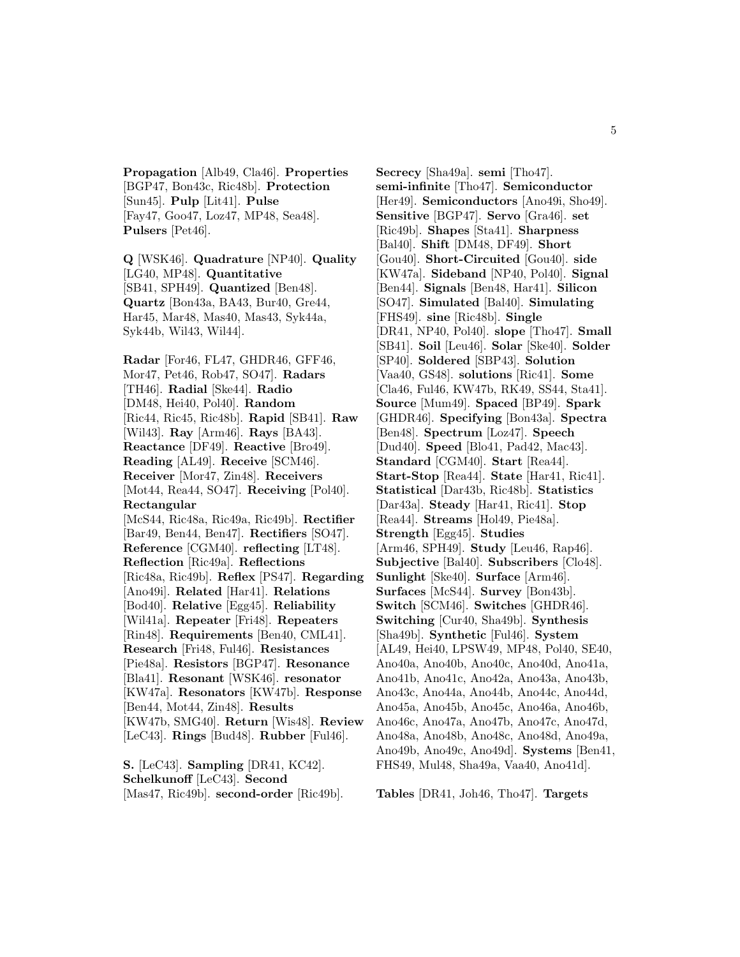**Propagation** [Alb49, Cla46]. **Properties** [BGP47, Bon43c, Ric48b]. **Protection** [Sun45]. **Pulp** [Lit41]. **Pulse** [Fay47, Goo47, Loz47, MP48, Sea48]. **Pulsers** [Pet46].

**Q** [WSK46]. **Quadrature** [NP40]. **Quality** [LG40, MP48]. **Quantitative** [SB41, SPH49]. **Quantized** [Ben48]. **Quartz** [Bon43a, BA43, Bur40, Gre44, Har45, Mar48, Mas40, Mas43, Syk44a, Syk44b, Wil43, Wil44].

**Radar** [For46, FL47, GHDR46, GFF46, Mor47, Pet46, Rob47, SO47]. **Radars** [TH46]. **Radial** [Ske44]. **Radio** [DM48, Hei40, Pol40]. **Random** [Ric44, Ric45, Ric48b]. **Rapid** [SB41]. **Raw** [Wil43]. **Ray** [Arm46]. **Rays** [BA43]. **Reactance** [DF49]. **Reactive** [Bro49]. **Reading** [AL49]. **Receive** [SCM46]. **Receiver** [Mor47, Zin48]. **Receivers** [Mot44, Rea44, SO47]. **Receiving** [Pol40]. **Rectangular** [McS44, Ric48a, Ric49a, Ric49b]. **Rectifier** [Bar49, Ben44, Ben47]. **Rectifiers** [SO47]. **Reference** [CGM40]. **reflecting** [LT48]. **Reflection** [Ric49a]. **Reflections** [Ric48a, Ric49b]. **Reflex** [PS47]. **Regarding** [Ano49i]. **Related** [Har41]. **Relations** [Bod40]. **Relative** [Egg45]. **Reliability** [Wil41a]. **Repeater** [Fri48]. **Repeaters** [Rin48]. **Requirements** [Ben40, CML41]. **Research** [Fri48, Ful46]. **Resistances** [Pie48a]. **Resistors** [BGP47]. **Resonance** [Bla41]. **Resonant** [WSK46]. **resonator** [KW47a]. **Resonators** [KW47b]. **Response** [Ben44, Mot44, Zin48]. **Results** [KW47b, SMG40]. **Return** [Wis48]. **Review** [LeC43]. **Rings** [Bud48]. **Rubber** [Ful46].

**S.** [LeC43]. **Sampling** [DR41, KC42]. **Schelkunoff** [LeC43]. **Second** [Mas47, Ric49b]. **second-order** [Ric49b].

**Secrecy** [Sha49a]. **semi** [Tho47]. **semi-infinite** [Tho47]. **Semiconductor** [Her49]. **Semiconductors** [Ano49i, Sho49]. **Sensitive** [BGP47]. **Servo** [Gra46]. **set** [Ric49b]. **Shapes** [Sta41]. **Sharpness** [Bal40]. **Shift** [DM48, DF49]. **Short** [Gou40]. **Short-Circuited** [Gou40]. **side** [KW47a]. **Sideband** [NP40, Pol40]. **Signal** [Ben44]. **Signals** [Ben48, Har41]. **Silicon** [SO47]. **Simulated** [Bal40]. **Simulating** [FHS49]. **sine** [Ric48b]. **Single** [DR41, NP40, Pol40]. **slope** [Tho47]. **Small** [SB41]. **Soil** [Leu46]. **Solar** [Ske40]. **Solder** [SP40]. **Soldered** [SBP43]. **Solution** [Vaa40, GS48]. **solutions** [Ric41]. **Some** [Cla46, Ful46, KW47b, RK49, SS44, Sta41]. **Source** [Mum49]. **Spaced** [BP49]. **Spark** [GHDR46]. **Specifying** [Bon43a]. **Spectra** [Ben48]. **Spectrum** [Loz47]. **Speech** [Dud40]. **Speed** [Blo41, Pad42, Mac43]. **Standard** [CGM40]. **Start** [Rea44]. **Start-Stop** [Rea44]. **State** [Har41, Ric41]. **Statistical** [Dar43b, Ric48b]. **Statistics** [Dar43a]. **Steady** [Har41, Ric41]. **Stop** [Rea44]. **Streams** [Hol49, Pie48a]. **Strength** [Egg45]. **Studies** [Arm46, SPH49]. **Study** [Leu46, Rap46]. **Subjective** [Bal40]. **Subscribers** [Clo48]. **Sunlight** [Ske40]. **Surface** [Arm46]. **Surfaces** [McS44]. **Survey** [Bon43b]. **Switch** [SCM46]. **Switches** [GHDR46]. **Switching** [Cur40, Sha49b]. **Synthesis** [Sha49b]. **Synthetic** [Ful46]. **System** [AL49, Hei40, LPSW49, MP48, Pol40, SE40, Ano40a, Ano40b, Ano40c, Ano40d, Ano41a, Ano41b, Ano41c, Ano42a, Ano43a, Ano43b, Ano43c, Ano44a, Ano44b, Ano44c, Ano44d, Ano45a, Ano45b, Ano45c, Ano46a, Ano46b, Ano46c, Ano47a, Ano47b, Ano47c, Ano47d, Ano48a, Ano48b, Ano48c, Ano48d, Ano49a, Ano49b, Ano49c, Ano49d]. **Systems** [Ben41, FHS49, Mul48, Sha49a, Vaa40, Ano41d].

**Tables** [DR41, Joh46, Tho47]. **Targets**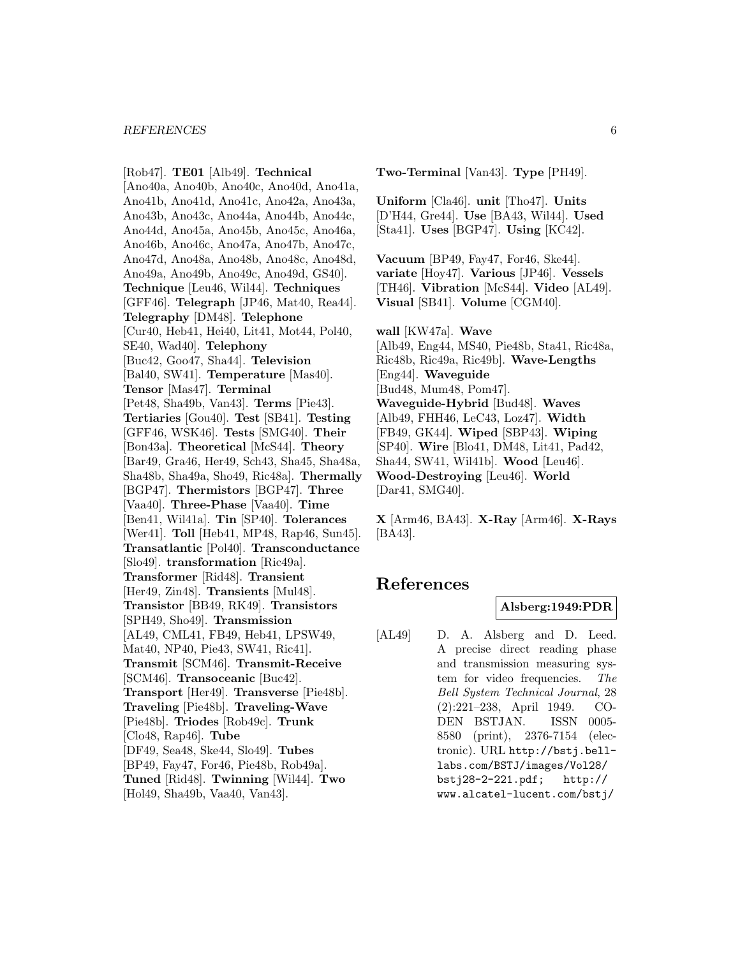[Rob47]. **TE01** [Alb49]. **Technical** [Ano40a, Ano40b, Ano40c, Ano40d, Ano41a, Ano41b, Ano41d, Ano41c, Ano42a, Ano43a, Ano43b, Ano43c, Ano44a, Ano44b, Ano44c, Ano44d, Ano45a, Ano45b, Ano45c, Ano46a, Ano46b, Ano46c, Ano47a, Ano47b, Ano47c, Ano47d, Ano48a, Ano48b, Ano48c, Ano48d, Ano49a, Ano49b, Ano49c, Ano49d, GS40]. **Technique** [Leu46, Wil44]. **Techniques** [GFF46]. **Telegraph** [JP46, Mat40, Rea44]. **Telegraphy** [DM48]. **Telephone** [Cur40, Heb41, Hei40, Lit41, Mot44, Pol40, SE40, Wad40]. **Telephony** [Buc42, Goo47, Sha44]. **Television** [Bal40, SW41]. **Temperature** [Mas40]. **Tensor** [Mas47]. **Terminal** [Pet48, Sha49b, Van43]. **Terms** [Pie43]. **Tertiaries** [Gou40]. **Test** [SB41]. **Testing** [GFF46, WSK46]. **Tests** [SMG40]. **Their** [Bon43a]. **Theoretical** [McS44]. **Theory** [Bar49, Gra46, Her49, Sch43, Sha45, Sha48a, Sha48b, Sha49a, Sho49, Ric48a]. **Thermally** [BGP47]. **Thermistors** [BGP47]. **Three** [Vaa40]. **Three-Phase** [Vaa40]. **Time** [Ben41, Wil41a]. **Tin** [SP40]. **Tolerances** [Wer41]. **Toll** [Heb41, MP48, Rap46, Sun45]. **Transatlantic** [Pol40]. **Transconductance** [Slo49]. **transformation** [Ric49a]. **Transformer** [Rid48]. **Transient** [Her49, Zin48]. **Transients** [Mul48]. **Transistor** [BB49, RK49]. **Transistors** [SPH49, Sho49]. **Transmission** [AL49, CML41, FB49, Heb41, LPSW49, Mat40, NP40, Pie43, SW41, Ric41]. **Transmit** [SCM46]. **Transmit-Receive** [SCM46]. **Transoceanic** [Buc42]. **Transport** [Her49]. **Transverse** [Pie48b]. **Traveling** [Pie48b]. **Traveling-Wave** [Pie48b]. **Triodes** [Rob49c]. **Trunk** [Clo48, Rap46]. **Tube** [DF49, Sea48, Ske44, Slo49]. **Tubes** [BP49, Fay47, For46, Pie48b, Rob49a]. **Tuned** [Rid48]. **Twinning** [Wil44]. **Two** [Hol49, Sha49b, Vaa40, Van43].

**Two-Terminal** [Van43]. **Type** [PH49].

**Uniform** [Cla46]. **unit** [Tho47]. **Units** [D'H44, Gre44]. **Use** [BA43, Wil44]. **Used** [Sta41]. **Uses** [BGP47]. **Using** [KC42].

**Vacuum** [BP49, Fay47, For46, Ske44]. **variate** [Hoy47]. **Various** [JP46]. **Vessels** [TH46]. **Vibration** [McS44]. **Video** [AL49]. **Visual** [SB41]. **Volume** [CGM40].

**wall** [KW47a]. **Wave** [Alb49, Eng44, MS40, Pie48b, Sta41, Ric48a, Ric48b, Ric49a, Ric49b]. **Wave-Lengths** [Eng44]. **Waveguide** [Bud48, Mum48, Pom47]. **Waveguide-Hybrid** [Bud48]. **Waves** [Alb49, FHH46, LeC43, Loz47]. **Width** [FB49, GK44]. **Wiped** [SBP43]. **Wiping** [SP40]. **Wire** [Blo41, DM48, Lit41, Pad42, Sha44, SW41, Wil41b]. **Wood** [Leu46]. **Wood-Destroying** [Leu46]. **World** [Dar41, SMG40].

**X** [Arm46, BA43]. **X-Ray** [Arm46]. **X-Rays** [BA43].

# **References**

#### **Alsberg:1949:PDR**

[AL49] D. A. Alsberg and D. Leed. A precise direct reading phase and transmission measuring system for video frequencies. The Bell System Technical Journal, 28 (2):221–238, April 1949. CO-DEN BSTJAN. ISSN 0005- 8580 (print), 2376-7154 (electronic). URL http://bstj.belllabs.com/BSTJ/images/Vol28/ bstj28-2-221.pdf; http:// www.alcatel-lucent.com/bstj/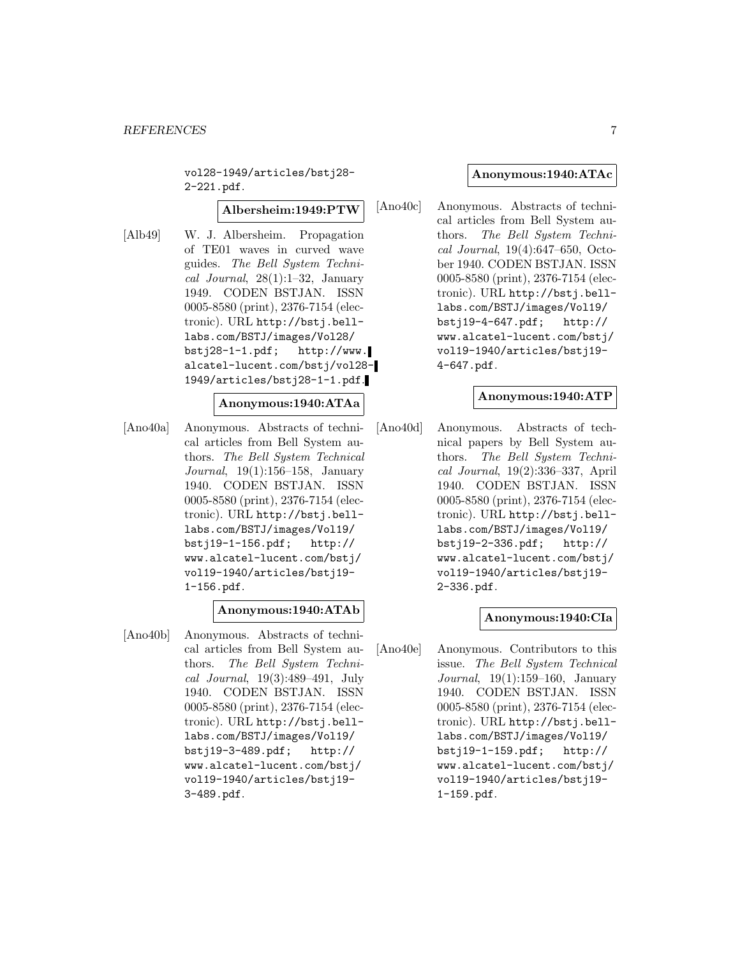vol28-1949/articles/bstj28- 2-221.pdf.

#### **Albersheim:1949:PTW**

[Alb49] W. J. Albersheim. Propagation of TE01 waves in curved wave guides. The Bell System Technical Journal, 28(1):1–32, January 1949. CODEN BSTJAN. ISSN 0005-8580 (print), 2376-7154 (electronic). URL http://bstj.belllabs.com/BSTJ/images/Vol28/ bstj28-1-1.pdf; http://www. alcatel-lucent.com/bstj/vol28- 1949/articles/bstj28-1-1.pdf.

# **Anonymous:1940:ATAa**

[Ano40a] Anonymous. Abstracts of technical articles from Bell System authors. The Bell System Technical Journal, 19(1):156–158, January 1940. CODEN BSTJAN. ISSN 0005-8580 (print), 2376-7154 (electronic). URL http://bstj.belllabs.com/BSTJ/images/Vol19/ bstj19-1-156.pdf; http:// www.alcatel-lucent.com/bstj/ vol19-1940/articles/bstj19- 1-156.pdf.

#### **Anonymous:1940:ATAb**

[Ano40b] Anonymous. Abstracts of technical articles from Bell System authors. The Bell System Technical Journal, 19(3):489–491, July 1940. CODEN BSTJAN. ISSN 0005-8580 (print), 2376-7154 (electronic). URL http://bstj.belllabs.com/BSTJ/images/Vol19/ bstj19-3-489.pdf; http:// www.alcatel-lucent.com/bstj/ vol19-1940/articles/bstj19- 3-489.pdf.

#### **Anonymous:1940:ATAc**

[Ano40c] Anonymous. Abstracts of technical articles from Bell System authors. The Bell System Technical Journal, 19(4):647–650, October 1940. CODEN BSTJAN. ISSN 0005-8580 (print), 2376-7154 (electronic). URL http://bstj.belllabs.com/BSTJ/images/Vol19/ bstj19-4-647.pdf; http:// www.alcatel-lucent.com/bstj/ vol19-1940/articles/bstj19- 4-647.pdf.

# **Anonymous:1940:ATP**

[Ano40d] Anonymous. Abstracts of technical papers by Bell System authors. The Bell System Technical Journal, 19(2):336–337, April 1940. CODEN BSTJAN. ISSN 0005-8580 (print), 2376-7154 (electronic). URL http://bstj.belllabs.com/BSTJ/images/Vol19/ bstj19-2-336.pdf; http:// www.alcatel-lucent.com/bstj/ vol19-1940/articles/bstj19- 2-336.pdf.

#### **Anonymous:1940:CIa**

[Ano40e] Anonymous. Contributors to this issue. The Bell System Technical Journal, 19(1):159–160, January 1940. CODEN BSTJAN. ISSN 0005-8580 (print), 2376-7154 (electronic). URL http://bstj.belllabs.com/BSTJ/images/Vol19/<br>bstj19-1-159.pdf; http://  $bstj19-1-159.pdf;$ www.alcatel-lucent.com/bstj/ vol19-1940/articles/bstj19- 1-159.pdf.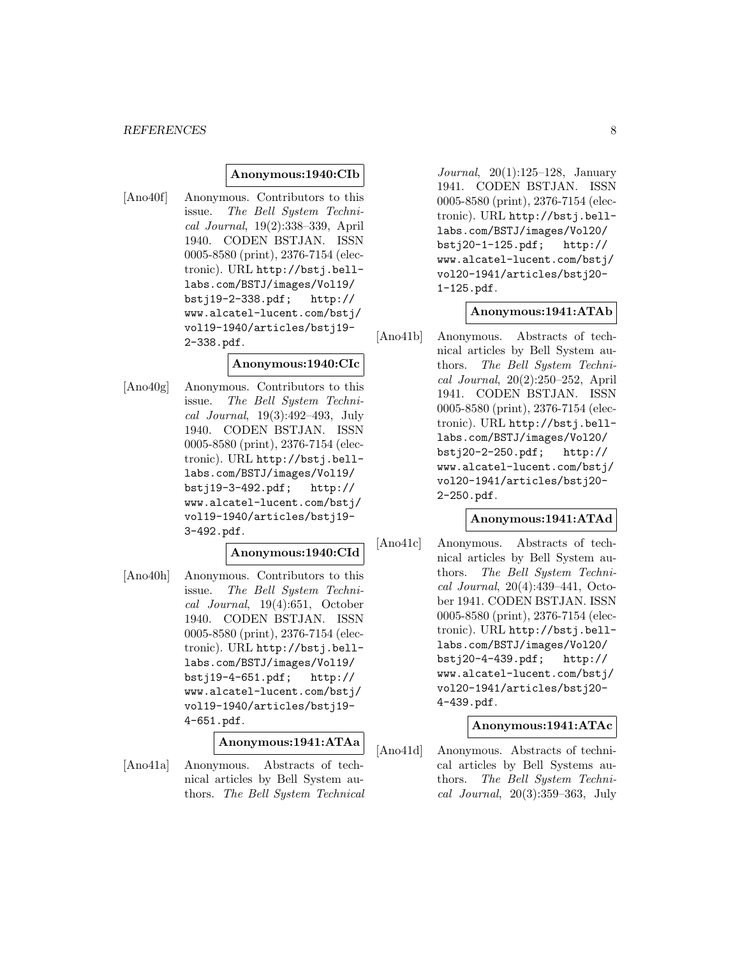#### **Anonymous:1940:CIb**

[Ano40f] Anonymous. Contributors to this issue. The Bell System Technical Journal, 19(2):338–339, April 1940. CODEN BSTJAN. ISSN 0005-8580 (print), 2376-7154 (electronic). URL http://bstj.belllabs.com/BSTJ/images/Vol19/ bstj19-2-338.pdf; http:// www.alcatel-lucent.com/bstj/ vol19-1940/articles/bstj19- 2-338.pdf.

#### **Anonymous:1940:CIc**

[Ano40g] Anonymous. Contributors to this issue. The Bell System Technical Journal, 19(3):492–493, July 1940. CODEN BSTJAN. ISSN 0005-8580 (print), 2376-7154 (electronic). URL http://bstj.belllabs.com/BSTJ/images/Vol19/ bstj19-3-492.pdf; http:// www.alcatel-lucent.com/bstj/ vol19-1940/articles/bstj19- 3-492.pdf.

#### **Anonymous:1940:CId**

[Ano40h] Anonymous. Contributors to this issue. The Bell System Technical Journal, 19(4):651, October 1940. CODEN BSTJAN. ISSN 0005-8580 (print), 2376-7154 (electronic). URL http://bstj.belllabs.com/BSTJ/images/Vol19/ bstj19-4-651.pdf; http:// www.alcatel-lucent.com/bstj/ vol19-1940/articles/bstj19- 4-651.pdf.

# **Anonymous:1941:ATAa**

[Ano41a] Anonymous. Abstracts of technical articles by Bell System authors. The Bell System Technical

Journal, 20(1):125–128, January 1941. CODEN BSTJAN. ISSN 0005-8580 (print), 2376-7154 (electronic). URL http://bstj.belllabs.com/BSTJ/images/Vol20/ bstj20-1-125.pdf; http:// www.alcatel-lucent.com/bstj/ vol20-1941/articles/bstj20- 1-125.pdf.

#### **Anonymous:1941:ATAb**

[Ano41b] Anonymous. Abstracts of technical articles by Bell System authors. The Bell System Technical Journal, 20(2):250–252, April 1941. CODEN BSTJAN. ISSN 0005-8580 (print), 2376-7154 (electronic). URL http://bstj.belllabs.com/BSTJ/images/Vol20/ bstj20-2-250.pdf; http:// www.alcatel-lucent.com/bstj/ vol20-1941/articles/bstj20- 2-250.pdf.

#### **Anonymous:1941:ATAd**

[Ano41c] Anonymous. Abstracts of technical articles by Bell System authors. The Bell System Technical Journal, 20(4):439–441, October 1941. CODEN BSTJAN. ISSN 0005-8580 (print), 2376-7154 (electronic). URL http://bstj.belllabs.com/BSTJ/images/Vol20/ bstj20-4-439.pdf; http:// www.alcatel-lucent.com/bstj/ vol20-1941/articles/bstj20- 4-439.pdf.

#### **Anonymous:1941:ATAc**

[Ano41d] Anonymous. Abstracts of technical articles by Bell Systems authors. The Bell System Technical Journal, 20(3):359–363, July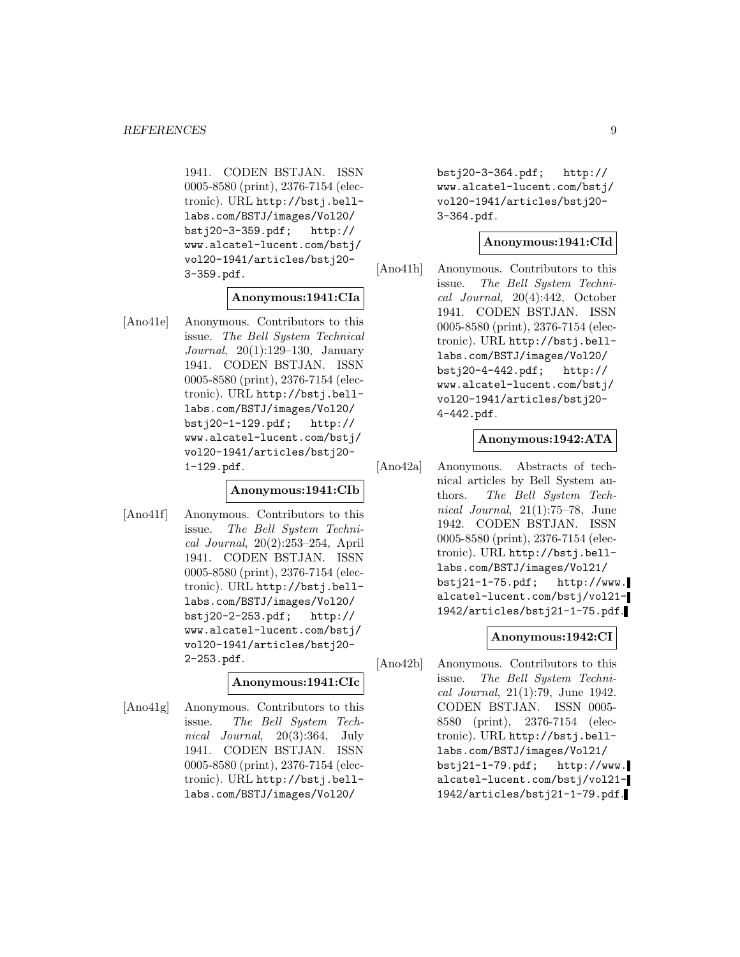1941. CODEN BSTJAN. ISSN 0005-8580 (print), 2376-7154 (electronic). URL http://bstj.belllabs.com/BSTJ/images/Vol20/ bstj20-3-359.pdf; http:// www.alcatel-lucent.com/bstj/ vol20-1941/articles/bstj20- 3-359.pdf.

# **Anonymous:1941:CIa**

[Ano41e] Anonymous. Contributors to this issue. The Bell System Technical Journal, 20(1):129–130, January 1941. CODEN BSTJAN. ISSN 0005-8580 (print), 2376-7154 (electronic). URL http://bstj.belllabs.com/BSTJ/images/Vol20/ bstj20-1-129.pdf; http:// www.alcatel-lucent.com/bstj/ vol20-1941/articles/bstj20- 1-129.pdf.

#### **Anonymous:1941:CIb**

[Ano41f] Anonymous. Contributors to this issue. The Bell System Technical Journal, 20(2):253–254, April 1941. CODEN BSTJAN. ISSN 0005-8580 (print), 2376-7154 (electronic). URL http://bstj.belllabs.com/BSTJ/images/Vol20/ bstj20-2-253.pdf; http:// www.alcatel-lucent.com/bstj/ vol20-1941/articles/bstj20- 2-253.pdf.

#### **Anonymous:1941:CIc**

[Ano41g] Anonymous. Contributors to this issue. The Bell System Technical Journal, 20(3):364, July 1941. CODEN BSTJAN. ISSN 0005-8580 (print), 2376-7154 (electronic). URL http://bstj.belllabs.com/BSTJ/images/Vol20/

bstj20-3-364.pdf; http:// www.alcatel-lucent.com/bstj/ vol20-1941/articles/bstj20- 3-364.pdf.

#### **Anonymous:1941:CId**

[Ano41h] Anonymous. Contributors to this issue. The Bell System Technical Journal, 20(4):442, October 1941. CODEN BSTJAN. ISSN 0005-8580 (print), 2376-7154 (electronic). URL http://bstj.belllabs.com/BSTJ/images/Vol20/ bstj20-4-442.pdf; http:// www.alcatel-lucent.com/bstj/ vol20-1941/articles/bstj20- 4-442.pdf.

# **Anonymous:1942:ATA**

[Ano42a] Anonymous. Abstracts of technical articles by Bell System authors. The Bell System Technical Journal, 21(1):75–78, June 1942. CODEN BSTJAN. ISSN 0005-8580 (print), 2376-7154 (electronic). URL http://bstj.belllabs.com/BSTJ/images/Vol21/ bstj21-1-75.pdf; http://www. alcatel-lucent.com/bstj/vol21- 1942/articles/bstj21-1-75.pdf.

# **Anonymous:1942:CI**

[Ano42b] Anonymous. Contributors to this issue. The Bell System Technical Journal, 21(1):79, June 1942. CODEN BSTJAN. ISSN 0005- 8580 (print), 2376-7154 (electronic). URL http://bstj.belllabs.com/BSTJ/images/Vol21/ bstj21-1-79.pdf; http://www. alcatel-lucent.com/bstj/vol21- 1942/articles/bstj21-1-79.pdf.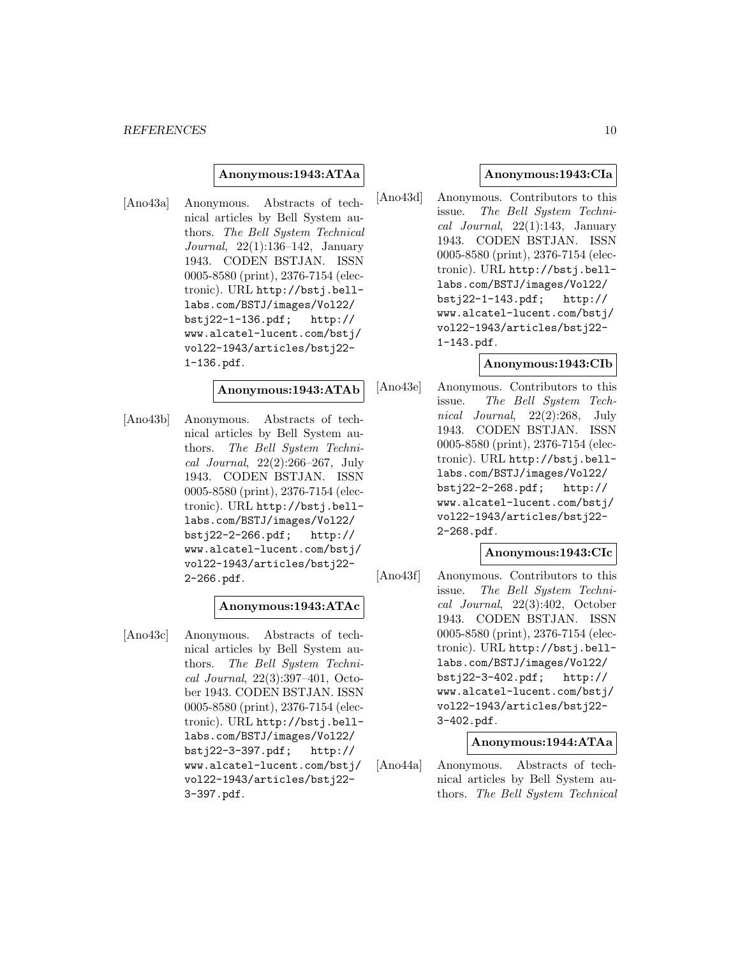#### **Anonymous:1943:ATAa**

[Ano43a] Anonymous. Abstracts of technical articles by Bell System authors. The Bell System Technical Journal, 22(1):136–142, January 1943. CODEN BSTJAN. ISSN 0005-8580 (print), 2376-7154 (electronic). URL http://bstj.belllabs.com/BSTJ/images/Vol22/ bstj22-1-136.pdf; http:// www.alcatel-lucent.com/bstj/ vol22-1943/articles/bstj22- 1-136.pdf.

#### **Anonymous:1943:ATAb**

[Ano43b] Anonymous. Abstracts of technical articles by Bell System authors. The Bell System Technical Journal, 22(2):266–267, July 1943. CODEN BSTJAN. ISSN 0005-8580 (print), 2376-7154 (electronic). URL http://bstj.belllabs.com/BSTJ/images/Vol22/ bstj22-2-266.pdf; http:// www.alcatel-lucent.com/bstj/ vol22-1943/articles/bstj22- 2-266.pdf.

#### **Anonymous:1943:ATAc**

[Ano43c] Anonymous. Abstracts of technical articles by Bell System authors. The Bell System Technical Journal, 22(3):397–401, October 1943. CODEN BSTJAN. ISSN 0005-8580 (print), 2376-7154 (electronic). URL http://bstj.belllabs.com/BSTJ/images/Vol22/ bstj22-3-397.pdf; http:// www.alcatel-lucent.com/bstj/ vol22-1943/articles/bstj22- 3-397.pdf.

#### **Anonymous:1943:CIa**

[Ano43d] Anonymous. Contributors to this issue. The Bell System Technical Journal,  $22(1):143$ , January 1943. CODEN BSTJAN. ISSN 0005-8580 (print), 2376-7154 (electronic). URL http://bstj.belllabs.com/BSTJ/images/Vol22/ bstj22-1-143.pdf; http:// www.alcatel-lucent.com/bstj/ vol22-1943/articles/bstj22- 1-143.pdf.

#### **Anonymous:1943:CIb**

[Ano43e] Anonymous. Contributors to this issue. The Bell System Technical Journal, 22(2):268, July 1943. CODEN BSTJAN. ISSN 0005-8580 (print), 2376-7154 (electronic). URL http://bstj.belllabs.com/BSTJ/images/Vol22/ bstj22-2-268.pdf; http:// www.alcatel-lucent.com/bstj/ vol22-1943/articles/bstj22- 2-268.pdf.

# **Anonymous:1943:CIc**

[Ano43f] Anonymous. Contributors to this issue. The Bell System Technical Journal, 22(3):402, October 1943. CODEN BSTJAN. ISSN 0005-8580 (print), 2376-7154 (electronic). URL http://bstj.belllabs.com/BSTJ/images/Vol22/ bstj22-3-402.pdf; http:// www.alcatel-lucent.com/bstj/ vol22-1943/articles/bstj22- 3-402.pdf.

#### **Anonymous:1944:ATAa**

[Ano44a] Anonymous. Abstracts of technical articles by Bell System authors. The Bell System Technical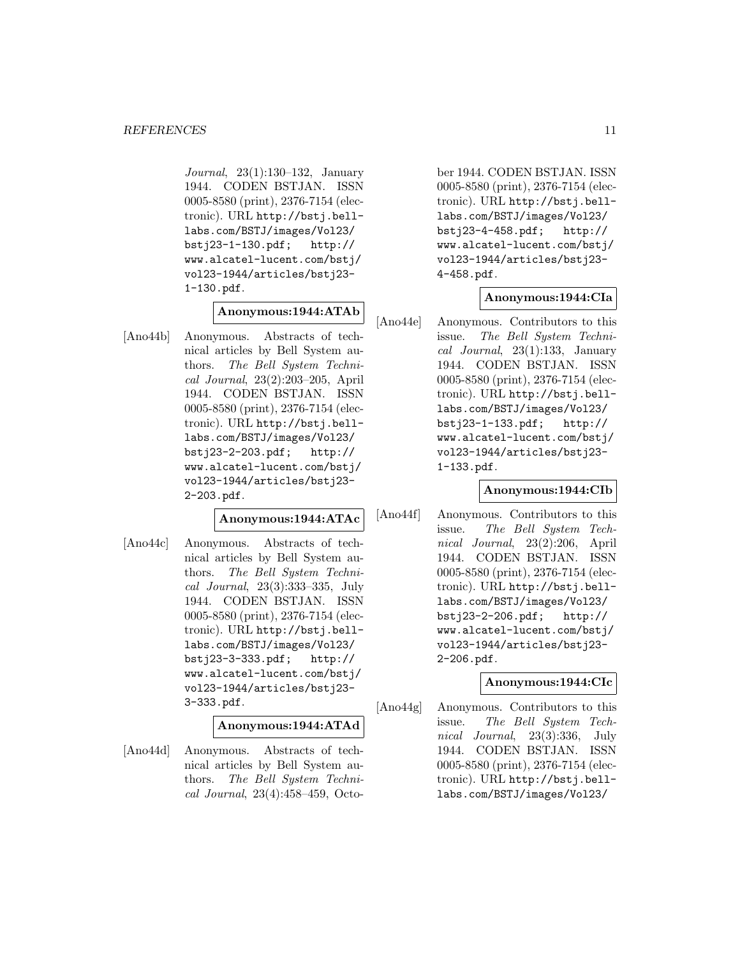Journal, 23(1):130–132, January 1944. CODEN BSTJAN. ISSN 0005-8580 (print), 2376-7154 (electronic). URL http://bstj.belllabs.com/BSTJ/images/Vol23/ bstj23-1-130.pdf; http:// www.alcatel-lucent.com/bstj/ vol23-1944/articles/bstj23- 1-130.pdf.

#### **Anonymous:1944:ATAb**

[Ano44b] Anonymous. Abstracts of technical articles by Bell System authors. The Bell System Technical Journal, 23(2):203–205, April 1944. CODEN BSTJAN. ISSN 0005-8580 (print), 2376-7154 (electronic). URL http://bstj.belllabs.com/BSTJ/images/Vol23/ bstj23-2-203.pdf; http:// www.alcatel-lucent.com/bstj/ vol23-1944/articles/bstj23- 2-203.pdf.

#### **Anonymous:1944:ATAc**

[Ano44c] Anonymous. Abstracts of technical articles by Bell System authors. The Bell System Technical Journal, 23(3):333–335, July 1944. CODEN BSTJAN. ISSN 0005-8580 (print), 2376-7154 (electronic). URL http://bstj.belllabs.com/BSTJ/images/Vol23/ bstj23-3-333.pdf; http:// www.alcatel-lucent.com/bstj/ vol23-1944/articles/bstj23- 3-333.pdf.

#### **Anonymous:1944:ATAd**

[Ano44d] Anonymous. Abstracts of technical articles by Bell System authors. The Bell System Technical Journal, 23(4):458–459, Octo-

ber 1944. CODEN BSTJAN. ISSN 0005-8580 (print), 2376-7154 (electronic). URL http://bstj.belllabs.com/BSTJ/images/Vol23/ bstj23-4-458.pdf; http:// www.alcatel-lucent.com/bstj/ vol23-1944/articles/bstj23- 4-458.pdf.

#### **Anonymous:1944:CIa**

[Ano44e] Anonymous. Contributors to this issue. The Bell System Technical Journal, 23(1):133, January 1944. CODEN BSTJAN. ISSN 0005-8580 (print), 2376-7154 (electronic). URL http://bstj.belllabs.com/BSTJ/images/Vol23/ bstj23-1-133.pdf; http:// www.alcatel-lucent.com/bstj/ vol23-1944/articles/bstj23- 1-133.pdf.

#### **Anonymous:1944:CIb**

[Ano44f] Anonymous. Contributors to this issue. The Bell System Technical Journal, 23(2):206, April 1944. CODEN BSTJAN. ISSN 0005-8580 (print), 2376-7154 (electronic). URL http://bstj.belllabs.com/BSTJ/images/Vol23/ bstj23-2-206.pdf; http:// www.alcatel-lucent.com/bstj/ vol23-1944/articles/bstj23- 2-206.pdf.

#### **Anonymous:1944:CIc**

[Ano44g] Anonymous. Contributors to this issue. The Bell System Technical Journal, 23(3):336, July 1944. CODEN BSTJAN. ISSN 0005-8580 (print), 2376-7154 (electronic). URL http://bstj.belllabs.com/BSTJ/images/Vol23/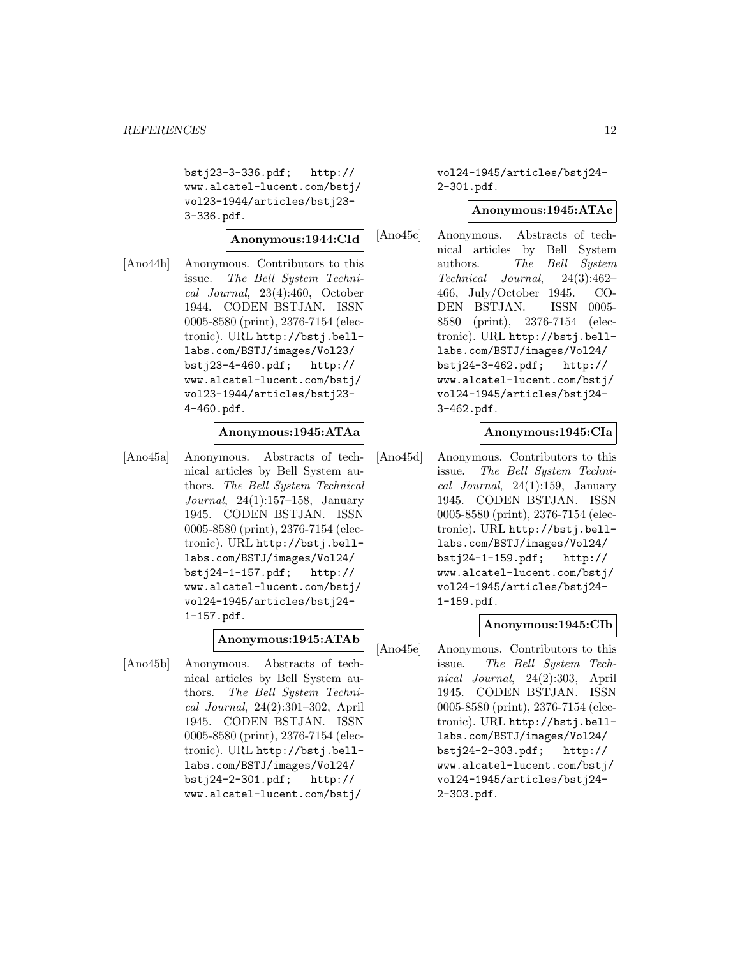bstj23-3-336.pdf; http:// www.alcatel-lucent.com/bstj/ vol23-1944/articles/bstj23- 3-336.pdf.

**Anonymous:1944:CId**

[Ano44h] Anonymous. Contributors to this issue. The Bell System Technical Journal, 23(4):460, October 1944. CODEN BSTJAN. ISSN 0005-8580 (print), 2376-7154 (electronic). URL http://bstj.belllabs.com/BSTJ/images/Vol23/ bstj23-4-460.pdf; http:// www.alcatel-lucent.com/bstj/ vol23-1944/articles/bstj23- 4-460.pdf.

#### **Anonymous:1945:ATAa**

[Ano45a] Anonymous. Abstracts of technical articles by Bell System authors. The Bell System Technical Journal, 24(1):157–158, January 1945. CODEN BSTJAN. ISSN 0005-8580 (print), 2376-7154 (electronic). URL http://bstj.belllabs.com/BSTJ/images/Vol24/ bstj24-1-157.pdf; http:// www.alcatel-lucent.com/bstj/ vol24-1945/articles/bstj24- 1-157.pdf.

#### **Anonymous:1945:ATAb**

[Ano45b] Anonymous. Abstracts of technical articles by Bell System authors. The Bell System Technical Journal, 24(2):301–302, April 1945. CODEN BSTJAN. ISSN 0005-8580 (print), 2376-7154 (electronic). URL http://bstj.belllabs.com/BSTJ/images/Vol24/ bstj24-2-301.pdf; http:// www.alcatel-lucent.com/bstj/

vol24-1945/articles/bstj24- 2-301.pdf.

#### **Anonymous:1945:ATAc**

[Ano45c] Anonymous. Abstracts of technical articles by Bell System authors. The Bell System Technical Journal, 24(3):462– 466, July/October 1945. CO-DEN BSTJAN. ISSN 0005- 8580 (print), 2376-7154 (electronic). URL http://bstj.belllabs.com/BSTJ/images/Vol24/ bstj24-3-462.pdf; http:// www.alcatel-lucent.com/bstj/ vol24-1945/articles/bstj24- 3-462.pdf.

#### **Anonymous:1945:CIa**

[Ano45d] Anonymous. Contributors to this issue. The Bell System Technical Journal, 24(1):159, January 1945. CODEN BSTJAN. ISSN 0005-8580 (print), 2376-7154 (electronic). URL http://bstj.belllabs.com/BSTJ/images/Vol24/ bstj24-1-159.pdf; http:// www.alcatel-lucent.com/bstj/ vol24-1945/articles/bstj24- 1-159.pdf.

#### **Anonymous:1945:CIb**

[Ano45e] Anonymous. Contributors to this issue. The Bell System Technical Journal, 24(2):303, April 1945. CODEN BSTJAN. ISSN 0005-8580 (print), 2376-7154 (electronic). URL http://bstj.belllabs.com/BSTJ/images/Vol24/<br>bstj24-2-303.pdf; http://  $bstj24-2-303.pdf;$ www.alcatel-lucent.com/bstj/ vol24-1945/articles/bstj24- 2-303.pdf.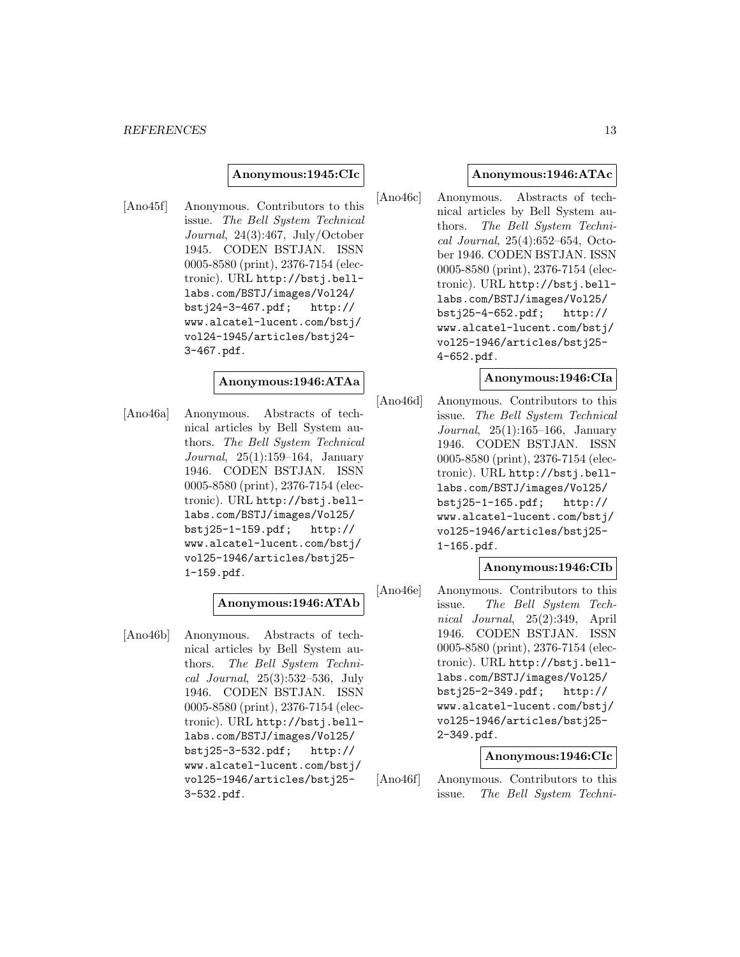#### *REFERENCES* 13

#### **Anonymous:1945:CIc**

[Ano45f] Anonymous. Contributors to this issue. The Bell System Technical Journal, 24(3):467, July/October 1945. CODEN BSTJAN. ISSN 0005-8580 (print), 2376-7154 (electronic). URL http://bstj.belllabs.com/BSTJ/images/Vol24/ bstj24-3-467.pdf; http:// www.alcatel-lucent.com/bstj/ vol24-1945/articles/bstj24- 3-467.pdf.

#### **Anonymous:1946:ATAa**

[Ano46a] Anonymous. Abstracts of technical articles by Bell System authors. The Bell System Technical Journal, 25(1):159–164, January 1946. CODEN BSTJAN. ISSN 0005-8580 (print), 2376-7154 (electronic). URL http://bstj.belllabs.com/BSTJ/images/Vol25/ bstj25-1-159.pdf; http:// www.alcatel-lucent.com/bstj/ vol25-1946/articles/bstj25- 1-159.pdf.

#### **Anonymous:1946:ATAb**

[Ano46b] Anonymous. Abstracts of technical articles by Bell System authors. The Bell System Technical Journal, 25(3):532–536, July 1946. CODEN BSTJAN. ISSN 0005-8580 (print), 2376-7154 (electronic). URL http://bstj.belllabs.com/BSTJ/images/Vol25/ bstj25-3-532.pdf; http:// www.alcatel-lucent.com/bstj/ vol25-1946/articles/bstj25- 3-532.pdf.

#### **Anonymous:1946:ATAc**

[Ano46c] Anonymous. Abstracts of technical articles by Bell System authors. The Bell System Technical Journal, 25(4):652–654, October 1946. CODEN BSTJAN. ISSN 0005-8580 (print), 2376-7154 (electronic). URL http://bstj.belllabs.com/BSTJ/images/Vol25/ bstj25-4-652.pdf; http:// www.alcatel-lucent.com/bstj/ vol25-1946/articles/bstj25- 4-652.pdf.

#### **Anonymous:1946:CIa**

[Ano46d] Anonymous. Contributors to this issue. The Bell System Technical Journal, 25(1):165–166, January 1946. CODEN BSTJAN. ISSN 0005-8580 (print), 2376-7154 (electronic). URL http://bstj.belllabs.com/BSTJ/images/Vol25/ bstj25-1-165.pdf; http:// www.alcatel-lucent.com/bstj/ vol25-1946/articles/bstj25- 1-165.pdf.

#### **Anonymous:1946:CIb**

[Ano46e] Anonymous. Contributors to this issue. The Bell System Technical Journal, 25(2):349, April 1946. CODEN BSTJAN. ISSN 0005-8580 (print), 2376-7154 (electronic). URL http://bstj.belllabs.com/BSTJ/images/Vol25/ bstj25-2-349.pdf; http:// www.alcatel-lucent.com/bstj/ vol25-1946/articles/bstj25- 2-349.pdf.

#### **Anonymous:1946:CIc**

[Ano46f] Anonymous. Contributors to this issue. The Bell System Techni-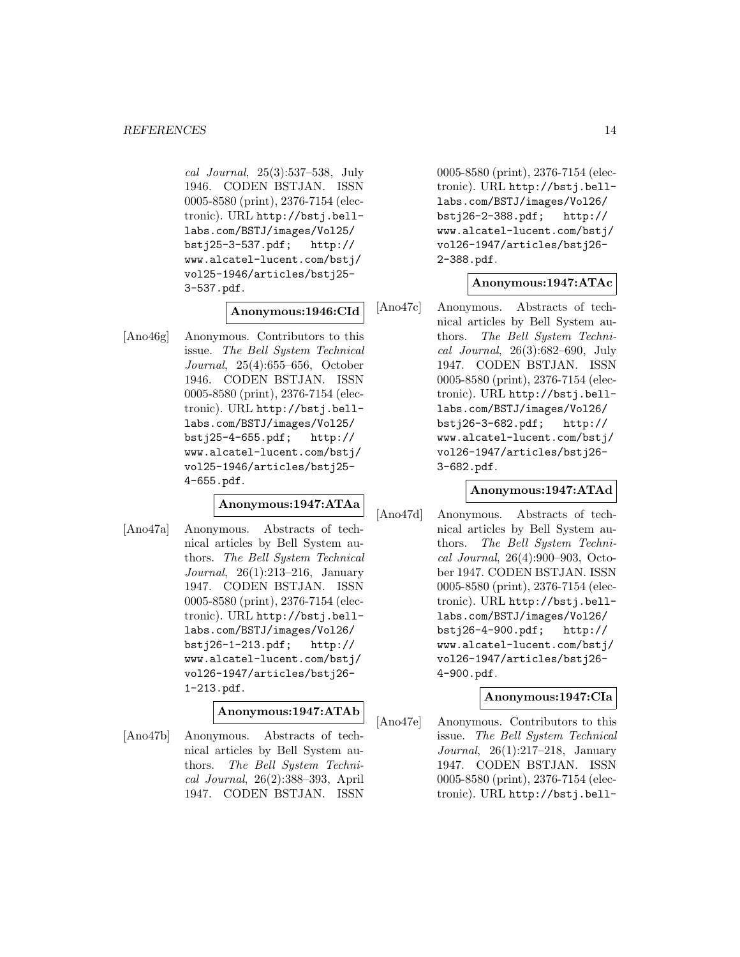cal Journal, 25(3):537–538, July 1946. CODEN BSTJAN. ISSN 0005-8580 (print), 2376-7154 (electronic). URL http://bstj.belllabs.com/BSTJ/images/Vol25/ bstj25-3-537.pdf; http:// www.alcatel-lucent.com/bstj/ vol25-1946/articles/bstj25- 3-537.pdf.

# **Anonymous:1946:CId**

[Ano46g] Anonymous. Contributors to this issue. The Bell System Technical Journal, 25(4):655–656, October 1946. CODEN BSTJAN. ISSN 0005-8580 (print), 2376-7154 (electronic). URL http://bstj.belllabs.com/BSTJ/images/Vol25/ bstj25-4-655.pdf; http:// www.alcatel-lucent.com/bstj/ vol25-1946/articles/bstj25- 4-655.pdf.

# **Anonymous:1947:ATAa**

[Ano47a] Anonymous. Abstracts of technical articles by Bell System authors. The Bell System Technical Journal, 26(1):213–216, January 1947. CODEN BSTJAN. ISSN 0005-8580 (print), 2376-7154 (electronic). URL http://bstj.belllabs.com/BSTJ/images/Vol26/ bstj26-1-213.pdf; http:// www.alcatel-lucent.com/bstj/ vol26-1947/articles/bstj26- 1-213.pdf.

#### **Anonymous:1947:ATAb**

[Ano47b] Anonymous. Abstracts of technical articles by Bell System authors. The Bell System Technical Journal, 26(2):388–393, April 1947. CODEN BSTJAN. ISSN

0005-8580 (print), 2376-7154 (electronic). URL http://bstj.belllabs.com/BSTJ/images/Vol26/ bstj26-2-388.pdf; http:// www.alcatel-lucent.com/bstj/ vol26-1947/articles/bstj26- 2-388.pdf.

#### **Anonymous:1947:ATAc**

[Ano47c] Anonymous. Abstracts of technical articles by Bell System authors. The Bell System Technical Journal, 26(3):682–690, July 1947. CODEN BSTJAN. ISSN 0005-8580 (print), 2376-7154 (electronic). URL http://bstj.belllabs.com/BSTJ/images/Vol26/ bstj26-3-682.pdf; http:// www.alcatel-lucent.com/bstj/ vol26-1947/articles/bstj26- 3-682.pdf.

#### **Anonymous:1947:ATAd**

[Ano47d] Anonymous. Abstracts of technical articles by Bell System authors. The Bell System Technical Journal, 26(4):900–903, October 1947. CODEN BSTJAN. ISSN 0005-8580 (print), 2376-7154 (electronic). URL http://bstj.belllabs.com/BSTJ/images/Vol26/ bstj26-4-900.pdf; http:// www.alcatel-lucent.com/bstj/ vol26-1947/articles/bstj26- 4-900.pdf.

#### **Anonymous:1947:CIa**

[Ano47e] Anonymous. Contributors to this issue. The Bell System Technical Journal, 26(1):217–218, January 1947. CODEN BSTJAN. ISSN 0005-8580 (print), 2376-7154 (electronic). URL http://bstj.bell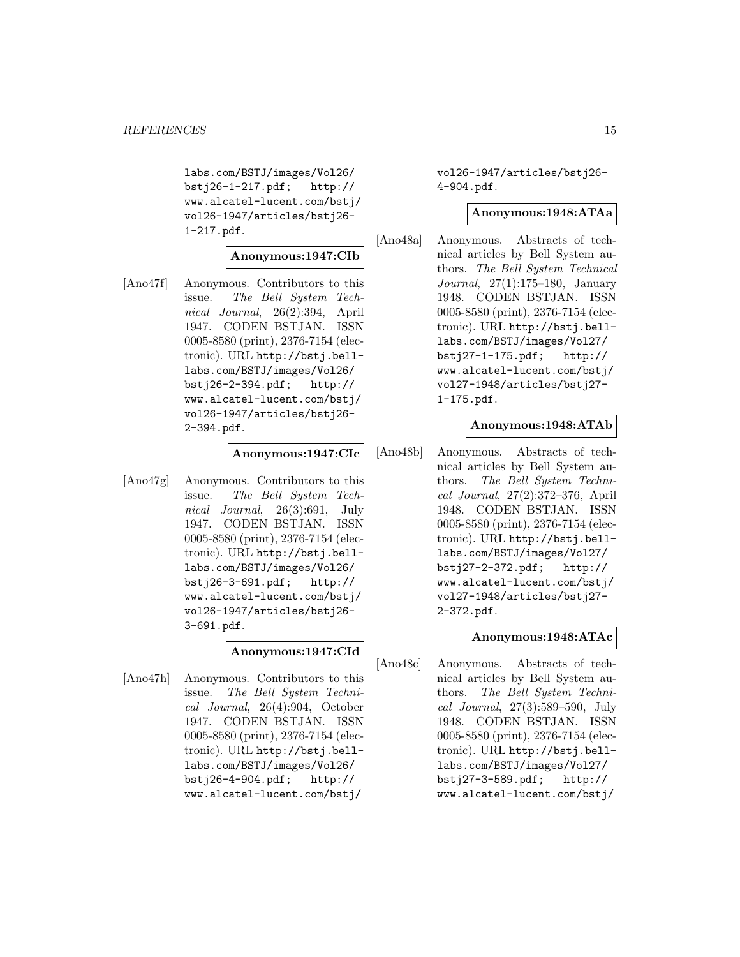labs.com/BSTJ/images/Vol26/ bstj26-1-217.pdf; http:// www.alcatel-lucent.com/bstj/ vol26-1947/articles/bstj26- 1-217.pdf.

#### **Anonymous:1947:CIb**

[Ano47f] Anonymous. Contributors to this issue. The Bell System Technical Journal, 26(2):394, April 1947. CODEN BSTJAN. ISSN 0005-8580 (print), 2376-7154 (electronic). URL http://bstj.belllabs.com/BSTJ/images/Vol26/ bstj26-2-394.pdf; http:// www.alcatel-lucent.com/bstj/ vol26-1947/articles/bstj26- 2-394.pdf.

#### **Anonymous:1947:CIc**

[Ano47g] Anonymous. Contributors to this issue. The Bell System Technical Journal, 26(3):691, July 1947. CODEN BSTJAN. ISSN 0005-8580 (print), 2376-7154 (electronic). URL http://bstj.belllabs.com/BSTJ/images/Vol26/ bstj26-3-691.pdf; http:// www.alcatel-lucent.com/bstj/ vol26-1947/articles/bstj26- 3-691.pdf.

#### **Anonymous:1947:CId**

[Ano47h] Anonymous. Contributors to this issue. The Bell System Technical Journal, 26(4):904, October 1947. CODEN BSTJAN. ISSN 0005-8580 (print), 2376-7154 (electronic). URL http://bstj.belllabs.com/BSTJ/images/Vol26/ bstj26-4-904.pdf; http:// www.alcatel-lucent.com/bstj/

vol26-1947/articles/bstj26- 4-904.pdf.

#### **Anonymous:1948:ATAa**

[Ano48a] Anonymous. Abstracts of technical articles by Bell System authors. The Bell System Technical Journal, 27(1):175–180, January 1948. CODEN BSTJAN. ISSN 0005-8580 (print), 2376-7154 (electronic). URL http://bstj.belllabs.com/BSTJ/images/Vol27/ bstj27-1-175.pdf; http:// www.alcatel-lucent.com/bstj/ vol27-1948/articles/bstj27- 1-175.pdf.

#### **Anonymous:1948:ATAb**

[Ano48b] Anonymous. Abstracts of technical articles by Bell System authors. The Bell System Technical Journal, 27(2):372–376, April 1948. CODEN BSTJAN. ISSN 0005-8580 (print), 2376-7154 (electronic). URL http://bstj.belllabs.com/BSTJ/images/Vol27/ bstj27-2-372.pdf; http:// www.alcatel-lucent.com/bstj/ vol27-1948/articles/bstj27- 2-372.pdf.

#### **Anonymous:1948:ATAc**

[Ano48c] Anonymous. Abstracts of technical articles by Bell System authors. The Bell System Technical Journal, 27(3):589–590, July 1948. CODEN BSTJAN. ISSN 0005-8580 (print), 2376-7154 (electronic). URL http://bstj.belllabs.com/BSTJ/images/Vol27/ bstj27-3-589.pdf; http:// www.alcatel-lucent.com/bstj/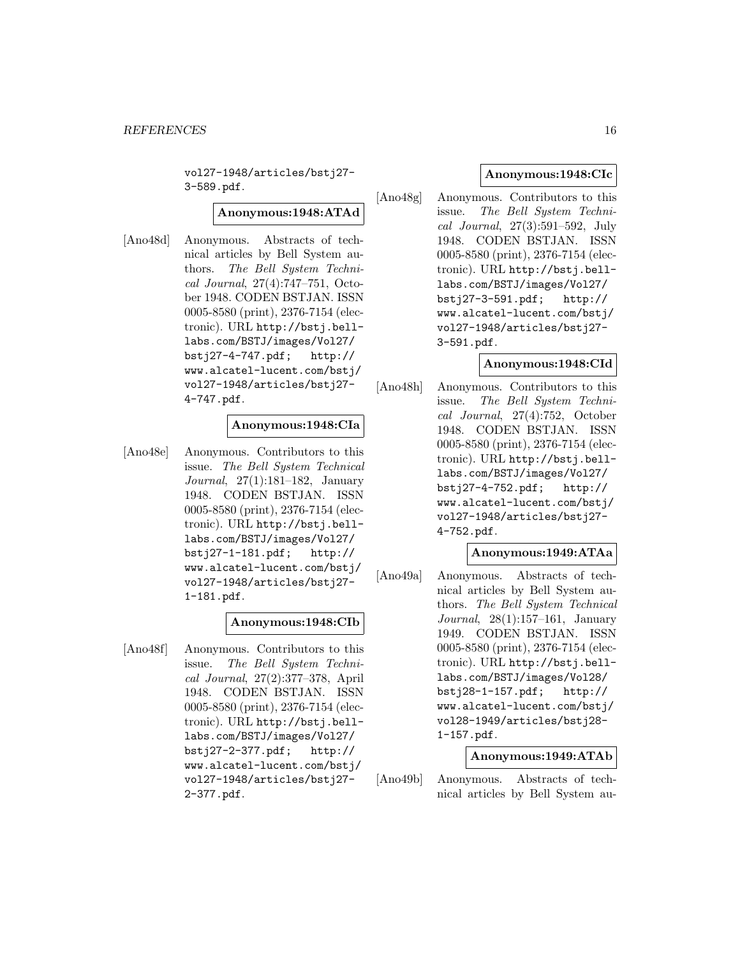vol27-1948/articles/bstj27- 3-589.pdf.

# **Anonymous:1948:ATAd**

[Ano48d] Anonymous. Abstracts of technical articles by Bell System authors. The Bell System Technical Journal, 27(4):747–751, October 1948. CODEN BSTJAN. ISSN 0005-8580 (print), 2376-7154 (electronic). URL http://bstj.belllabs.com/BSTJ/images/Vol27/ bstj27-4-747.pdf; http:// www.alcatel-lucent.com/bstj/ vol27-1948/articles/bstj27- 4-747.pdf.

#### **Anonymous:1948:CIa**

[Ano48e] Anonymous. Contributors to this issue. The Bell System Technical Journal, 27(1):181–182, January 1948. CODEN BSTJAN. ISSN 0005-8580 (print), 2376-7154 (electronic). URL http://bstj.belllabs.com/BSTJ/images/Vol27/ bstj27-1-181.pdf; http:// www.alcatel-lucent.com/bstj/ vol27-1948/articles/bstj27- 1-181.pdf.

#### **Anonymous:1948:CIb**

[Ano48f] Anonymous. Contributors to this issue. The Bell System Technical Journal, 27(2):377–378, April 1948. CODEN BSTJAN. ISSN 0005-8580 (print), 2376-7154 (electronic). URL http://bstj.belllabs.com/BSTJ/images/Vol27/ bstj27-2-377.pdf; http:// www.alcatel-lucent.com/bstj/ vol27-1948/articles/bstj27- 2-377.pdf.

#### **Anonymous:1948:CIc**

[Ano48g] Anonymous. Contributors to this issue. The Bell System Technical Journal, 27(3):591–592, July 1948. CODEN BSTJAN. ISSN 0005-8580 (print), 2376-7154 (electronic). URL http://bstj.belllabs.com/BSTJ/images/Vol27/ bstj27-3-591.pdf; http:// www.alcatel-lucent.com/bstj/ vol27-1948/articles/bstj27- 3-591.pdf.

#### **Anonymous:1948:CId**

[Ano48h] Anonymous. Contributors to this issue. The Bell System Technical Journal, 27(4):752, October 1948. CODEN BSTJAN. ISSN 0005-8580 (print), 2376-7154 (electronic). URL http://bstj.belllabs.com/BSTJ/images/Vol27/ bstj27-4-752.pdf; http:// www.alcatel-lucent.com/bstj/ vol27-1948/articles/bstj27- 4-752.pdf.

#### **Anonymous:1949:ATAa**

[Ano49a] Anonymous. Abstracts of technical articles by Bell System authors. The Bell System Technical Journal, 28(1):157–161, January 1949. CODEN BSTJAN. ISSN 0005-8580 (print), 2376-7154 (electronic). URL http://bstj.belllabs.com/BSTJ/images/Vol28/ bstj28-1-157.pdf; http:// www.alcatel-lucent.com/bstj/ vol28-1949/articles/bstj28- 1-157.pdf.

#### **Anonymous:1949:ATAb**

[Ano49b] Anonymous. Abstracts of technical articles by Bell System au-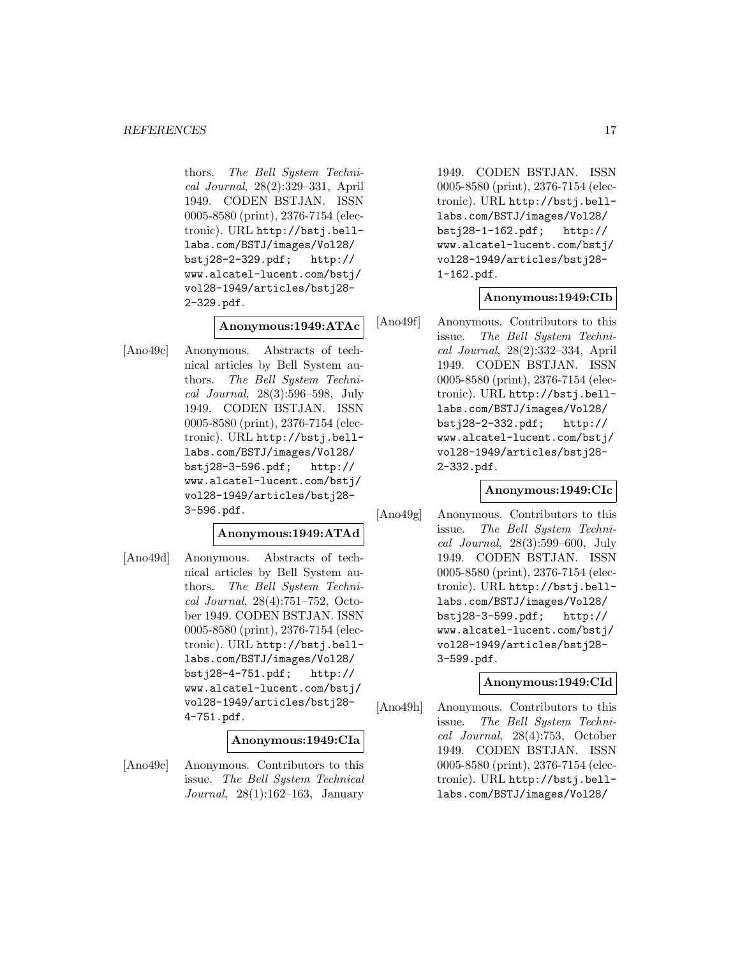thors. The Bell System Technical Journal, 28(2):329–331, April 1949. CODEN BSTJAN. ISSN 0005-8580 (print), 2376-7154 (electronic). URL http://bstj.belllabs.com/BSTJ/images/Vol28/ bstj28-2-329.pdf; http:// www.alcatel-lucent.com/bstj/ vol28-1949/articles/bstj28- 2-329.pdf.

#### **Anonymous:1949:ATAc**

[Ano49c] Anonymous. Abstracts of technical articles by Bell System authors. The Bell System Technical Journal, 28(3):596–598, July 1949. CODEN BSTJAN. ISSN 0005-8580 (print), 2376-7154 (electronic). URL http://bstj.belllabs.com/BSTJ/images/Vol28/ bstj28-3-596.pdf; http:// www.alcatel-lucent.com/bstj/ vol28-1949/articles/bstj28- 3-596.pdf.

#### **Anonymous:1949:ATAd**

[Ano49d] Anonymous. Abstracts of technical articles by Bell System authors. The Bell System Technical Journal, 28(4):751–752, October 1949. CODEN BSTJAN. ISSN 0005-8580 (print), 2376-7154 (electronic). URL http://bstj.belllabs.com/BSTJ/images/Vol28/ bstj28-4-751.pdf; http:// www.alcatel-lucent.com/bstj/ vol28-1949/articles/bstj28- 4-751.pdf.

#### **Anonymous:1949:CIa**

[Ano49e] Anonymous. Contributors to this issue. The Bell System Technical Journal, 28(1):162–163, January

1949. CODEN BSTJAN. ISSN 0005-8580 (print), 2376-7154 (electronic). URL http://bstj.belllabs.com/BSTJ/images/Vol28/ bstj28-1-162.pdf; http:// www.alcatel-lucent.com/bstj/ vol28-1949/articles/bstj28- 1-162.pdf.

#### **Anonymous:1949:CIb**

[Ano49f] Anonymous. Contributors to this issue. The Bell System Technical Journal, 28(2):332–334, April 1949. CODEN BSTJAN. ISSN 0005-8580 (print), 2376-7154 (electronic). URL http://bstj.belllabs.com/BSTJ/images/Vol28/ bstj28-2-332.pdf; http:// www.alcatel-lucent.com/bstj/ vol28-1949/articles/bstj28- 2-332.pdf.

#### **Anonymous:1949:CIc**

[Ano49g] Anonymous. Contributors to this issue. The Bell System Technical Journal, 28(3):599–600, July 1949. CODEN BSTJAN. ISSN 0005-8580 (print), 2376-7154 (electronic). URL http://bstj.belllabs.com/BSTJ/images/Vol28/ bstj28-3-599.pdf; http:// www.alcatel-lucent.com/bstj/ vol28-1949/articles/bstj28- 3-599.pdf.

#### **Anonymous:1949:CId**

[Ano49h] Anonymous. Contributors to this issue. The Bell System Technical Journal, 28(4):753, October 1949. CODEN BSTJAN. ISSN 0005-8580 (print), 2376-7154 (electronic). URL http://bstj.belllabs.com/BSTJ/images/Vol28/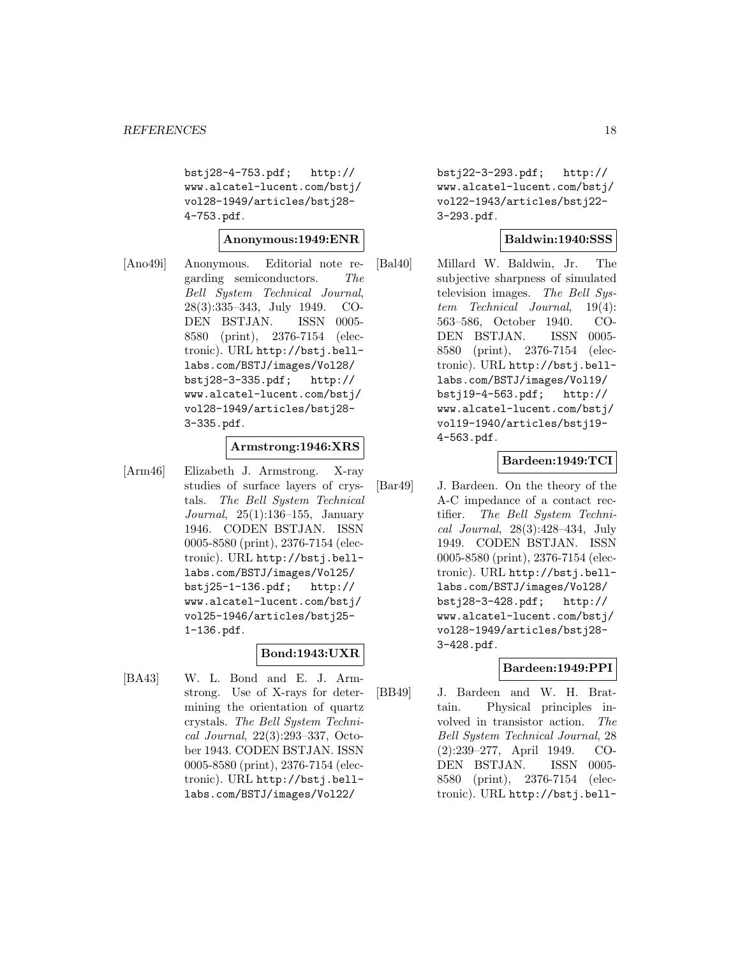bstj28-4-753.pdf; http:// www.alcatel-lucent.com/bstj/ vol28-1949/articles/bstj28- 4-753.pdf.

# **Anonymous:1949:ENR**

[Ano49i] Anonymous. Editorial note regarding semiconductors. The Bell System Technical Journal, 28(3):335–343, July 1949. CO-DEN BSTJAN. ISSN 0005- 8580 (print), 2376-7154 (electronic). URL http://bstj.belllabs.com/BSTJ/images/Vol28/ bstj28-3-335.pdf; http:// www.alcatel-lucent.com/bstj/ vol28-1949/articles/bstj28- 3-335.pdf.

#### **Armstrong:1946:XRS**

[Arm46] Elizabeth J. Armstrong. X-ray studies of surface layers of crystals. The Bell System Technical Journal, 25(1):136–155, January 1946. CODEN BSTJAN. ISSN 0005-8580 (print), 2376-7154 (electronic). URL http://bstj.belllabs.com/BSTJ/images/Vol25/ bstj25-1-136.pdf; http:// www.alcatel-lucent.com/bstj/ vol25-1946/articles/bstj25- 1-136.pdf.

#### **Bond:1943:UXR**

[BA43] W. L. Bond and E. J. Armstrong. Use of X-rays for determining the orientation of quartz crystals. The Bell System Technical Journal, 22(3):293–337, October 1943. CODEN BSTJAN. ISSN 0005-8580 (print), 2376-7154 (electronic). URL http://bstj.belllabs.com/BSTJ/images/Vol22/

bstj22-3-293.pdf; http:// www.alcatel-lucent.com/bstj/ vol22-1943/articles/bstj22- 3-293.pdf.

# **Baldwin:1940:SSS**

[Bal40] Millard W. Baldwin, Jr. The subjective sharpness of simulated television images. The Bell System Technical Journal, 19(4): 563–586, October 1940. CO-DEN BSTJAN. ISSN 0005- 8580 (print), 2376-7154 (electronic). URL http://bstj.belllabs.com/BSTJ/images/Vol19/ bstj19-4-563.pdf; http:// www.alcatel-lucent.com/bstj/ vol19-1940/articles/bstj19- 4-563.pdf.

#### **Bardeen:1949:TCI**

[Bar49] J. Bardeen. On the theory of the A-C impedance of a contact rectifier. The Bell System Technical Journal, 28(3):428–434, July 1949. CODEN BSTJAN. ISSN 0005-8580 (print), 2376-7154 (electronic). URL http://bstj.belllabs.com/BSTJ/images/Vol28/ bstj28-3-428.pdf; http:// www.alcatel-lucent.com/bstj/ vol28-1949/articles/bstj28- 3-428.pdf.

#### **Bardeen:1949:PPI**

[BB49] J. Bardeen and W. H. Brattain. Physical principles involved in transistor action. The Bell System Technical Journal, 28 (2):239–277, April 1949. CO-DEN BSTJAN. ISSN 0005- 8580 (print), 2376-7154 (electronic). URL http://bstj.bell-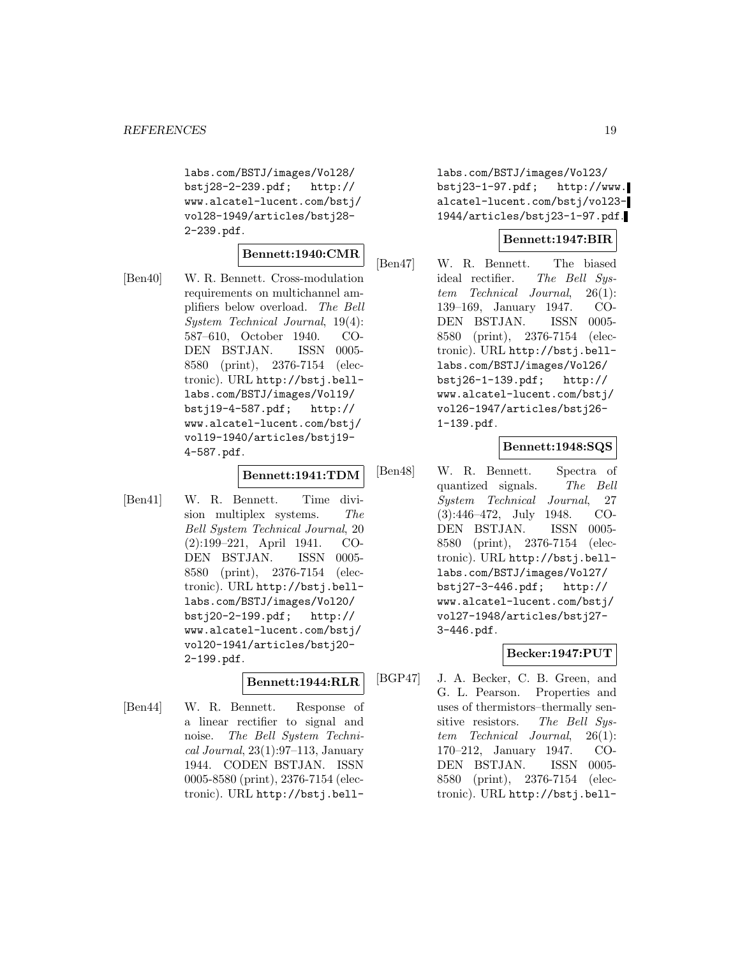labs.com/BSTJ/images/Vol28/ bstj28-2-239.pdf; http:// www.alcatel-lucent.com/bstj/ vol28-1949/articles/bstj28- 2-239.pdf.

#### **Bennett:1940:CMR**

[Ben40] W. R. Bennett. Cross-modulation requirements on multichannel amplifiers below overload. The Bell System Technical Journal, 19(4): 587–610, October 1940. CO-DEN BSTJAN. ISSN 0005- 8580 (print), 2376-7154 (electronic). URL http://bstj.belllabs.com/BSTJ/images/Vol19/ bstj19-4-587.pdf; http:// www.alcatel-lucent.com/bstj/ vol19-1940/articles/bstj19- 4-587.pdf.

#### **Bennett:1941:TDM**

[Ben41] W. R. Bennett. Time division multiplex systems. The Bell System Technical Journal, 20 (2):199–221, April 1941. CO-DEN BSTJAN. ISSN 0005- 8580 (print), 2376-7154 (electronic). URL http://bstj.belllabs.com/BSTJ/images/Vol20/ bstj20-2-199.pdf; http:// www.alcatel-lucent.com/bstj/ vol20-1941/articles/bstj20- 2-199.pdf.

#### **Bennett:1944:RLR**

[Ben44] W. R. Bennett. Response of a linear rectifier to signal and noise. The Bell System Technical Journal, 23(1):97–113, January 1944. CODEN BSTJAN. ISSN 0005-8580 (print), 2376-7154 (electronic). URL http://bstj.belllabs.com/BSTJ/images/Vol23/ bstj23-1-97.pdf; http://www. alcatel-lucent.com/bstj/vol23- 1944/articles/bstj23-1-97.pdf.

# **Bennett:1947:BIR**

[Ben47] W. R. Bennett. The biased ideal rectifier. The Bell System Technical Journal, 26(1): 139–169, January 1947. CO-DEN BSTJAN. ISSN 0005- 8580 (print), 2376-7154 (electronic). URL http://bstj.belllabs.com/BSTJ/images/Vol26/ bstj26-1-139.pdf; http:// www.alcatel-lucent.com/bstj/ vol26-1947/articles/bstj26- 1-139.pdf.

# **Bennett:1948:SQS**

[Ben48] W. R. Bennett. Spectra of quantized signals. The Bell System Technical Journal, 27 (3):446–472, July 1948. CO-DEN BSTJAN. ISSN 0005- 8580 (print), 2376-7154 (electronic). URL http://bstj.belllabs.com/BSTJ/images/Vol27/ bstj27-3-446.pdf; http:// www.alcatel-lucent.com/bstj/ vol27-1948/articles/bstj27- 3-446.pdf.

# **Becker:1947:PUT**

[BGP47] J. A. Becker, C. B. Green, and G. L. Pearson. Properties and uses of thermistors–thermally sensitive resistors. The Bell System Technical Journal, 26(1): 170–212, January 1947. CO-DEN BSTJAN. ISSN 0005- 8580 (print), 2376-7154 (electronic). URL http://bstj.bell-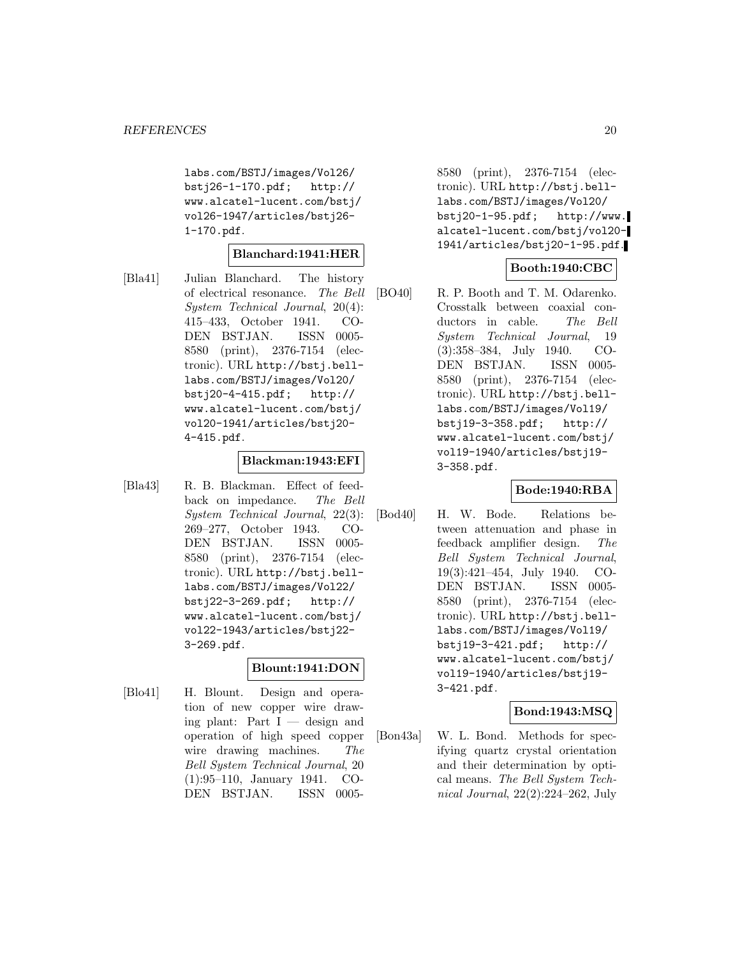labs.com/BSTJ/images/Vol26/ bstj26-1-170.pdf; http:// www.alcatel-lucent.com/bstj/ vol26-1947/articles/bstj26- 1-170.pdf.

#### **Blanchard:1941:HER**

[Bla41] Julian Blanchard. The history of electrical resonance. The Bell System Technical Journal, 20(4): 415–433, October 1941. CO-DEN BSTJAN. ISSN 0005- 8580 (print), 2376-7154 (electronic). URL http://bstj.belllabs.com/BSTJ/images/Vol20/ bstj20-4-415.pdf; http:// www.alcatel-lucent.com/bstj/ vol20-1941/articles/bstj20- 4-415.pdf.

#### **Blackman:1943:EFI**

[Bla43] R. B. Blackman. Effect of feedback on impedance. The Bell System Technical Journal, 22(3): 269–277, October 1943. CO-DEN BSTJAN. ISSN 0005- 8580 (print), 2376-7154 (electronic). URL http://bstj.belllabs.com/BSTJ/images/Vol22/ bstj22-3-269.pdf; http:// www.alcatel-lucent.com/bstj/ vol22-1943/articles/bstj22- 3-269.pdf.

# **Blount:1941:DON**

[Blo41] H. Blount. Design and operation of new copper wire drawing plant: Part  $I$  — design and operation of high speed copper wire drawing machines. The Bell System Technical Journal, 20 (1):95–110, January 1941. CO-DEN BSTJAN. ISSN 00058580 (print), 2376-7154 (electronic). URL http://bstj.belllabs.com/BSTJ/images/Vol20/ bstj20-1-95.pdf; http://www. alcatel-lucent.com/bstj/vol20- 1941/articles/bstj20-1-95.pdf.

# **Booth:1940:CBC**

[BO40] R. P. Booth and T. M. Odarenko. Crosstalk between coaxial conductors in cable. The Bell System Technical Journal, 19 (3):358–384, July 1940. CO-DEN BSTJAN. ISSN 0005- 8580 (print), 2376-7154 (electronic). URL http://bstj.belllabs.com/BSTJ/images/Vol19/ bstj19-3-358.pdf; http:// www.alcatel-lucent.com/bstj/ vol19-1940/articles/bstj19- 3-358.pdf.

#### **Bode:1940:RBA**

[Bod40] H. W. Bode. Relations between attenuation and phase in feedback amplifier design. The Bell System Technical Journal, 19(3):421–454, July 1940. CO-DEN BSTJAN. ISSN 0005- 8580 (print), 2376-7154 (electronic). URL http://bstj.belllabs.com/BSTJ/images/Vol19/ bstj19-3-421.pdf; http:// www.alcatel-lucent.com/bstj/ vol19-1940/articles/bstj19- 3-421.pdf.

#### **Bond:1943:MSQ**

[Bon43a] W. L. Bond. Methods for specifying quartz crystal orientation and their determination by optical means. The Bell System Technical Journal, 22(2):224–262, July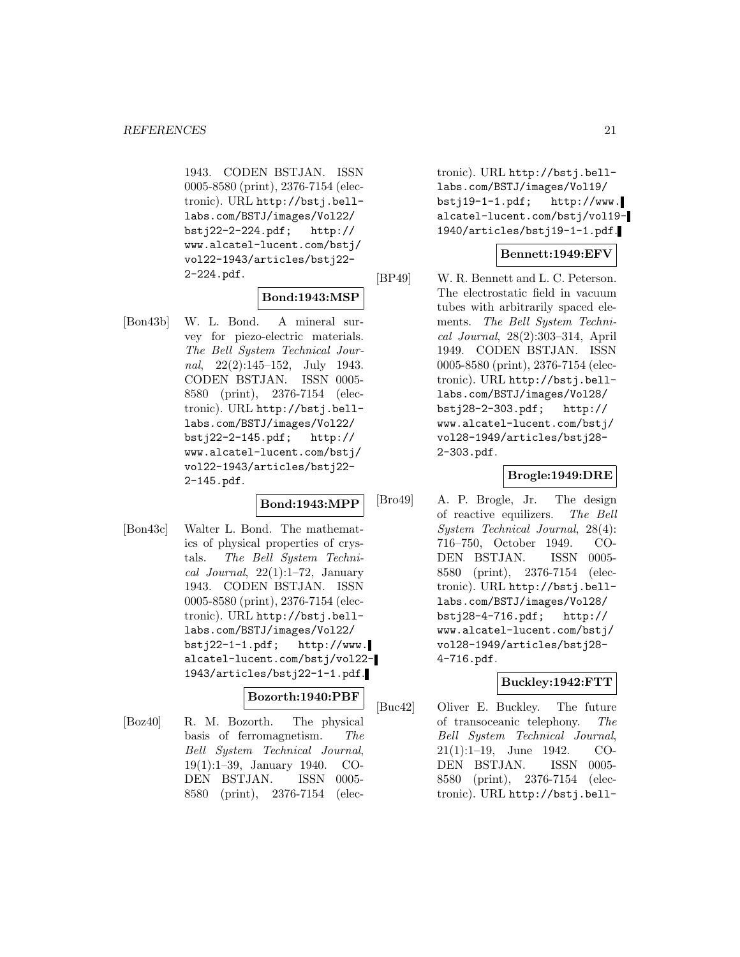1943. CODEN BSTJAN. ISSN 0005-8580 (print), 2376-7154 (electronic). URL http://bstj.belllabs.com/BSTJ/images/Vol22/ bstj22-2-224.pdf; http:// www.alcatel-lucent.com/bstj/ vol22-1943/articles/bstj22- 2-224.pdf.

# **Bond:1943:MSP**

[Bon43b] W. L. Bond. A mineral survey for piezo-electric materials. The Bell System Technical Journal, 22(2):145–152, July 1943. CODEN BSTJAN. ISSN 0005- 8580 (print), 2376-7154 (electronic). URL http://bstj.belllabs.com/BSTJ/images/Vol22/ bstj22-2-145.pdf; http:// www.alcatel-lucent.com/bstj/ vol22-1943/articles/bstj22- 2-145.pdf.

#### **Bond:1943:MPP**

[Bon43c] Walter L. Bond. The mathematics of physical properties of crystals. The Bell System Technical Journal,  $22(1):1-72$ , January 1943. CODEN BSTJAN. ISSN 0005-8580 (print), 2376-7154 (electronic). URL http://bstj.belllabs.com/BSTJ/images/Vol22/ bstj22-1-1.pdf; http://www. alcatel-lucent.com/bstj/vol22- 1943/articles/bstj22-1-1.pdf.

#### **Bozorth:1940:PBF**

[Boz40] R. M. Bozorth. The physical basis of ferromagnetism. The Bell System Technical Journal, 19(1):1–39, January 1940. CO-DEN BSTJAN. ISSN 0005- 8580 (print), 2376-7154 (elec-

tronic). URL http://bstj.belllabs.com/BSTJ/images/Vol19/  $bsti19-1-1.pdf;$  http://www. alcatel-lucent.com/bstj/vol19- 1940/articles/bstj19-1-1.pdf.

# **Bennett:1949:EFV**

[BP49] W. R. Bennett and L. C. Peterson. The electrostatic field in vacuum tubes with arbitrarily spaced elements. The Bell System Technical Journal, 28(2):303–314, April 1949. CODEN BSTJAN. ISSN 0005-8580 (print), 2376-7154 (electronic). URL http://bstj.belllabs.com/BSTJ/images/Vol28/ bstj28-2-303.pdf; http:// www.alcatel-lucent.com/bstj/ vol28-1949/articles/bstj28- 2-303.pdf.

# **Brogle:1949:DRE**

[Bro49] A. P. Brogle, Jr. The design of reactive equilizers. The Bell System Technical Journal, 28(4): 716–750, October 1949. CO-DEN BSTJAN. ISSN 0005- 8580 (print), 2376-7154 (electronic). URL http://bstj.belllabs.com/BSTJ/images/Vol28/ bstj28-4-716.pdf; http:// www.alcatel-lucent.com/bstj/ vol28-1949/articles/bstj28- 4-716.pdf.

# **Buckley:1942:FTT**

[Buc42] Oliver E. Buckley. The future of transoceanic telephony. The Bell System Technical Journal, 21(1):1–19, June 1942. CO-DEN BSTJAN. ISSN 0005- 8580 (print), 2376-7154 (electronic). URL http://bstj.bell-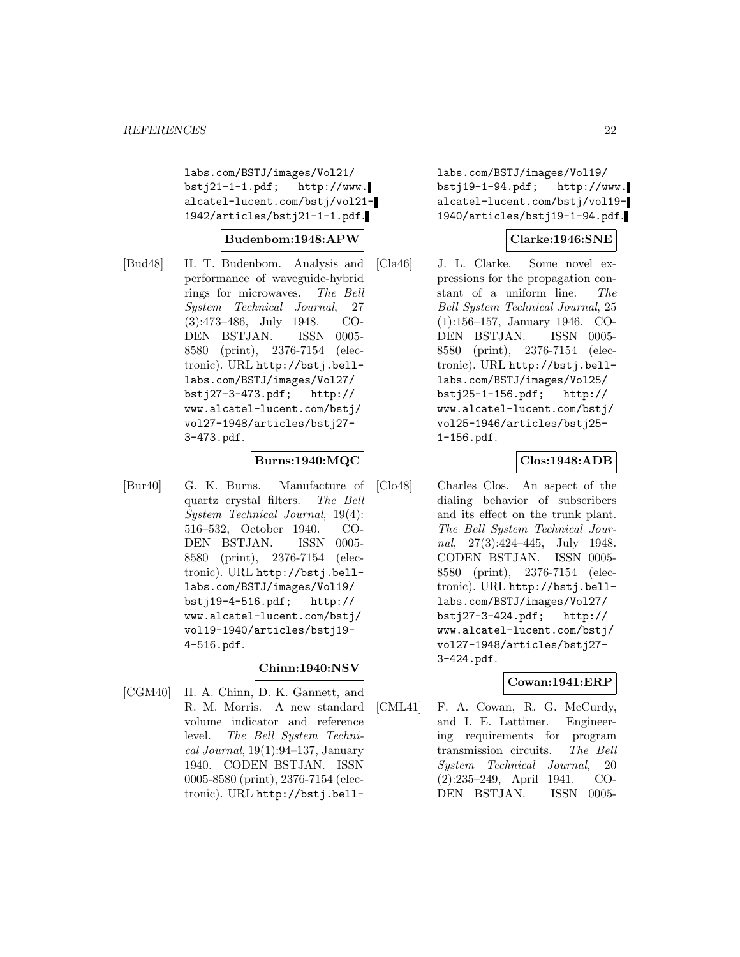labs.com/BSTJ/images/Vol21/  $bstj21-1-1.pdf;$  http://www. alcatel-lucent.com/bstj/vol21- 1942/articles/bstj21-1-1.pdf.

#### **Budenbom:1948:APW**

[Bud48] H. T. Budenbom. Analysis and performance of waveguide-hybrid rings for microwaves. The Bell System Technical Journal, 27 (3):473–486, July 1948. CO-DEN BSTJAN. ISSN 0005- 8580 (print), 2376-7154 (electronic). URL http://bstj.belllabs.com/BSTJ/images/Vol27/ bstj27-3-473.pdf; http:// www.alcatel-lucent.com/bstj/ vol27-1948/articles/bstj27- 3-473.pdf.

# **Burns:1940:MQC**

[Bur40] G. K. Burns. Manufacture of quartz crystal filters. The Bell System Technical Journal, 19(4): 516–532, October 1940. CO-DEN BSTJAN. ISSN 0005- 8580 (print), 2376-7154 (electronic). URL http://bstj.belllabs.com/BSTJ/images/Vol19/ bstj19-4-516.pdf; http:// www.alcatel-lucent.com/bstj/ vol19-1940/articles/bstj19- 4-516.pdf.

# **Chinn:1940:NSV**

[CGM40] H. A. Chinn, D. K. Gannett, and R. M. Morris. A new standard volume indicator and reference level. The Bell System Technical Journal, 19(1):94–137, January 1940. CODEN BSTJAN. ISSN 0005-8580 (print), 2376-7154 (electronic). URL http://bstj.belllabs.com/BSTJ/images/Vol19/ bstj19-1-94.pdf; http://www. alcatel-lucent.com/bstj/vol19- 1940/articles/bstj19-1-94.pdf.

#### **Clarke:1946:SNE**

[Cla46] J. L. Clarke. Some novel expressions for the propagation constant of a uniform line. The Bell System Technical Journal, 25 (1):156–157, January 1946. CO-DEN BSTJAN. ISSN 0005- 8580 (print), 2376-7154 (electronic). URL http://bstj.belllabs.com/BSTJ/images/Vol25/ bstj25-1-156.pdf; http:// www.alcatel-lucent.com/bstj/ vol25-1946/articles/bstj25- 1-156.pdf.

#### **Clos:1948:ADB**

[Clo48] Charles Clos. An aspect of the dialing behavior of subscribers and its effect on the trunk plant. The Bell System Technical Journal, 27(3):424–445, July 1948. CODEN BSTJAN. ISSN 0005- 8580 (print), 2376-7154 (electronic). URL http://bstj.belllabs.com/BSTJ/images/Vol27/ bstj27-3-424.pdf; http:// www.alcatel-lucent.com/bstj/ vol27-1948/articles/bstj27- 3-424.pdf.

#### **Cowan:1941:ERP**

[CML41] F. A. Cowan, R. G. McCurdy, and I. E. Lattimer. Engineering requirements for program transmission circuits. The Bell System Technical Journal, 20 (2):235–249, April 1941. CO-DEN BSTJAN. ISSN 0005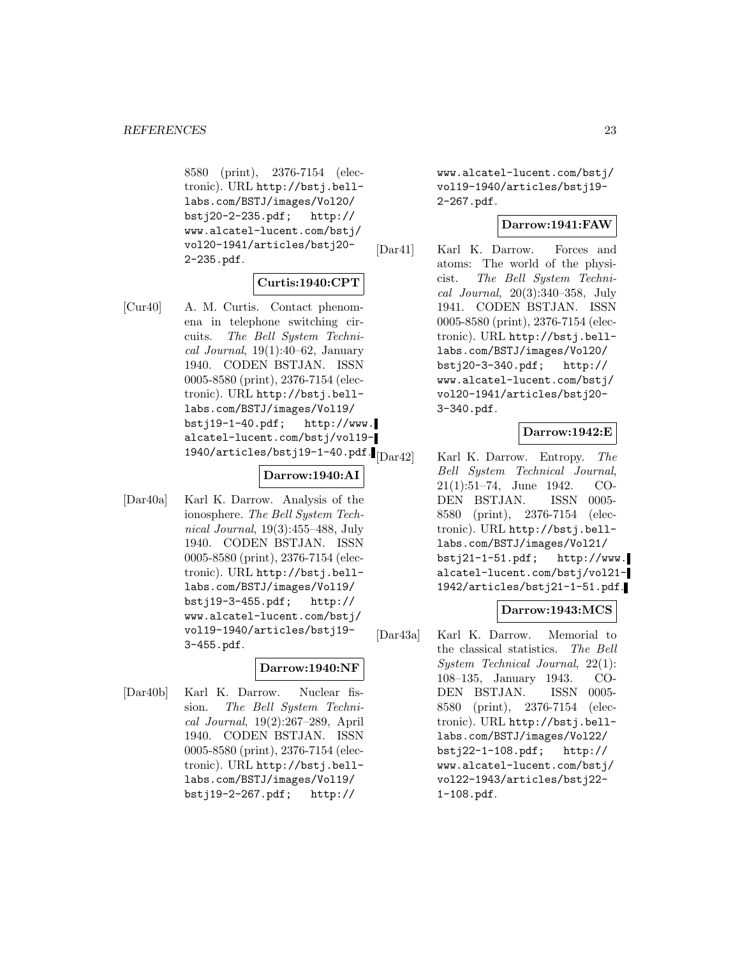8580 (print), 2376-7154 (electronic). URL http://bstj.belllabs.com/BSTJ/images/Vol20/ bstj20-2-235.pdf; http:// www.alcatel-lucent.com/bstj/ vol20-1941/articles/bstj20- 2-235.pdf.

# **Curtis:1940:CPT**

[Cur40] A. M. Curtis. Contact phenomena in telephone switching circuits. The Bell System Technical Journal,  $19(1):40-62$ , January 1940. CODEN BSTJAN. ISSN 0005-8580 (print), 2376-7154 (electronic). URL http://bstj.belllabs.com/BSTJ/images/Vol19/ bstj19-1-40.pdf; http://www. alcatel-lucent.com/bstj/vol19- 1940/articles/bstj19-1-40.pdf.  $\vert$ [Dar42]

#### **Darrow:1940:AI**

[Dar40a] Karl K. Darrow. Analysis of the ionosphere. The Bell System Technical Journal, 19(3):455–488, July 1940. CODEN BSTJAN. ISSN 0005-8580 (print), 2376-7154 (electronic). URL http://bstj.belllabs.com/BSTJ/images/Vol19/ bstj19-3-455.pdf; http:// www.alcatel-lucent.com/bstj/ vol19-1940/articles/bstj19- 3-455.pdf.

# **Darrow:1940:NF**

[Dar40b] Karl K. Darrow. Nuclear fission. The Bell System Technical Journal, 19(2):267–289, April 1940. CODEN BSTJAN. ISSN 0005-8580 (print), 2376-7154 (electronic). URL http://bstj.belllabs.com/BSTJ/images/Vol19/ bstj19-2-267.pdf; http://

www.alcatel-lucent.com/bstj/ vol19-1940/articles/bstj19- 2-267.pdf.

### **Darrow:1941:FAW**

[Dar41] Karl K. Darrow. Forces and atoms: The world of the physicist. The Bell System Technical Journal, 20(3):340–358, July 1941. CODEN BSTJAN. ISSN 0005-8580 (print), 2376-7154 (electronic). URL http://bstj.belllabs.com/BSTJ/images/Vol20/ bstj20-3-340.pdf; http:// www.alcatel-lucent.com/bstj/ vol20-1941/articles/bstj20- 3-340.pdf.

# **Darrow:1942:E**

Karl K. Darrow. Entropy. The Bell System Technical Journal, 21(1):51–74, June 1942. CO-DEN BSTJAN. ISSN 0005- 8580 (print), 2376-7154 (electronic). URL http://bstj.belllabs.com/BSTJ/images/Vol21/ bstj21-1-51.pdf; http://www. alcatel-lucent.com/bstj/vol21- 1942/articles/bstj21-1-51.pdf.

#### **Darrow:1943:MCS**

[Dar43a] Karl K. Darrow. Memorial to the classical statistics. The Bell System Technical Journal, 22(1): 108–135, January 1943. CO-DEN BSTJAN. ISSN 0005- 8580 (print), 2376-7154 (electronic). URL http://bstj.belllabs.com/BSTJ/images/Vol22/ bstj22-1-108.pdf; http:// www.alcatel-lucent.com/bstj/ vol22-1943/articles/bstj22- 1-108.pdf.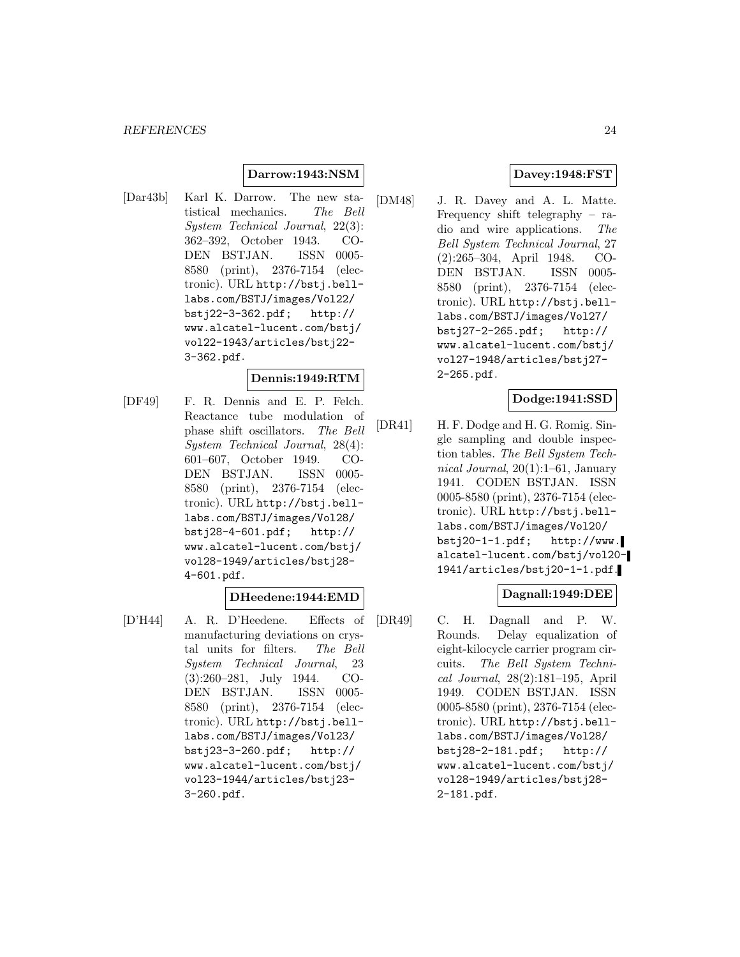#### **Darrow:1943:NSM**

[Dar43b] Karl K. Darrow. The new statistical mechanics. The Bell System Technical Journal, 22(3): 362–392, October 1943. CO-DEN BSTJAN. ISSN 0005- 8580 (print), 2376-7154 (electronic). URL http://bstj.belllabs.com/BSTJ/images/Vol22/ bstj22-3-362.pdf; http:// www.alcatel-lucent.com/bstj/ vol22-1943/articles/bstj22- 3-362.pdf.

#### **Dennis:1949:RTM**

[DF49] F. R. Dennis and E. P. Felch. Reactance tube modulation of phase shift oscillators. The Bell System Technical Journal, 28(4): 601–607, October 1949. CO-DEN BSTJAN. ISSN 0005- 8580 (print), 2376-7154 (electronic). URL http://bstj.belllabs.com/BSTJ/images/Vol28/ bstj28-4-601.pdf; http:// www.alcatel-lucent.com/bstj/ vol28-1949/articles/bstj28- 4-601.pdf.

#### **DHeedene:1944:EMD**

[D'H44] A. R. D'Heedene. Effects of manufacturing deviations on crystal units for filters. The Bell System Technical Journal, 23 (3):260–281, July 1944. CO-DEN BSTJAN. ISSN 0005- 8580 (print), 2376-7154 (electronic). URL http://bstj.belllabs.com/BSTJ/images/Vol23/ bstj23-3-260.pdf; http:// www.alcatel-lucent.com/bstj/ vol23-1944/articles/bstj23- 3-260.pdf.

# **Davey:1948:FST**

[DM48] J. R. Davey and A. L. Matte. Frequency shift telegraphy – radio and wire applications. The Bell System Technical Journal, 27 (2):265–304, April 1948. CO-DEN BSTJAN. ISSN 0005- 8580 (print), 2376-7154 (electronic). URL http://bstj.belllabs.com/BSTJ/images/Vol27/ bstj27-2-265.pdf; http:// www.alcatel-lucent.com/bstj/ vol27-1948/articles/bstj27- 2-265.pdf.

# **Dodge:1941:SSD**

[DR41] H. F. Dodge and H. G. Romig. Single sampling and double inspection tables. The Bell System Technical Journal, 20(1):1–61, January 1941. CODEN BSTJAN. ISSN 0005-8580 (print), 2376-7154 (electronic). URL http://bstj.belllabs.com/BSTJ/images/Vol20/  $bstj20-1-1.pdf;$  http://www. alcatel-lucent.com/bstj/vol20- 1941/articles/bstj20-1-1.pdf.

# **Dagnall:1949:DEE**

[DR49] C. H. Dagnall and P. W. Rounds. Delay equalization of eight-kilocycle carrier program circuits. The Bell System Technical Journal, 28(2):181–195, April 1949. CODEN BSTJAN. ISSN 0005-8580 (print), 2376-7154 (electronic). URL http://bstj.belllabs.com/BSTJ/images/Vol28/<br>bstj28-2-181.pdf; http://  $bstj28-2-181.pdf;$ www.alcatel-lucent.com/bstj/ vol28-1949/articles/bstj28- 2-181.pdf.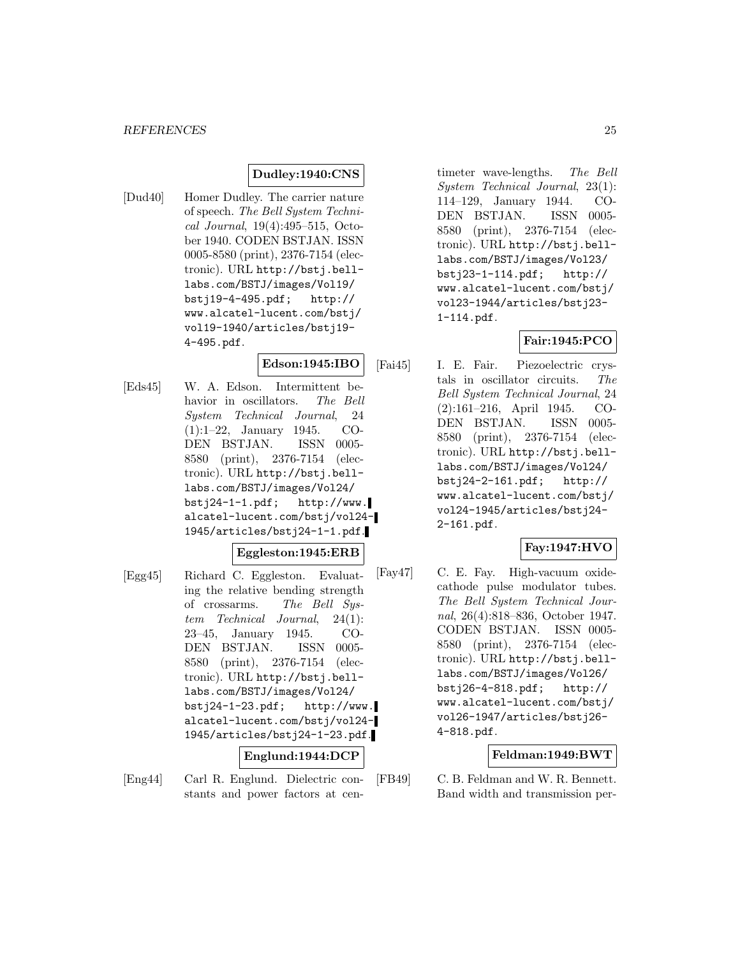# **Dudley:1940:CNS**

[Dud40] Homer Dudley. The carrier nature of speech. The Bell System Technical Journal, 19(4):495–515, October 1940. CODEN BSTJAN. ISSN 0005-8580 (print), 2376-7154 (electronic). URL http://bstj.belllabs.com/BSTJ/images/Vol19/ bstj19-4-495.pdf; http:// www.alcatel-lucent.com/bstj/ vol19-1940/articles/bstj19- 4-495.pdf.

#### **Edson:1945:IBO**

[Eds45] W. A. Edson. Intermittent behavior in oscillators. The Bell System Technical Journal, 24 (1):1–22, January 1945. CO-DEN BSTJAN. ISSN 0005- 8580 (print), 2376-7154 (electronic). URL http://bstj.belllabs.com/BSTJ/images/Vol24/ bstj24-1-1.pdf; http://www. alcatel-lucent.com/bstj/vol24- 1945/articles/bstj24-1-1.pdf.

# **Eggleston:1945:ERB**

[Egg45] Richard C. Eggleston. Evaluating the relative bending strength of crossarms. The Bell System Technical Journal, 24(1): 23–45, January 1945. CO-DEN BSTJAN. ISSN 0005- 8580 (print), 2376-7154 (electronic). URL http://bstj.belllabs.com/BSTJ/images/Vol24/ bstj24-1-23.pdf; http://www. alcatel-lucent.com/bstj/vol24- 1945/articles/bstj24-1-23.pdf.

**Englund:1944:DCP**

[Eng44] Carl R. Englund. Dielectric constants and power factors at cen-

timeter wave-lengths. The Bell System Technical Journal, 23(1): 114–129, January 1944. CO-DEN BSTJAN. ISSN 0005- 8580 (print), 2376-7154 (electronic). URL http://bstj.belllabs.com/BSTJ/images/Vol23/ bstj23-1-114.pdf; http:// www.alcatel-lucent.com/bstj/ vol23-1944/articles/bstj23- 1-114.pdf.

# **Fair:1945:PCO**

[Fai45] I. E. Fair. Piezoelectric crystals in oscillator circuits. The Bell System Technical Journal, 24 (2):161–216, April 1945. CO-DEN BSTJAN. ISSN 0005- 8580 (print), 2376-7154 (electronic). URL http://bstj.belllabs.com/BSTJ/images/Vol24/ bstj24-2-161.pdf; http:// www.alcatel-lucent.com/bstj/ vol24-1945/articles/bstj24- 2-161.pdf.

# **Fay:1947:HVO**

[Fay47] C. E. Fay. High-vacuum oxidecathode pulse modulator tubes. The Bell System Technical Journal, 26(4):818–836, October 1947. CODEN BSTJAN. ISSN 0005- 8580 (print), 2376-7154 (electronic). URL http://bstj.belllabs.com/BSTJ/images/Vol26/ bstj26-4-818.pdf; http:// www.alcatel-lucent.com/bstj/ vol26-1947/articles/bstj26- 4-818.pdf.

#### **Feldman:1949:BWT**

[FB49] C. B. Feldman and W. R. Bennett. Band width and transmission per-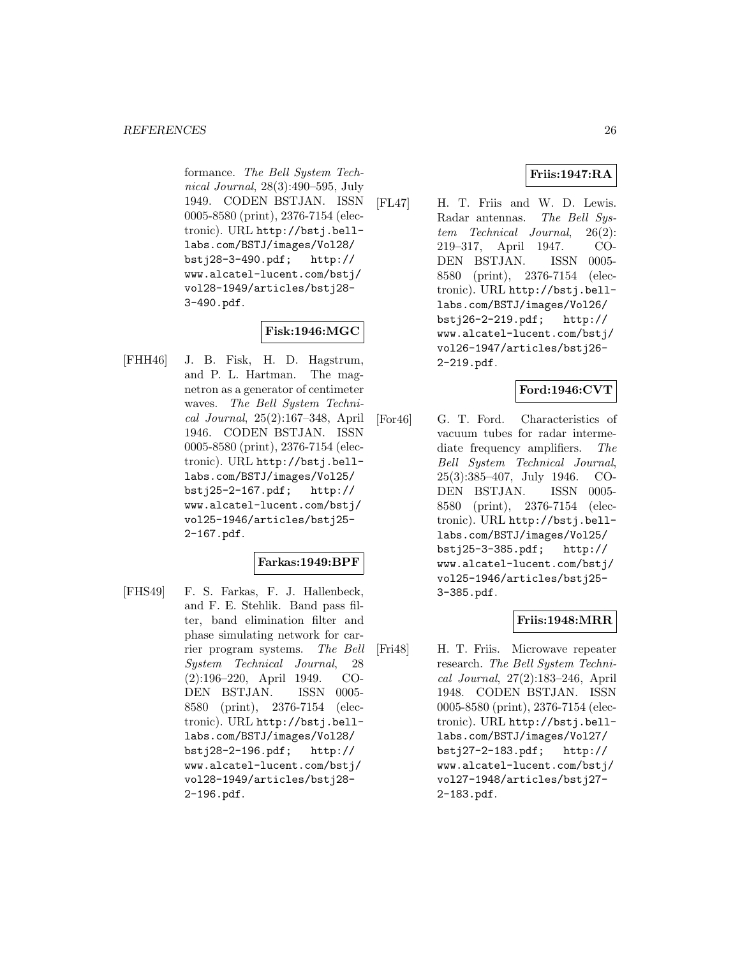formance. The Bell System Technical Journal, 28(3):490–595, July 1949. CODEN BSTJAN. ISSN 0005-8580 (print), 2376-7154 (electronic). URL http://bstj.belllabs.com/BSTJ/images/Vol28/ bstj28-3-490.pdf; http:// www.alcatel-lucent.com/bstj/ vol28-1949/articles/bstj28- 3-490.pdf.

# **Fisk:1946:MGC**

[FHH46] J. B. Fisk, H. D. Hagstrum, and P. L. Hartman. The magnetron as a generator of centimeter waves. The Bell System Technical Journal, 25(2):167–348, April 1946. CODEN BSTJAN. ISSN 0005-8580 (print), 2376-7154 (electronic). URL http://bstj.belllabs.com/BSTJ/images/Vol25/ bstj25-2-167.pdf; http:// www.alcatel-lucent.com/bstj/ vol25-1946/articles/bstj25- 2-167.pdf.

# **Farkas:1949:BPF**

[FHS49] F. S. Farkas, F. J. Hallenbeck, and F. E. Stehlik. Band pass filter, band elimination filter and phase simulating network for carrier program systems. The Bell System Technical Journal, 28 (2):196–220, April 1949. CO-DEN BSTJAN. ISSN 0005- 8580 (print), 2376-7154 (electronic). URL http://bstj.belllabs.com/BSTJ/images/Vol28/ bstj28-2-196.pdf; http:// www.alcatel-lucent.com/bstj/ vol28-1949/articles/bstj28- 2-196.pdf.

# **Friis:1947:RA**

[FL47] H. T. Friis and W. D. Lewis. Radar antennas. The Bell System Technical Journal, 26(2): 219–317, April 1947. CO-DEN BSTJAN. ISSN 0005- 8580 (print), 2376-7154 (electronic). URL http://bstj.belllabs.com/BSTJ/images/Vol26/ bstj26-2-219.pdf; http:// www.alcatel-lucent.com/bstj/ vol26-1947/articles/bstj26- 2-219.pdf.

# **Ford:1946:CVT**

[For46] G. T. Ford. Characteristics of vacuum tubes for radar intermediate frequency amplifiers. The Bell System Technical Journal, 25(3):385–407, July 1946. CO-DEN BSTJAN. ISSN 0005- 8580 (print), 2376-7154 (electronic). URL http://bstj.belllabs.com/BSTJ/images/Vol25/ bstj25-3-385.pdf; http:// www.alcatel-lucent.com/bstj/ vol25-1946/articles/bstj25- 3-385.pdf.

# **Friis:1948:MRR**

[Fri48] H. T. Friis. Microwave repeater research. The Bell System Technical Journal, 27(2):183–246, April 1948. CODEN BSTJAN. ISSN 0005-8580 (print), 2376-7154 (electronic). URL http://bstj.belllabs.com/BSTJ/images/Vol27/ bstj27-2-183.pdf; http:// www.alcatel-lucent.com/bstj/ vol27-1948/articles/bstj27- 2-183.pdf.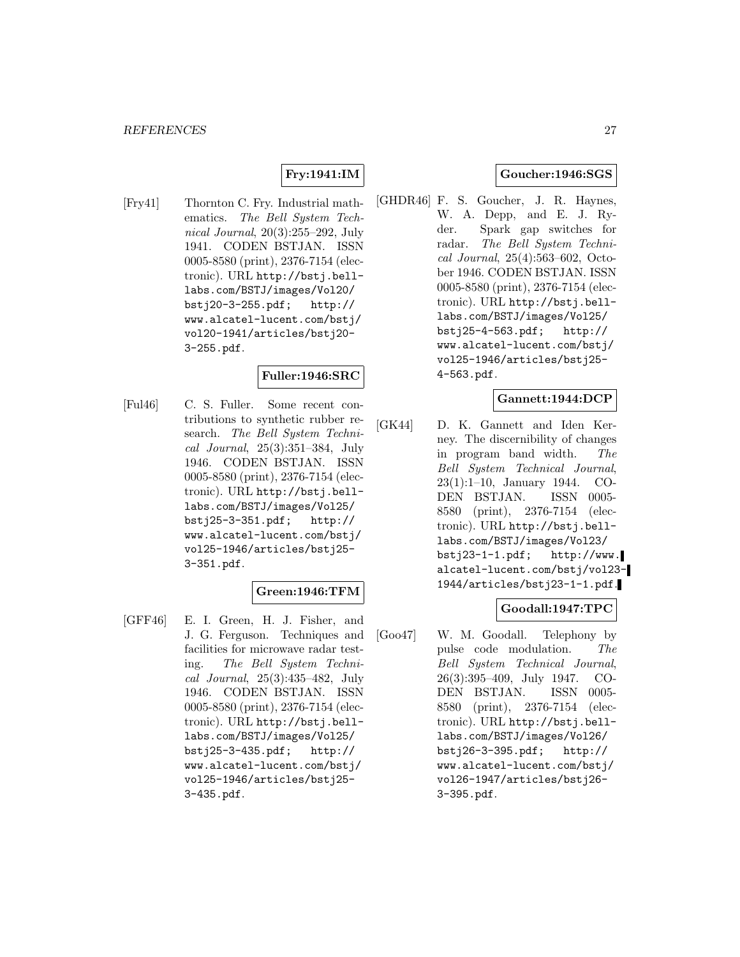# **Fry:1941:IM**

[Fry41] Thornton C. Fry. Industrial mathematics. The Bell System Technical Journal, 20(3):255–292, July 1941. CODEN BSTJAN. ISSN 0005-8580 (print), 2376-7154 (electronic). URL http://bstj.belllabs.com/BSTJ/images/Vol20/ bstj20-3-255.pdf; http:// www.alcatel-lucent.com/bstj/ vol20-1941/articles/bstj20- 3-255.pdf.

#### **Fuller:1946:SRC**

[Ful46] C. S. Fuller. Some recent contributions to synthetic rubber research. The Bell System Technical Journal, 25(3):351–384, July 1946. CODEN BSTJAN. ISSN 0005-8580 (print), 2376-7154 (electronic). URL http://bstj.belllabs.com/BSTJ/images/Vol25/ bstj25-3-351.pdf; http:// www.alcatel-lucent.com/bstj/ vol25-1946/articles/bstj25- 3-351.pdf.

#### **Green:1946:TFM**

[GFF46] E. I. Green, H. J. Fisher, and J. G. Ferguson. Techniques and facilities for microwave radar testing. The Bell System Technical Journal, 25(3):435–482, July 1946. CODEN BSTJAN. ISSN 0005-8580 (print), 2376-7154 (electronic). URL http://bstj.belllabs.com/BSTJ/images/Vol25/ bstj25-3-435.pdf; http:// www.alcatel-lucent.com/bstj/ vol25-1946/articles/bstj25- 3-435.pdf.

# **Goucher:1946:SGS**

[GHDR46] F. S. Goucher, J. R. Haynes, W. A. Depp, and E. J. Ryder. Spark gap switches for radar. The Bell System Technical Journal, 25(4):563–602, October 1946. CODEN BSTJAN. ISSN 0005-8580 (print), 2376-7154 (electronic). URL http://bstj.belllabs.com/BSTJ/images/Vol25/ bstj25-4-563.pdf; http:// www.alcatel-lucent.com/bstj/ vol25-1946/articles/bstj25- 4-563.pdf.

# **Gannett:1944:DCP**

[GK44] D. K. Gannett and Iden Kerney. The discernibility of changes in program band width. The Bell System Technical Journal, 23(1):1–10, January 1944. CO-DEN BSTJAN. ISSN 0005- 8580 (print), 2376-7154 (electronic). URL http://bstj.belllabs.com/BSTJ/images/Vol23/ bstj23-1-1.pdf; http://www. alcatel-lucent.com/bstj/vol23- 1944/articles/bstj23-1-1.pdf.

#### **Goodall:1947:TPC**

[Goo47] W. M. Goodall. Telephony by pulse code modulation. The Bell System Technical Journal, 26(3):395–409, July 1947. CO-DEN BSTJAN. ISSN 0005- 8580 (print), 2376-7154 (electronic). URL http://bstj.belllabs.com/BSTJ/images/Vol26/<br>bstj26-3-395.pdf; http://  $bstj26-3-395.pdf;$ www.alcatel-lucent.com/bstj/ vol26-1947/articles/bstj26- 3-395.pdf.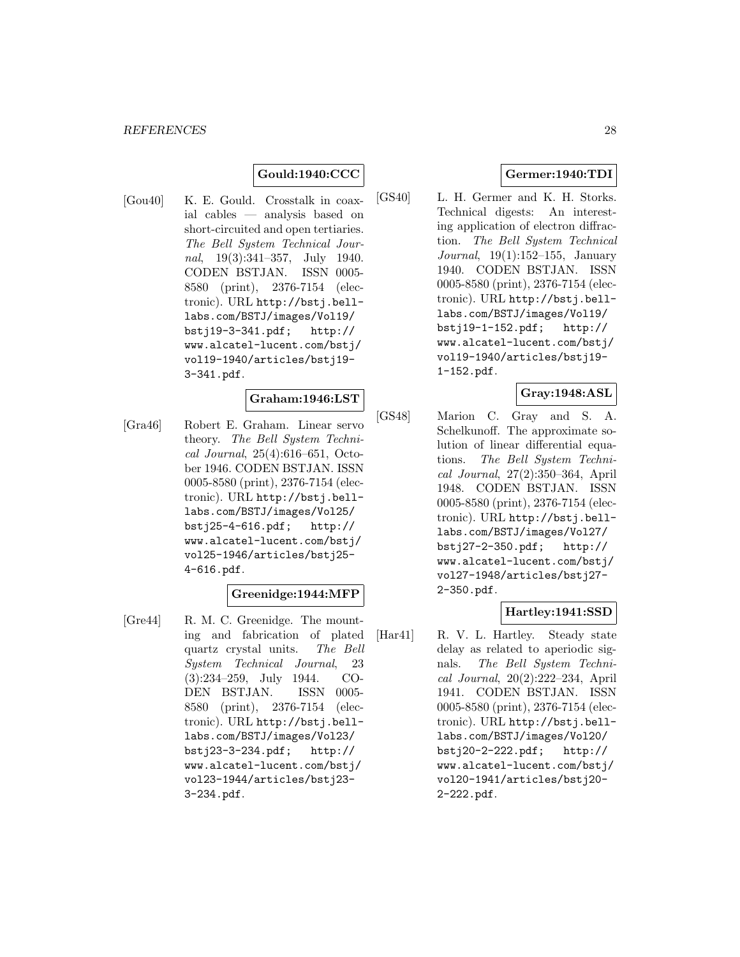#### **Gould:1940:CCC**

[Gou40] K. E. Gould. Crosstalk in coaxial cables — analysis based on short-circuited and open tertiaries. The Bell System Technical Journal, 19(3):341–357, July 1940. CODEN BSTJAN. ISSN 0005- 8580 (print), 2376-7154 (electronic). URL http://bstj.belllabs.com/BSTJ/images/Vol19/ bstj19-3-341.pdf; http:// www.alcatel-lucent.com/bstj/ vol19-1940/articles/bstj19- 3-341.pdf.

#### **Graham:1946:LST**

[Gra46] Robert E. Graham. Linear servo theory. The Bell System Technical Journal, 25(4):616–651, October 1946. CODEN BSTJAN. ISSN 0005-8580 (print), 2376-7154 (electronic). URL http://bstj.belllabs.com/BSTJ/images/Vol25/ bstj25-4-616.pdf; http:// www.alcatel-lucent.com/bstj/ vol25-1946/articles/bstj25- 4-616.pdf.

# **Greenidge:1944:MFP**

[Gre44] R. M. C. Greenidge. The mounting and fabrication of plated quartz crystal units. The Bell System Technical Journal, 23 (3):234–259, July 1944. CO-DEN BSTJAN. ISSN 0005- 8580 (print), 2376-7154 (electronic). URL http://bstj.belllabs.com/BSTJ/images/Vol23/ bstj23-3-234.pdf; http:// www.alcatel-lucent.com/bstj/ vol23-1944/articles/bstj23- 3-234.pdf.

# **Germer:1940:TDI**

[GS40] L. H. Germer and K. H. Storks. Technical digests: An interesting application of electron diffraction. The Bell System Technical Journal, 19(1):152–155, January 1940. CODEN BSTJAN. ISSN 0005-8580 (print), 2376-7154 (electronic). URL http://bstj.belllabs.com/BSTJ/images/Vol19/ bstj19-1-152.pdf; http:// www.alcatel-lucent.com/bstj/ vol19-1940/articles/bstj19- 1-152.pdf.

# **Gray:1948:ASL**

[GS48] Marion C. Gray and S. A. Schelkunoff. The approximate solution of linear differential equations. The Bell System Technical Journal, 27(2):350–364, April 1948. CODEN BSTJAN. ISSN 0005-8580 (print), 2376-7154 (electronic). URL http://bstj.belllabs.com/BSTJ/images/Vol27/ bstj27-2-350.pdf; http:// www.alcatel-lucent.com/bstj/ vol27-1948/articles/bstj27- 2-350.pdf.

# **Hartley:1941:SSD**

[Har41] R. V. L. Hartley. Steady state delay as related to aperiodic signals. The Bell System Technical Journal, 20(2):222–234, April 1941. CODEN BSTJAN. ISSN 0005-8580 (print), 2376-7154 (electronic). URL http://bstj.belllabs.com/BSTJ/images/Vol20/ bstj20-2-222.pdf; http:// www.alcatel-lucent.com/bstj/ vol20-1941/articles/bstj20- 2-222.pdf.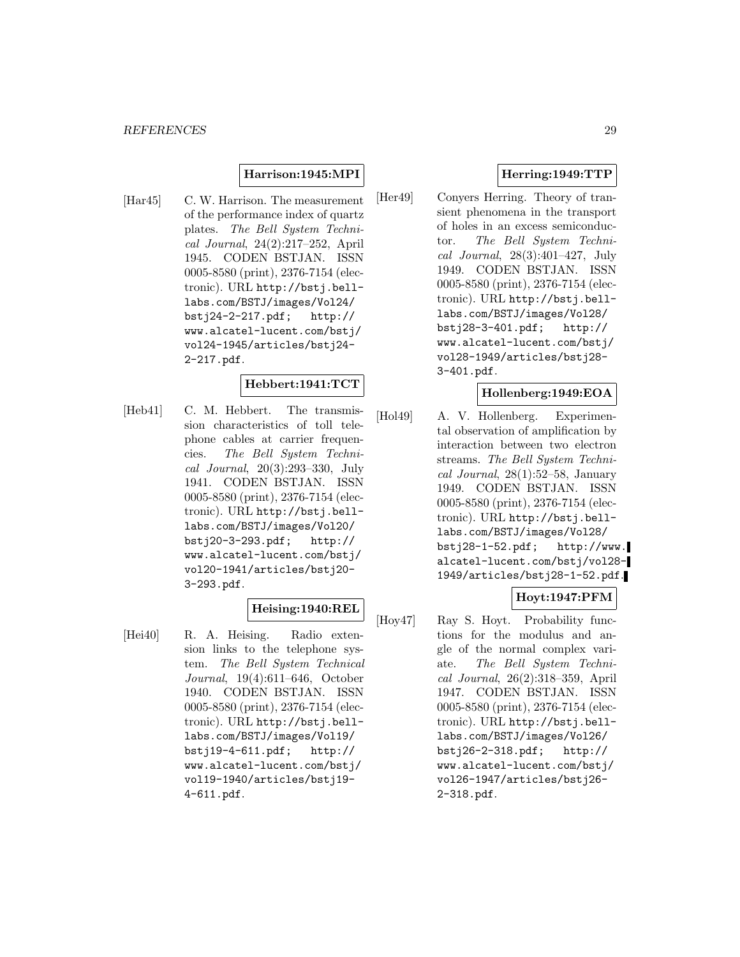# **Harrison:1945:MPI**

[Har45] C. W. Harrison. The measurement of the performance index of quartz plates. The Bell System Technical Journal, 24(2):217–252, April 1945. CODEN BSTJAN. ISSN 0005-8580 (print), 2376-7154 (electronic). URL http://bstj.belllabs.com/BSTJ/images/Vol24/ bstj24-2-217.pdf; http:// www.alcatel-lucent.com/bstj/ vol24-1945/articles/bstj24- 2-217.pdf.

#### **Hebbert:1941:TCT**

[Heb41] C. M. Hebbert. The transmission characteristics of toll telephone cables at carrier frequencies. The Bell System Technical Journal, 20(3):293–330, July 1941. CODEN BSTJAN. ISSN 0005-8580 (print), 2376-7154 (electronic). URL http://bstj.belllabs.com/BSTJ/images/Vol20/ bstj20-3-293.pdf; http:// www.alcatel-lucent.com/bstj/ vol20-1941/articles/bstj20- 3-293.pdf.

#### **Heising:1940:REL**

[Hei40] R. A. Heising. Radio extension links to the telephone system. The Bell System Technical Journal, 19(4):611–646, October 1940. CODEN BSTJAN. ISSN 0005-8580 (print), 2376-7154 (electronic). URL http://bstj.belllabs.com/BSTJ/images/Vol19/ bstj19-4-611.pdf; http:// www.alcatel-lucent.com/bstj/ vol19-1940/articles/bstj19- 4-611.pdf.

# **Herring:1949:TTP**

[Her49] Conyers Herring. Theory of transient phenomena in the transport of holes in an excess semiconductor. The Bell System Technical Journal, 28(3):401–427, July 1949. CODEN BSTJAN. ISSN 0005-8580 (print), 2376-7154 (electronic). URL http://bstj.belllabs.com/BSTJ/images/Vol28/ bstj28-3-401.pdf; http:// www.alcatel-lucent.com/bstj/ vol28-1949/articles/bstj28- 3-401.pdf.

#### **Hollenberg:1949:EOA**

[Hol49] A. V. Hollenberg. Experimental observation of amplification by interaction between two electron streams. The Bell System Technical Journal,  $28(1):52-58$ , January 1949. CODEN BSTJAN. ISSN 0005-8580 (print), 2376-7154 (electronic). URL http://bstj.belllabs.com/BSTJ/images/Vol28/ bstj28-1-52.pdf; http://www. alcatel-lucent.com/bstj/vol28- 1949/articles/bstj28-1-52.pdf.

# **Hoyt:1947:PFM**

[Hoy47] Ray S. Hoyt. Probability functions for the modulus and angle of the normal complex variate. The Bell System Technical Journal, 26(2):318–359, April 1947. CODEN BSTJAN. ISSN 0005-8580 (print), 2376-7154 (electronic). URL http://bstj.belllabs.com/BSTJ/images/Vol26/<br>bstj26-2-318.pdf; http://  $bstj26-2-318.pdf;$ www.alcatel-lucent.com/bstj/ vol26-1947/articles/bstj26- 2-318.pdf.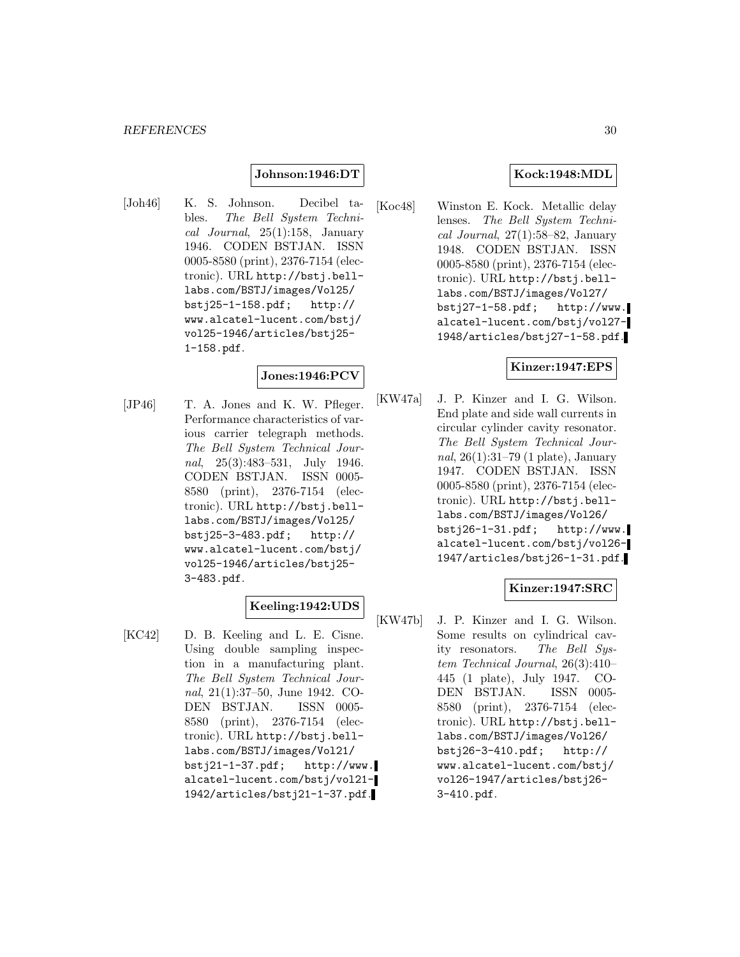#### **Johnson:1946:DT**

[Joh46] K. S. Johnson. Decibel tables. The Bell System Technical Journal, 25(1):158, January 1946. CODEN BSTJAN. ISSN 0005-8580 (print), 2376-7154 (electronic). URL http://bstj.belllabs.com/BSTJ/images/Vol25/ bstj25-1-158.pdf; http:// www.alcatel-lucent.com/bstj/ vol25-1946/articles/bstj25- 1-158.pdf.

# **Jones:1946:PCV**

[JP46] T. A. Jones and K. W. Pfleger. Performance characteristics of various carrier telegraph methods. The Bell System Technical Journal, 25(3):483–531, July 1946. CODEN BSTJAN. ISSN 0005- 8580 (print), 2376-7154 (electronic). URL http://bstj.belllabs.com/BSTJ/images/Vol25/ bstj25-3-483.pdf; http:// www.alcatel-lucent.com/bstj/ vol25-1946/articles/bstj25- 3-483.pdf.

#### **Keeling:1942:UDS**

[KC42] D. B. Keeling and L. E. Cisne. Using double sampling inspection in a manufacturing plant. The Bell System Technical Journal, 21(1):37–50, June 1942. CO-DEN BSTJAN. ISSN 0005- 8580 (print), 2376-7154 (electronic). URL http://bstj.belllabs.com/BSTJ/images/Vol21/ bstj21-1-37.pdf; http://www. alcatel-lucent.com/bstj/vol21- 1942/articles/bstj21-1-37.pdf.

#### **Kock:1948:MDL**

[Koc48] Winston E. Kock. Metallic delay lenses. The Bell System Technical Journal,  $27(1):58-82$ , January 1948. CODEN BSTJAN. ISSN 0005-8580 (print), 2376-7154 (electronic). URL http://bstj.belllabs.com/BSTJ/images/Vol27/ bstj27-1-58.pdf; http://www. alcatel-lucent.com/bstj/vol27- 1948/articles/bstj27-1-58.pdf.

#### **Kinzer:1947:EPS**

[KW47a] J. P. Kinzer and I. G. Wilson. End plate and side wall currents in circular cylinder cavity resonator. The Bell System Technical Journal, 26(1):31–79 (1 plate), January 1947. CODEN BSTJAN. ISSN 0005-8580 (print), 2376-7154 (electronic). URL http://bstj.belllabs.com/BSTJ/images/Vol26/ bstj26-1-31.pdf; http://www. alcatel-lucent.com/bstj/vol26- 1947/articles/bstj26-1-31.pdf.

#### **Kinzer:1947:SRC**

[KW47b] J. P. Kinzer and I. G. Wilson. Some results on cylindrical cavity resonators. The Bell System Technical Journal, 26(3):410– 445 (1 plate), July 1947. CO-DEN BSTJAN. ISSN 0005- 8580 (print), 2376-7154 (electronic). URL http://bstj.belllabs.com/BSTJ/images/Vol26/<br>bstj26-3-410.pdf; http://  $bstj26-3-410.pdf;$ www.alcatel-lucent.com/bstj/ vol26-1947/articles/bstj26- 3-410.pdf.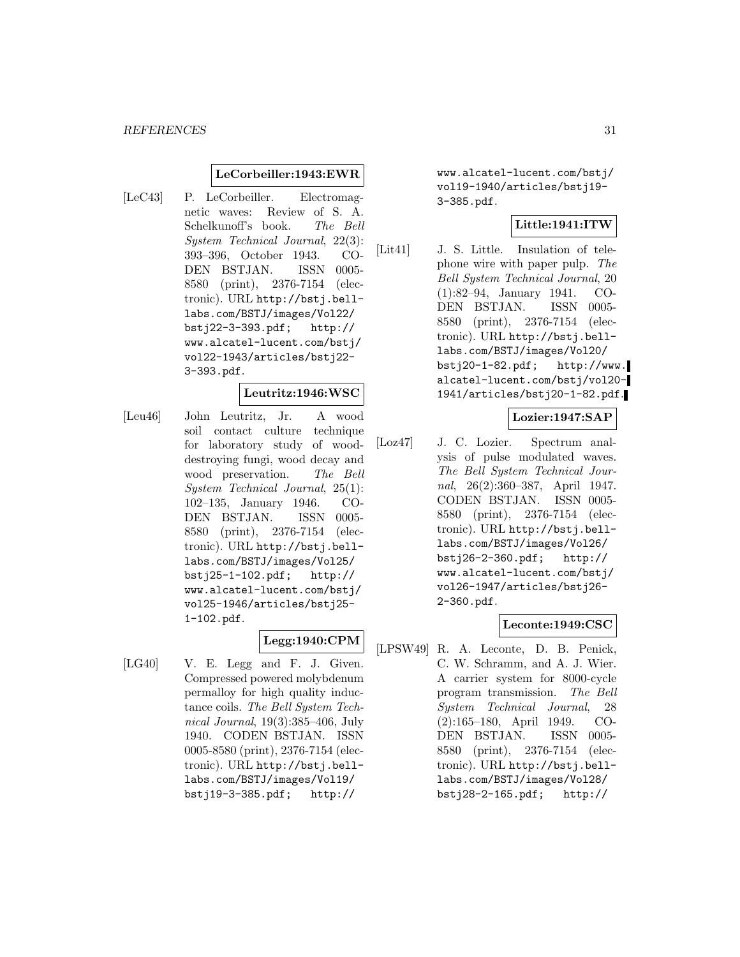#### **LeCorbeiller:1943:EWR**

[LeC43] P. LeCorbeiller. Electromagnetic waves: Review of S. A. Schelkunoff's book. The Bell System Technical Journal, 22(3): 393–396, October 1943. CO-DEN BSTJAN. ISSN 0005- 8580 (print), 2376-7154 (electronic). URL http://bstj.belllabs.com/BSTJ/images/Vol22/ bstj22-3-393.pdf; http:// www.alcatel-lucent.com/bstj/ vol22-1943/articles/bstj22- 3-393.pdf.

#### **Leutritz:1946:WSC**

[Leu46] John Leutritz, Jr. A wood soil contact culture technique for laboratory study of wooddestroying fungi, wood decay and wood preservation. The Bell System Technical Journal, 25(1): 102–135, January 1946. CO-DEN BSTJAN. ISSN 0005- 8580 (print), 2376-7154 (electronic). URL http://bstj.belllabs.com/BSTJ/images/Vol25/ bstj25-1-102.pdf; http:// www.alcatel-lucent.com/bstj/ vol25-1946/articles/bstj25- 1-102.pdf.

#### **Legg:1940:CPM**

[LG40] V. E. Legg and F. J. Given. Compressed powered molybdenum permalloy for high quality inductance coils. The Bell System Technical Journal, 19(3):385–406, July 1940. CODEN BSTJAN. ISSN 0005-8580 (print), 2376-7154 (electronic). URL http://bstj.belllabs.com/BSTJ/images/Vol19/ bstj19-3-385.pdf; http://

www.alcatel-lucent.com/bstj/ vol19-1940/articles/bstj19- 3-385.pdf.

#### **Little:1941:ITW**

[Lit41] J. S. Little. Insulation of telephone wire with paper pulp. The Bell System Technical Journal, 20 (1):82–94, January 1941. CO-DEN BSTJAN. ISSN 0005- 8580 (print), 2376-7154 (electronic). URL http://bstj.belllabs.com/BSTJ/images/Vol20/ bstj20-1-82.pdf; http://www. alcatel-lucent.com/bstj/vol20- 1941/articles/bstj20-1-82.pdf.

# **Lozier:1947:SAP**

[Loz47] J. C. Lozier. Spectrum analysis of pulse modulated waves. The Bell System Technical Journal, 26(2):360–387, April 1947. CODEN BSTJAN. ISSN 0005- 8580 (print), 2376-7154 (electronic). URL http://bstj.belllabs.com/BSTJ/images/Vol26/ bstj26-2-360.pdf; http:// www.alcatel-lucent.com/bstj/ vol26-1947/articles/bstj26- 2-360.pdf.

#### **Leconte:1949:CSC**

[LPSW49] R. A. Leconte, D. B. Penick, C. W. Schramm, and A. J. Wier. A carrier system for 8000-cycle program transmission. The Bell System Technical Journal, 28 (2):165–180, April 1949. CO-DEN BSTJAN. ISSN 0005- 8580 (print), 2376-7154 (electronic). URL http://bstj.belllabs.com/BSTJ/images/Vol28/ bstj28-2-165.pdf; http://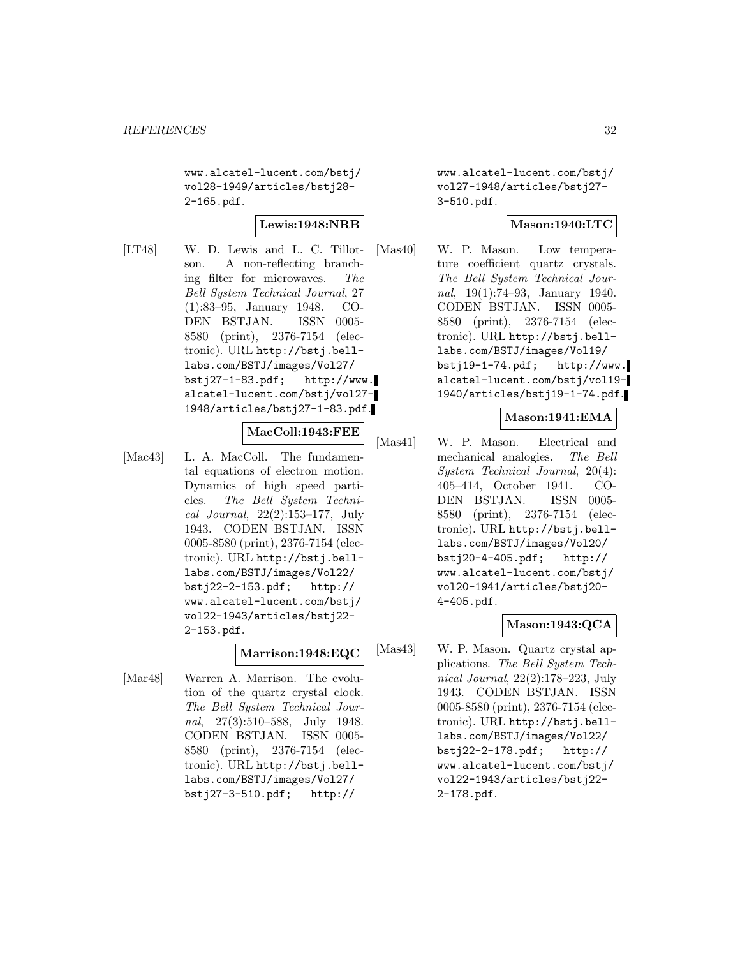www.alcatel-lucent.com/bstj/ vol28-1949/articles/bstj28- 2-165.pdf.

# **Lewis:1948:NRB**

[LT48] W. D. Lewis and L. C. Tillotson. A non-reflecting branching filter for microwaves. The Bell System Technical Journal, 27 (1):83–95, January 1948. CO-DEN BSTJAN. ISSN 0005- 8580 (print), 2376-7154 (electronic). URL http://bstj.belllabs.com/BSTJ/images/Vol27/ bstj27-1-83.pdf; http://www. alcatel-lucent.com/bstj/vol27- 1948/articles/bstj27-1-83.pdf.

#### **MacColl:1943:FEE**

[Mac43] L. A. MacColl. The fundamental equations of electron motion. Dynamics of high speed particles. The Bell System Technical Journal, 22(2):153–177, July 1943. CODEN BSTJAN. ISSN 0005-8580 (print), 2376-7154 (electronic). URL http://bstj.belllabs.com/BSTJ/images/Vol22/ bstj22-2-153.pdf; http:// www.alcatel-lucent.com/bstj/ vol22-1943/articles/bstj22- 2-153.pdf.

#### **Marrison:1948:EQC**

[Mar48] Warren A. Marrison. The evolution of the quartz crystal clock. The Bell System Technical Journal, 27(3):510–588, July 1948. CODEN BSTJAN. ISSN 0005- 8580 (print), 2376-7154 (electronic). URL http://bstj.belllabs.com/BSTJ/images/Vol27/ bstj27-3-510.pdf; http://

www.alcatel-lucent.com/bstj/ vol27-1948/articles/bstj27- 3-510.pdf.

#### **Mason:1940:LTC**

[Mas40] W. P. Mason. Low temperature coefficient quartz crystals. The Bell System Technical Journal, 19(1):74–93, January 1940. CODEN BSTJAN. ISSN 0005- 8580 (print), 2376-7154 (electronic). URL http://bstj.belllabs.com/BSTJ/images/Vol19/ bstj19-1-74.pdf; http://www. alcatel-lucent.com/bstj/vol19- 1940/articles/bstj19-1-74.pdf.

# **Mason:1941:EMA**

[Mas41] W. P. Mason. Electrical and mechanical analogies. The Bell System Technical Journal, 20(4): 405–414, October 1941. CO-DEN BSTJAN. ISSN 0005- 8580 (print), 2376-7154 (electronic). URL http://bstj.belllabs.com/BSTJ/images/Vol20/ bstj20-4-405.pdf; http:// www.alcatel-lucent.com/bstj/ vol20-1941/articles/bstj20- 4-405.pdf.

# **Mason:1943:QCA**

[Mas43] W. P. Mason. Quartz crystal applications. The Bell System Technical Journal, 22(2):178–223, July 1943. CODEN BSTJAN. ISSN 0005-8580 (print), 2376-7154 (electronic). URL http://bstj.belllabs.com/BSTJ/images/Vol22/<br>bstj22-2-178.pdf; http://  $bstj22-2-178.pdf;$ www.alcatel-lucent.com/bstj/ vol22-1943/articles/bstj22- 2-178.pdf.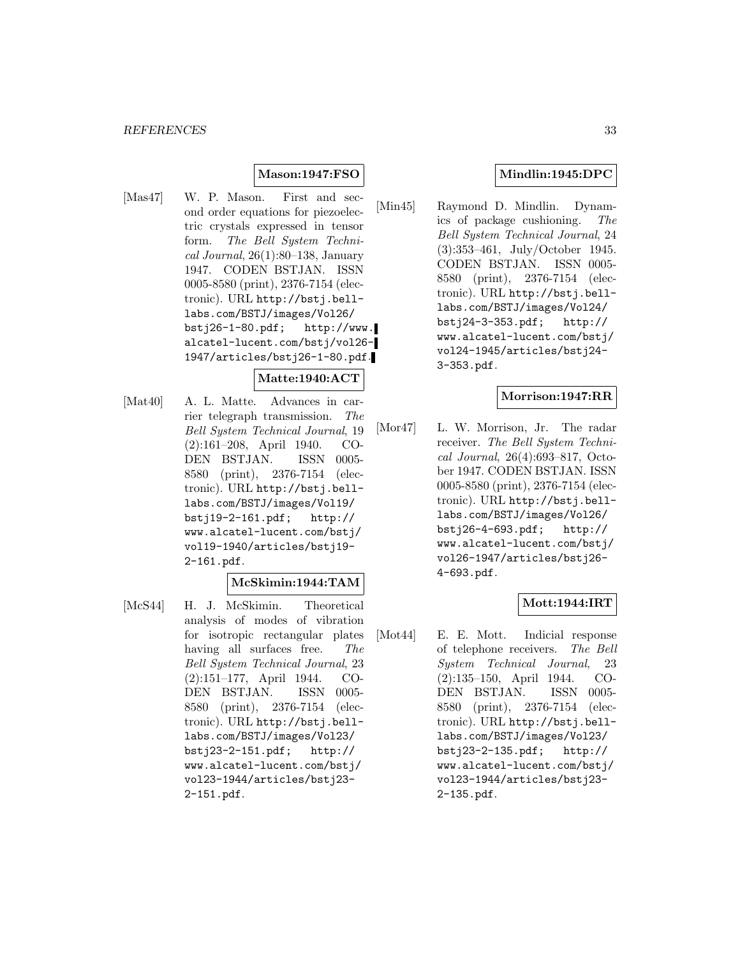# **Mason:1947:FSO**

[Mas47] W. P. Mason. First and second order equations for piezoelectric crystals expressed in tensor form. The Bell System Techni $cal Journal, 26(1):80-138, January$ 1947. CODEN BSTJAN. ISSN 0005-8580 (print), 2376-7154 (electronic). URL http://bstj.belllabs.com/BSTJ/images/Vol26/ bstj26-1-80.pdf; http://www. alcatel-lucent.com/bstj/vol26- 1947/articles/bstj26-1-80.pdf.

#### **Matte:1940:ACT**

[Mat40] A. L. Matte. Advances in carrier telegraph transmission. The Bell System Technical Journal, 19 (2):161–208, April 1940. CO-DEN BSTJAN. ISSN 0005- 8580 (print), 2376-7154 (electronic). URL http://bstj.belllabs.com/BSTJ/images/Vol19/ bstj19-2-161.pdf; http:// www.alcatel-lucent.com/bstj/ vol19-1940/articles/bstj19- 2-161.pdf.

#### **McSkimin:1944:TAM**

[McS44] H. J. McSkimin. Theoretical analysis of modes of vibration for isotropic rectangular plates having all surfaces free. The Bell System Technical Journal, 23 (2):151–177, April 1944. CO-DEN BSTJAN. ISSN 0005- 8580 (print), 2376-7154 (electronic). URL http://bstj.belllabs.com/BSTJ/images/Vol23/ bstj23-2-151.pdf; http:// www.alcatel-lucent.com/bstj/ vol23-1944/articles/bstj23- 2-151.pdf.

# **Mindlin:1945:DPC**

[Min45] Raymond D. Mindlin. Dynamics of package cushioning. The Bell System Technical Journal, 24 (3):353–461, July/October 1945. CODEN BSTJAN. ISSN 0005- 8580 (print), 2376-7154 (electronic). URL http://bstj.belllabs.com/BSTJ/images/Vol24/ bstj24-3-353.pdf; http:// www.alcatel-lucent.com/bstj/ vol24-1945/articles/bstj24- 3-353.pdf.

#### **Morrison:1947:RR**

[Mor47] L. W. Morrison, Jr. The radar receiver. The Bell System Technical Journal, 26(4):693–817, October 1947. CODEN BSTJAN. ISSN 0005-8580 (print), 2376-7154 (electronic). URL http://bstj.belllabs.com/BSTJ/images/Vol26/ bstj26-4-693.pdf; http:// www.alcatel-lucent.com/bstj/ vol26-1947/articles/bstj26- 4-693.pdf.

#### **Mott:1944:IRT**

[Mot44] E. E. Mott. Indicial response of telephone receivers. The Bell System Technical Journal, 23 (2):135–150, April 1944. CO-DEN BSTJAN. ISSN 0005- 8580 (print), 2376-7154 (electronic). URL http://bstj.belllabs.com/BSTJ/images/Vol23/<br>bstj23-2-135.pdf; http://  $bstj23-2-135.pdf;$ www.alcatel-lucent.com/bstj/ vol23-1944/articles/bstj23- 2-135.pdf.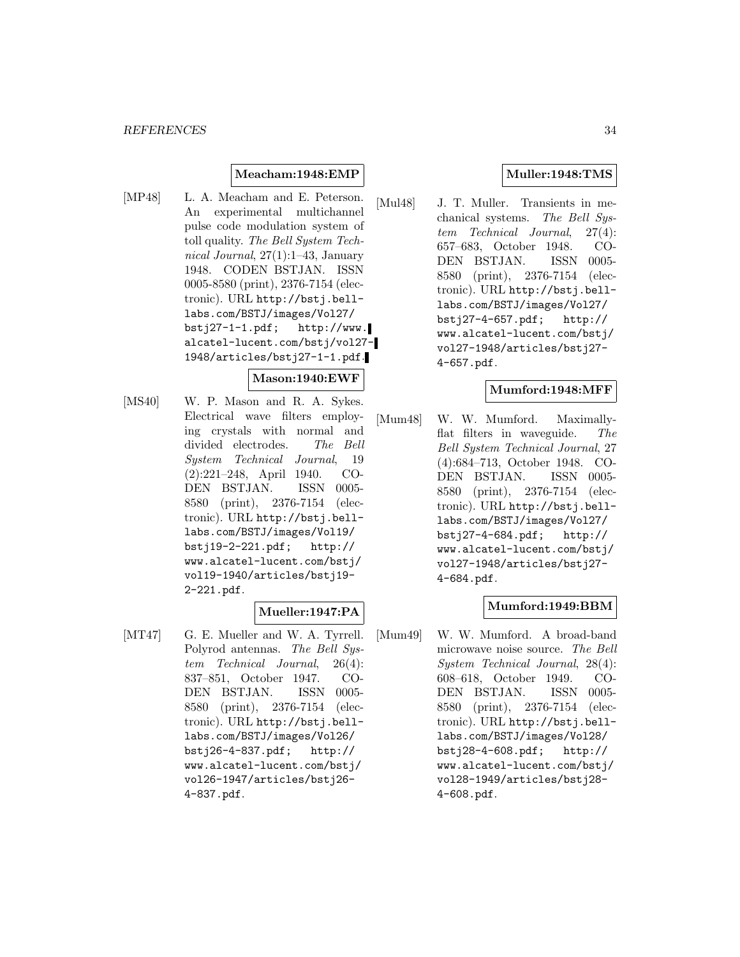#### **Meacham:1948:EMP**

[MP48] L. A. Meacham and E. Peterson. An experimental multichannel pulse code modulation system of toll quality. The Bell System Technical Journal, 27(1):1–43, January 1948. CODEN BSTJAN. ISSN 0005-8580 (print), 2376-7154 (electronic). URL http://bstj.belllabs.com/BSTJ/images/Vol27/  $bsti27-1-1.pdf;$  http://www. alcatel-lucent.com/bstj/vol27- 1948/articles/bstj27-1-1.pdf.

# **Mason:1940:EWF**

[MS40] W. P. Mason and R. A. Sykes. Electrical wave filters employing crystals with normal and divided electrodes. The Bell System Technical Journal, 19 (2):221–248, April 1940. CO-DEN BSTJAN. ISSN 0005- 8580 (print), 2376-7154 (electronic). URL http://bstj.belllabs.com/BSTJ/images/Vol19/ bstj19-2-221.pdf; http:// www.alcatel-lucent.com/bstj/ vol19-1940/articles/bstj19- 2-221.pdf.

# **Mueller:1947:PA**

[MT47] G. E. Mueller and W. A. Tyrrell. Polyrod antennas. The Bell System Technical Journal, 26(4): 837–851, October 1947. CO-DEN BSTJAN. ISSN 0005- 8580 (print), 2376-7154 (electronic). URL http://bstj.belllabs.com/BSTJ/images/Vol26/ bstj26-4-837.pdf; http:// www.alcatel-lucent.com/bstj/ vol26-1947/articles/bstj26- 4-837.pdf.

# **Muller:1948:TMS**

[Mul48] J. T. Muller. Transients in mechanical systems. The Bell System Technical Journal, 27(4): 657–683, October 1948. CO-DEN BSTJAN. ISSN 0005- 8580 (print), 2376-7154 (electronic). URL http://bstj.belllabs.com/BSTJ/images/Vol27/ bstj27-4-657.pdf; http:// www.alcatel-lucent.com/bstj/ vol27-1948/articles/bstj27- 4-657.pdf.

#### **Mumford:1948:MFF**

[Mum48] W. W. Mumford. Maximallyflat filters in waveguide. The Bell System Technical Journal, 27 (4):684–713, October 1948. CO-DEN BSTJAN. ISSN 0005- 8580 (print), 2376-7154 (electronic). URL http://bstj.belllabs.com/BSTJ/images/Vol27/ bstj27-4-684.pdf; http:// www.alcatel-lucent.com/bstj/ vol27-1948/articles/bstj27- 4-684.pdf.

#### **Mumford:1949:BBM**

[Mum49] W. W. Mumford. A broad-band microwave noise source. The Bell System Technical Journal, 28(4): 608–618, October 1949. CO-DEN BSTJAN. ISSN 0005- 8580 (print), 2376-7154 (electronic). URL http://bstj.belllabs.com/BSTJ/images/Vol28/<br>bstj28-4-608.pdf; http://  $bstj28-4-608.pdf;$ www.alcatel-lucent.com/bstj/ vol28-1949/articles/bstj28- 4-608.pdf.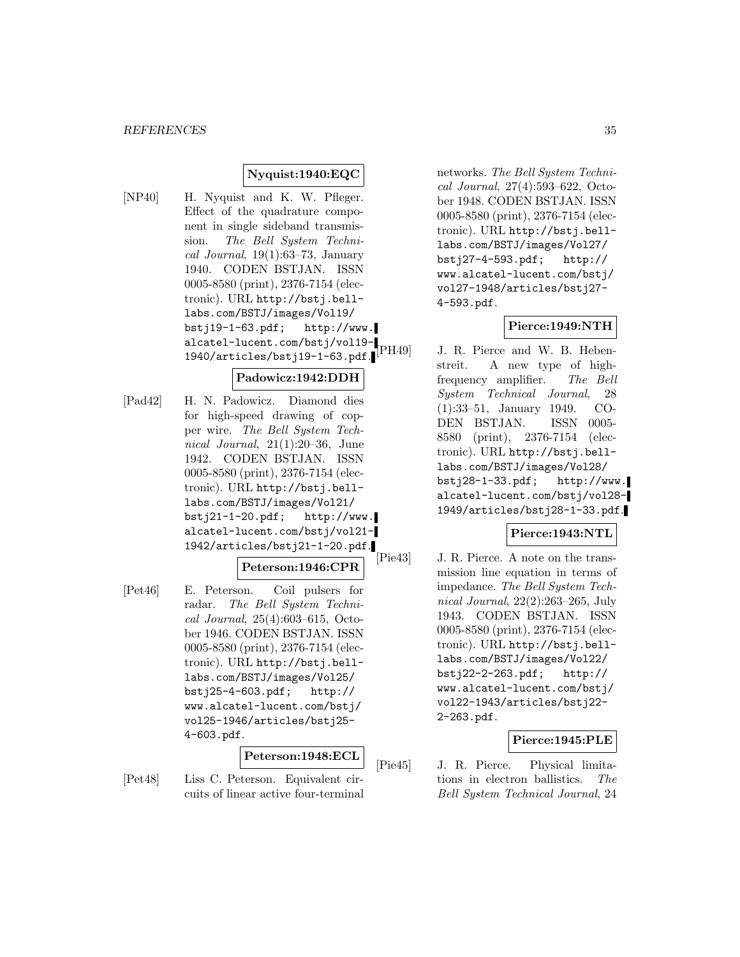# **Nyquist:1940:EQC**

[NP40] H. Nyquist and K. W. Pfleger. Effect of the quadrature component in single sideband transmission. The Bell System Technical Journal, 19(1):63–73, January 1940. CODEN BSTJAN. ISSN 0005-8580 (print), 2376-7154 (electronic). URL http://bstj.belllabs.com/BSTJ/images/Vol19/ bstj19-1-63.pdf; http://www. alcatel-lucent.com/bstj/vol19- 1940/articles/bstj19-1-63.pdf.

# **Padowicz:1942:DDH**

[Pad42] H. N. Padowicz. Diamond dies for high-speed drawing of copper wire. The Bell System Technical Journal, 21(1):20–36, June 1942. CODEN BSTJAN. ISSN 0005-8580 (print), 2376-7154 (electronic). URL http://bstj.belllabs.com/BSTJ/images/Vol21/ bstj21-1-20.pdf; http://www. alcatel-lucent.com/bstj/vol21- 1942/articles/bstj21-1-20.pdf.

#### **Peterson:1946:CPR**

[Pet46] E. Peterson. Coil pulsers for radar. The Bell System Technical Journal, 25(4):603–615, October 1946. CODEN BSTJAN. ISSN 0005-8580 (print), 2376-7154 (electronic). URL http://bstj.belllabs.com/BSTJ/images/Vol25/ bstj25-4-603.pdf; http:// www.alcatel-lucent.com/bstj/ vol25-1946/articles/bstj25- 4-603.pdf.

#### **Peterson:1948:ECL**

[Pet48] Liss C. Peterson. Equivalent circuits of linear active four-terminal networks. The Bell System Technical Journal, 27(4):593–622, October 1948. CODEN BSTJAN. ISSN 0005-8580 (print), 2376-7154 (electronic). URL http://bstj.belllabs.com/BSTJ/images/Vol27/ bstj27-4-593.pdf; http:// www.alcatel-lucent.com/bstj/ vol27-1948/articles/bstj27- 4-593.pdf.

#### **Pierce:1949:NTH**

[PH49] J. R. Pierce and W. B. Hebenstreit. A new type of highfrequency amplifier. The Bell System Technical Journal, 28 (1):33–51, January 1949. CO-DEN BSTJAN. ISSN 0005- 8580 (print), 2376-7154 (electronic). URL http://bstj.belllabs.com/BSTJ/images/Vol28/ bstj28-1-33.pdf; http://www. alcatel-lucent.com/bstj/vol28- 1949/articles/bstj28-1-33.pdf.

#### **Pierce:1943:NTL**

[Pie43] J. R. Pierce. A note on the transmission line equation in terms of impedance. The Bell System Technical Journal, 22(2):263–265, July 1943. CODEN BSTJAN. ISSN 0005-8580 (print), 2376-7154 (electronic). URL http://bstj.belllabs.com/BSTJ/images/Vol22/ bstj22-2-263.pdf; http:// www.alcatel-lucent.com/bstj/ vol22-1943/articles/bstj22- 2-263.pdf.

#### **Pierce:1945:PLE**

[Pie45] J. R. Pierce. Physical limitations in electron ballistics. The Bell System Technical Journal, 24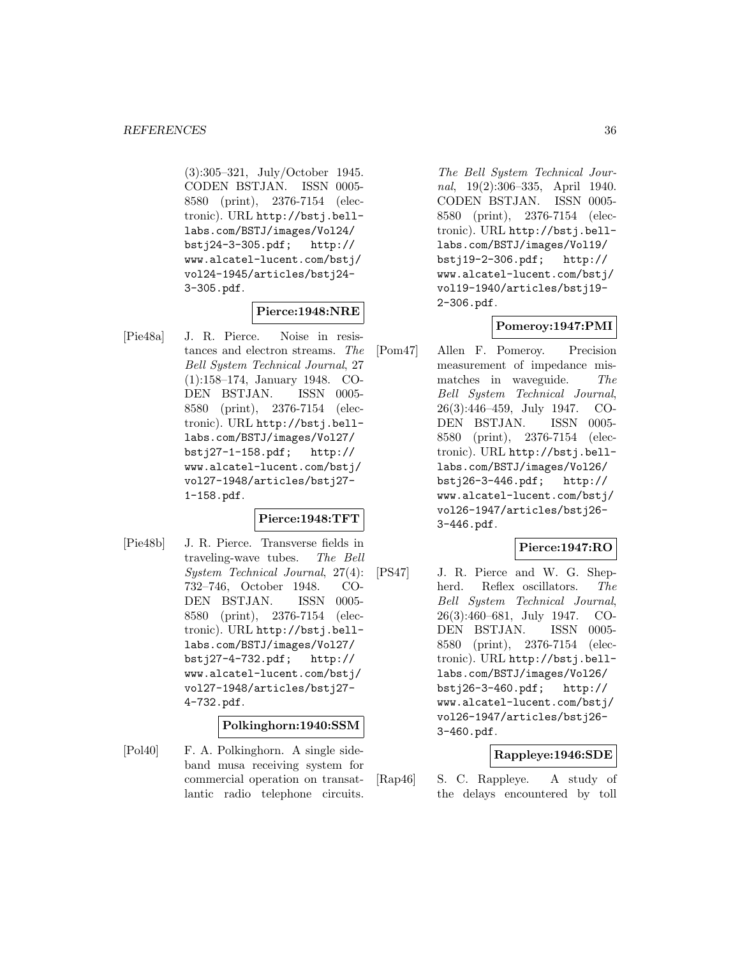(3):305–321, July/October 1945. CODEN BSTJAN. ISSN 0005- 8580 (print), 2376-7154 (electronic). URL http://bstj.belllabs.com/BSTJ/images/Vol24/ bstj24-3-305.pdf; http:// www.alcatel-lucent.com/bstj/ vol24-1945/articles/bstj24- 3-305.pdf.

# **Pierce:1948:NRE**

[Pie48a] J. R. Pierce. Noise in resistances and electron streams. The Bell System Technical Journal, 27 (1):158–174, January 1948. CO-DEN BSTJAN. ISSN 0005- 8580 (print), 2376-7154 (electronic). URL http://bstj.belllabs.com/BSTJ/images/Vol27/ bstj27-1-158.pdf; http:// www.alcatel-lucent.com/bstj/ vol27-1948/articles/bstj27- 1-158.pdf.

#### **Pierce:1948:TFT**

[Pie48b] J. R. Pierce. Transverse fields in traveling-wave tubes. The Bell System Technical Journal, 27(4): 732–746, October 1948. CO-DEN BSTJAN. ISSN 0005- 8580 (print), 2376-7154 (electronic). URL http://bstj.belllabs.com/BSTJ/images/Vol27/ bstj27-4-732.pdf; http:// www.alcatel-lucent.com/bstj/ vol27-1948/articles/bstj27- 4-732.pdf.

#### **Polkinghorn:1940:SSM**

[Pol40] F. A. Polkinghorn. A single sideband musa receiving system for commercial operation on transatlantic radio telephone circuits.

The Bell System Technical Journal, 19(2):306–335, April 1940. CODEN BSTJAN. ISSN 0005- 8580 (print), 2376-7154 (electronic). URL http://bstj.belllabs.com/BSTJ/images/Vol19/ bstj19-2-306.pdf; http:// www.alcatel-lucent.com/bstj/ vol19-1940/articles/bstj19- 2-306.pdf.

#### **Pomeroy:1947:PMI**

[Pom47] Allen F. Pomeroy. Precision measurement of impedance mismatches in waveguide. The Bell System Technical Journal, 26(3):446–459, July 1947. CO-DEN BSTJAN. ISSN 0005- 8580 (print), 2376-7154 (electronic). URL http://bstj.belllabs.com/BSTJ/images/Vol26/ bstj26-3-446.pdf; http:// www.alcatel-lucent.com/bstj/ vol26-1947/articles/bstj26- 3-446.pdf.

#### **Pierce:1947:RO**

[PS47] J. R. Pierce and W. G. Shepherd. Reflex oscillators. The Bell System Technical Journal, 26(3):460–681, July 1947. CO-DEN BSTJAN. ISSN 0005- 8580 (print), 2376-7154 (electronic). URL http://bstj.belllabs.com/BSTJ/images/Vol26/ bstj26-3-460.pdf; http:// www.alcatel-lucent.com/bstj/ vol26-1947/articles/bstj26- 3-460.pdf.

#### **Rappleye:1946:SDE**

[Rap46] S. C. Rappleye. A study of the delays encountered by toll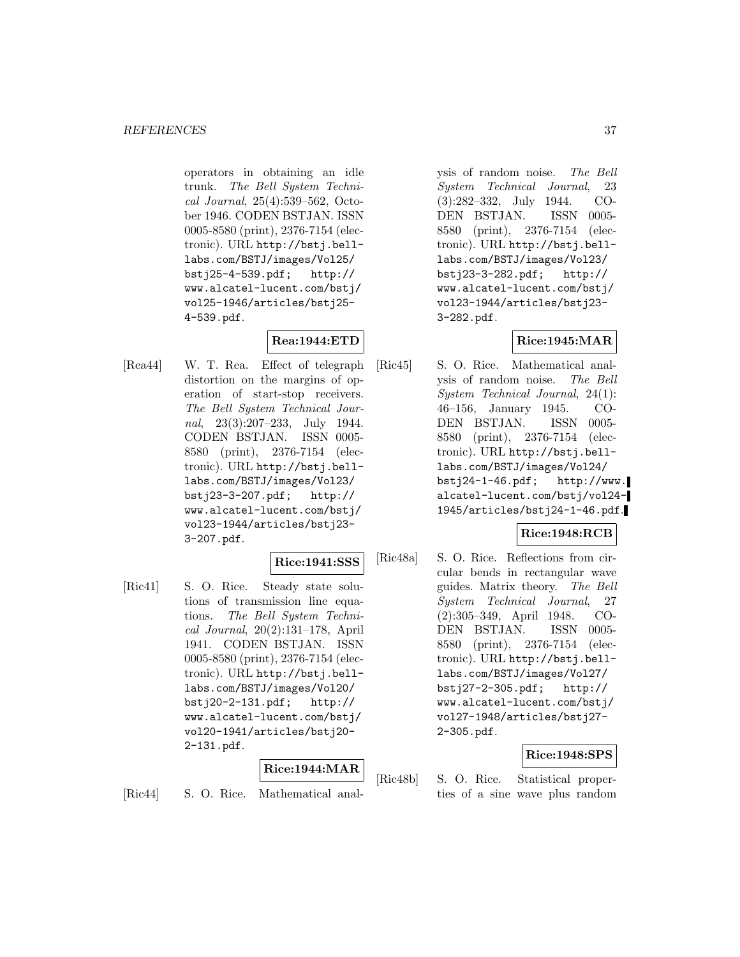operators in obtaining an idle trunk. The Bell System Technical Journal, 25(4):539–562, October 1946. CODEN BSTJAN. ISSN 0005-8580 (print), 2376-7154 (electronic). URL http://bstj.belllabs.com/BSTJ/images/Vol25/ bstj25-4-539.pdf; http:// www.alcatel-lucent.com/bstj/ vol25-1946/articles/bstj25- 4-539.pdf.

# **Rea:1944:ETD**

[Rea44] W. T. Rea. Effect of telegraph distortion on the margins of operation of start-stop receivers. The Bell System Technical Journal, 23(3):207–233, July 1944. CODEN BSTJAN. ISSN 0005- 8580 (print), 2376-7154 (electronic). URL http://bstj.belllabs.com/BSTJ/images/Vol23/ bstj23-3-207.pdf; http:// www.alcatel-lucent.com/bstj/ vol23-1944/articles/bstj23- 3-207.pdf.

**Rice:1941:SSS**

[Ric41] S. O. Rice. Steady state solutions of transmission line equations. The Bell System Technical Journal, 20(2):131–178, April 1941. CODEN BSTJAN. ISSN 0005-8580 (print), 2376-7154 (electronic). URL http://bstj.belllabs.com/BSTJ/images/Vol20/ bstj20-2-131.pdf; http:// www.alcatel-lucent.com/bstj/ vol20-1941/articles/bstj20- 2-131.pdf.

# **Rice:1944:MAR**

[Ric44] S. O. Rice. Mathematical anal-

ysis of random noise. The Bell System Technical Journal, 23 (3):282–332, July 1944. CO-DEN BSTJAN. ISSN 0005- 8580 (print), 2376-7154 (electronic). URL http://bstj.belllabs.com/BSTJ/images/Vol23/ bstj23-3-282.pdf; http:// www.alcatel-lucent.com/bstj/ vol23-1944/articles/bstj23- 3-282.pdf.

# **Rice:1945:MAR**

[Ric45] S. O. Rice. Mathematical analysis of random noise. The Bell System Technical Journal, 24(1): 46–156, January 1945. CO-DEN BSTJAN. ISSN 0005- 8580 (print), 2376-7154 (electronic). URL http://bstj.belllabs.com/BSTJ/images/Vol24/ bstj24-1-46.pdf; http://www. alcatel-lucent.com/bstj/vol24- 1945/articles/bstj24-1-46.pdf.

# **Rice:1948:RCB**

[Ric48a] S. O. Rice. Reflections from circular bends in rectangular wave guides. Matrix theory. The Bell System Technical Journal, 27 (2):305–349, April 1948. CO-DEN BSTJAN. ISSN 0005- 8580 (print), 2376-7154 (electronic). URL http://bstj.belllabs.com/BSTJ/images/Vol27/ bstj27-2-305.pdf; http:// www.alcatel-lucent.com/bstj/ vol27-1948/articles/bstj27- 2-305.pdf.

# **Rice:1948:SPS**

[Ric48b] S. O. Rice. Statistical properties of a sine wave plus random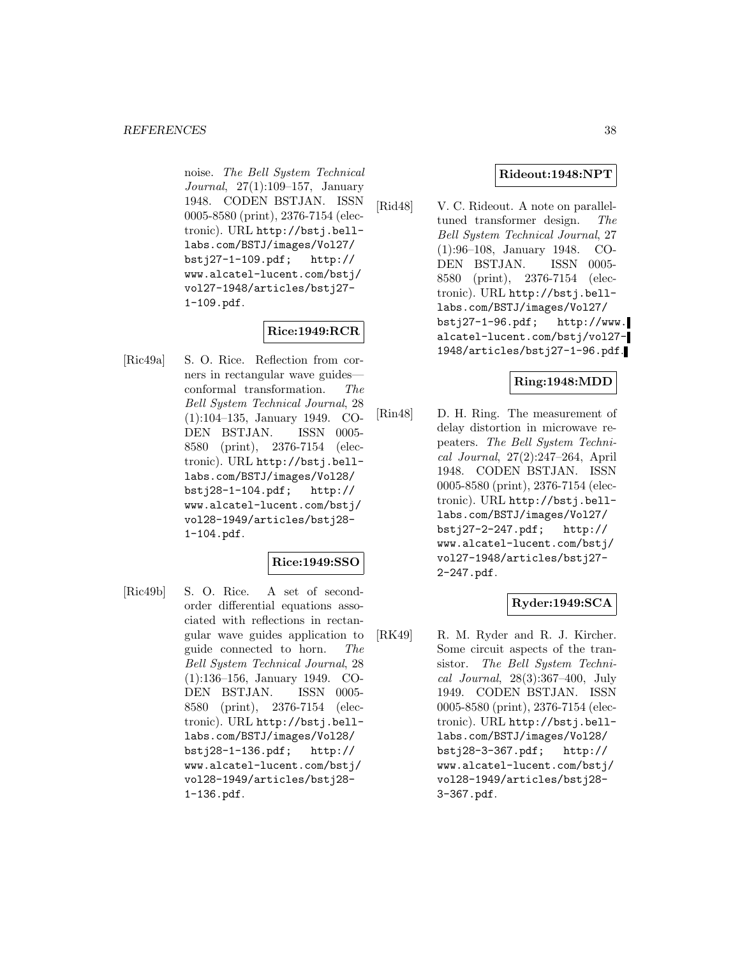noise. The Bell System Technical Journal, 27(1):109–157, January 1948. CODEN BSTJAN. ISSN 0005-8580 (print), 2376-7154 (electronic). URL http://bstj.belllabs.com/BSTJ/images/Vol27/ bstj27-1-109.pdf; http:// www.alcatel-lucent.com/bstj/ vol27-1948/articles/bstj27- 1-109.pdf.

# **Rice:1949:RCR**

[Ric49a] S. O. Rice. Reflection from corners in rectangular wave guides conformal transformation. The Bell System Technical Journal, 28 (1):104–135, January 1949. CO-DEN BSTJAN. ISSN 0005- 8580 (print), 2376-7154 (electronic). URL http://bstj.belllabs.com/BSTJ/images/Vol28/ bstj28-1-104.pdf; http:// www.alcatel-lucent.com/bstj/ vol28-1949/articles/bstj28- 1-104.pdf.

# **Rice:1949:SSO**

[Ric49b] S. O. Rice. A set of secondorder differential equations associated with reflections in rectangular wave guides application to guide connected to horn. The Bell System Technical Journal, 28 (1):136–156, January 1949. CO-DEN BSTJAN. ISSN 0005- 8580 (print), 2376-7154 (electronic). URL http://bstj.belllabs.com/BSTJ/images/Vol28/ bstj28-1-136.pdf; http:// www.alcatel-lucent.com/bstj/ vol28-1949/articles/bstj28- 1-136.pdf.

# **Rideout:1948:NPT**

[Rid48] V. C. Rideout. A note on paralleltuned transformer design. The Bell System Technical Journal, 27 (1):96–108, January 1948. CO-DEN BSTJAN. ISSN 0005- 8580 (print), 2376-7154 (electronic). URL http://bstj.belllabs.com/BSTJ/images/Vol27/ bstj27-1-96.pdf; http://www. alcatel-lucent.com/bstj/vol27- 1948/articles/bstj27-1-96.pdf.

# **Ring:1948:MDD**

[Rin48] D. H. Ring. The measurement of delay distortion in microwave repeaters. The Bell System Technical Journal, 27(2):247–264, April 1948. CODEN BSTJAN. ISSN 0005-8580 (print), 2376-7154 (electronic). URL http://bstj.belllabs.com/BSTJ/images/Vol27/ bstj27-2-247.pdf; http:// www.alcatel-lucent.com/bstj/ vol27-1948/articles/bstj27- 2-247.pdf.

#### **Ryder:1949:SCA**

[RK49] R. M. Ryder and R. J. Kircher. Some circuit aspects of the transistor. The Bell System Technical Journal, 28(3):367–400, July 1949. CODEN BSTJAN. ISSN 0005-8580 (print), 2376-7154 (electronic). URL http://bstj.belllabs.com/BSTJ/images/Vol28/<br>bstj28-3-367.pdf; http://  $bstj28-3-367.pdf;$ www.alcatel-lucent.com/bstj/ vol28-1949/articles/bstj28- 3-367.pdf.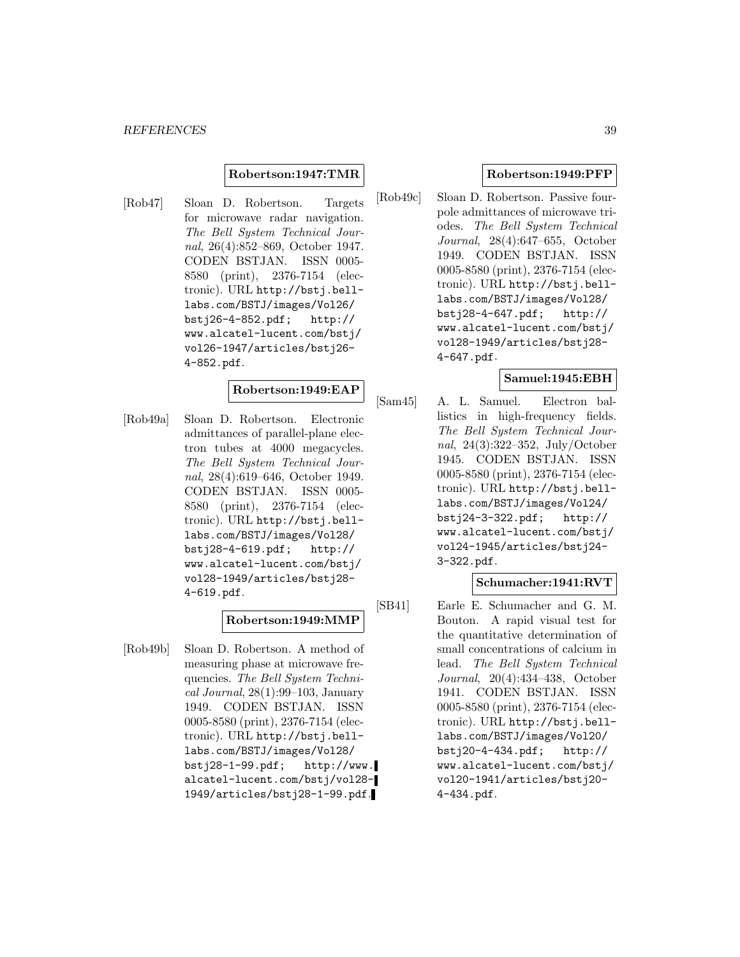#### **Robertson:1947:TMR**

[Rob47] Sloan D. Robertson. Targets for microwave radar navigation. The Bell System Technical Journal, 26(4):852–869, October 1947. CODEN BSTJAN. ISSN 0005- 8580 (print), 2376-7154 (electronic). URL http://bstj.belllabs.com/BSTJ/images/Vol26/ bstj26-4-852.pdf; http:// www.alcatel-lucent.com/bstj/ vol26-1947/articles/bstj26- 4-852.pdf.

#### **Robertson:1949:EAP**

[Rob49a] Sloan D. Robertson. Electronic admittances of parallel-plane electron tubes at 4000 megacycles. The Bell System Technical Journal, 28(4):619–646, October 1949. CODEN BSTJAN. ISSN 0005- 8580 (print), 2376-7154 (electronic). URL http://bstj.belllabs.com/BSTJ/images/Vol28/ bstj28-4-619.pdf; http:// www.alcatel-lucent.com/bstj/ vol28-1949/articles/bstj28- 4-619.pdf.

# **Robertson:1949:MMP**

[Rob49b] Sloan D. Robertson. A method of measuring phase at microwave frequencies. The Bell System Technical Journal, 28(1):99–103, January 1949. CODEN BSTJAN. ISSN 0005-8580 (print), 2376-7154 (electronic). URL http://bstj.belllabs.com/BSTJ/images/Vol28/ bstj28-1-99.pdf; http://www. alcatel-lucent.com/bstj/vol28- 1949/articles/bstj28-1-99.pdf.

#### **Robertson:1949:PFP**

[Rob49c] Sloan D. Robertson. Passive fourpole admittances of microwave triodes. The Bell System Technical Journal, 28(4):647–655, October 1949. CODEN BSTJAN. ISSN 0005-8580 (print), 2376-7154 (electronic). URL http://bstj.belllabs.com/BSTJ/images/Vol28/ bstj28-4-647.pdf; http:// www.alcatel-lucent.com/bstj/ vol28-1949/articles/bstj28- 4-647.pdf.

#### **Samuel:1945:EBH**

[Sam45] A. L. Samuel. Electron ballistics in high-frequency fields. The Bell System Technical Journal, 24(3):322–352, July/October 1945. CODEN BSTJAN. ISSN 0005-8580 (print), 2376-7154 (electronic). URL http://bstj.belllabs.com/BSTJ/images/Vol24/ bstj24-3-322.pdf; http:// www.alcatel-lucent.com/bstj/ vol24-1945/articles/bstj24- 3-322.pdf.

#### **Schumacher:1941:RVT**

[SB41] Earle E. Schumacher and G. M. Bouton. A rapid visual test for the quantitative determination of small concentrations of calcium in lead. The Bell System Technical Journal, 20(4):434–438, October 1941. CODEN BSTJAN. ISSN 0005-8580 (print), 2376-7154 (electronic). URL http://bstj.belllabs.com/BSTJ/images/Vol20/ bstj20-4-434.pdf; http:// www.alcatel-lucent.com/bstj/ vol20-1941/articles/bstj20- 4-434.pdf.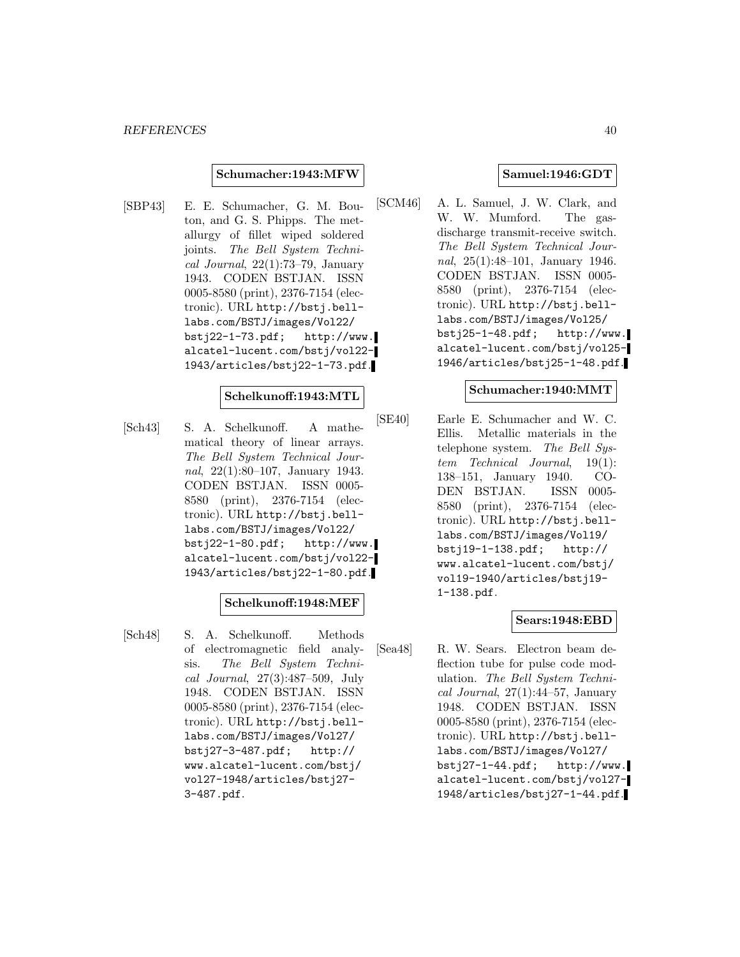#### **Schumacher:1943:MFW**

[SBP43] E. E. Schumacher, G. M. Bouton, and G. S. Phipps. The metallurgy of fillet wiped soldered joints. The Bell System Technical Journal,  $22(1)$ :73–79, January 1943. CODEN BSTJAN. ISSN 0005-8580 (print), 2376-7154 (electronic). URL http://bstj.belllabs.com/BSTJ/images/Vol22/ bstj22-1-73.pdf; http://www. alcatel-lucent.com/bstj/vol22- 1943/articles/bstj22-1-73.pdf.

#### **Schelkunoff:1943:MTL**

[Sch43] S. A. Schelkunoff. A mathematical theory of linear arrays. The Bell System Technical Journal, 22(1):80–107, January 1943. CODEN BSTJAN. ISSN 0005- 8580 (print), 2376-7154 (electronic). URL http://bstj.belllabs.com/BSTJ/images/Vol22/ bstj22-1-80.pdf; http://www. alcatel-lucent.com/bstj/vol22- 1943/articles/bstj22-1-80.pdf.

# **Schelkunoff:1948:MEF**

[Sch48] S. A. Schelkunoff. Methods of electromagnetic field analysis. The Bell System Technical Journal, 27(3):487–509, July 1948. CODEN BSTJAN. ISSN 0005-8580 (print), 2376-7154 (electronic). URL http://bstj.belllabs.com/BSTJ/images/Vol27/ bstj27-3-487.pdf; http:// www.alcatel-lucent.com/bstj/ vol27-1948/articles/bstj27- 3-487.pdf.

#### **Samuel:1946:GDT**

[SCM46] A. L. Samuel, J. W. Clark, and W. W. Mumford. The gasdischarge transmit-receive switch. The Bell System Technical Journal, 25(1):48–101, January 1946. CODEN BSTJAN. ISSN 0005- 8580 (print), 2376-7154 (electronic). URL http://bstj.belllabs.com/BSTJ/images/Vol25/ bstj25-1-48.pdf; http://www. alcatel-lucent.com/bstj/vol25- 1946/articles/bstj25-1-48.pdf.

#### **Schumacher:1940:MMT**

[SE40] Earle E. Schumacher and W. C. Ellis. Metallic materials in the telephone system. The Bell System Technical Journal, 19(1): 138–151, January 1940. CO-DEN BSTJAN. ISSN 0005- 8580 (print), 2376-7154 (electronic). URL http://bstj.belllabs.com/BSTJ/images/Vol19/ bstj19-1-138.pdf; http:// www.alcatel-lucent.com/bstj/ vol19-1940/articles/bstj19- 1-138.pdf.

#### **Sears:1948:EBD**

[Sea48] R. W. Sears. Electron beam deflection tube for pulse code modulation. The Bell System Technical Journal,  $27(1):44-57$ , January 1948. CODEN BSTJAN. ISSN 0005-8580 (print), 2376-7154 (electronic). URL http://bstj.belllabs.com/BSTJ/images/Vol27/ bstj27-1-44.pdf; http://www. alcatel-lucent.com/bstj/vol27- 1948/articles/bstj27-1-44.pdf.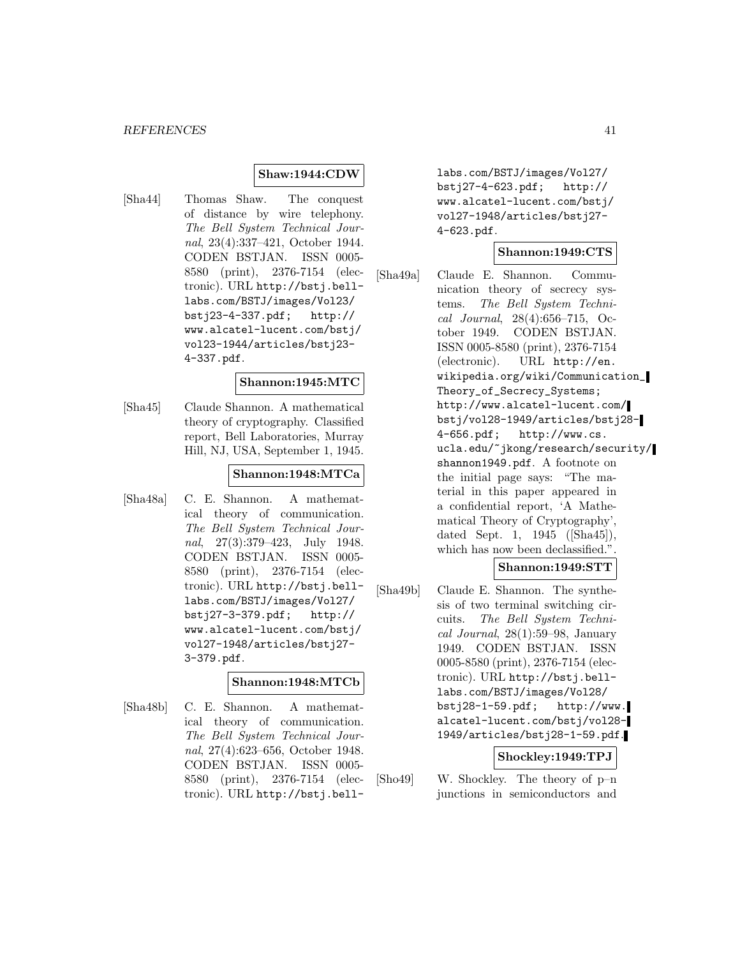#### **Shaw:1944:CDW**

[Sha44] Thomas Shaw. The conquest of distance by wire telephony. The Bell System Technical Journal, 23(4):337–421, October 1944. CODEN BSTJAN. ISSN 0005- 8580 (print), 2376-7154 (electronic). URL http://bstj.belllabs.com/BSTJ/images/Vol23/ bstj23-4-337.pdf; http:// www.alcatel-lucent.com/bstj/ vol23-1944/articles/bstj23- 4-337.pdf.

#### **Shannon:1945:MTC**

[Sha45] Claude Shannon. A mathematical theory of cryptography. Classified report, Bell Laboratories, Murray Hill, NJ, USA, September 1, 1945.

#### **Shannon:1948:MTCa**

[Sha48a] C. E. Shannon. A mathematical theory of communication. The Bell System Technical Journal, 27(3):379–423, July 1948. CODEN BSTJAN. ISSN 0005- 8580 (print), 2376-7154 (electronic). URL http://bstj.belllabs.com/BSTJ/images/Vol27/ bstj27-3-379.pdf; http:// www.alcatel-lucent.com/bstj/ vol27-1948/articles/bstj27- 3-379.pdf.

#### **Shannon:1948:MTCb**

[Sha48b] C. E. Shannon. A mathematical theory of communication. The Bell System Technical Journal, 27(4):623–656, October 1948. CODEN BSTJAN. ISSN 0005- 8580 (print), 2376-7154 (electronic). URL http://bstj.belllabs.com/BSTJ/images/Vol27/ bstj27-4-623.pdf; http:// www.alcatel-lucent.com/bstj/ vol27-1948/articles/bstj27- 4-623.pdf.

#### **Shannon:1949:CTS**

[Sha49a] Claude E. Shannon. Communication theory of secrecy systems. The Bell System Technical Journal, 28(4):656–715, October 1949. CODEN BSTJAN. ISSN 0005-8580 (print), 2376-7154 (electronic). URL http://en. wikipedia.org/wiki/Communication\_ Theory\_of\_Secrecy\_Systems; http://www.alcatel-lucent.com/ bstj/vol28-1949/articles/bstj28- 4-656.pdf; http://www.cs. ucla.edu/~jkong/research/security/ shannon1949.pdf. A footnote on the initial page says: "The material in this paper appeared in a confidential report, 'A Mathematical Theory of Cryptography', dated Sept. 1, 1945 ([Sha45]), which has now been declassified."

#### **Shannon:1949:STT**

[Sha49b] Claude E. Shannon. The synthesis of two terminal switching circuits. The Bell System Technical Journal,  $28(1):59-98$ , January 1949. CODEN BSTJAN. ISSN 0005-8580 (print), 2376-7154 (electronic). URL http://bstj.belllabs.com/BSTJ/images/Vol28/ bstj28-1-59.pdf; http://www. alcatel-lucent.com/bstj/vol28- 1949/articles/bstj28-1-59.pdf.

# **Shockley:1949:TPJ**

[Sho49] W. Shockley. The theory of p–n junctions in semiconductors and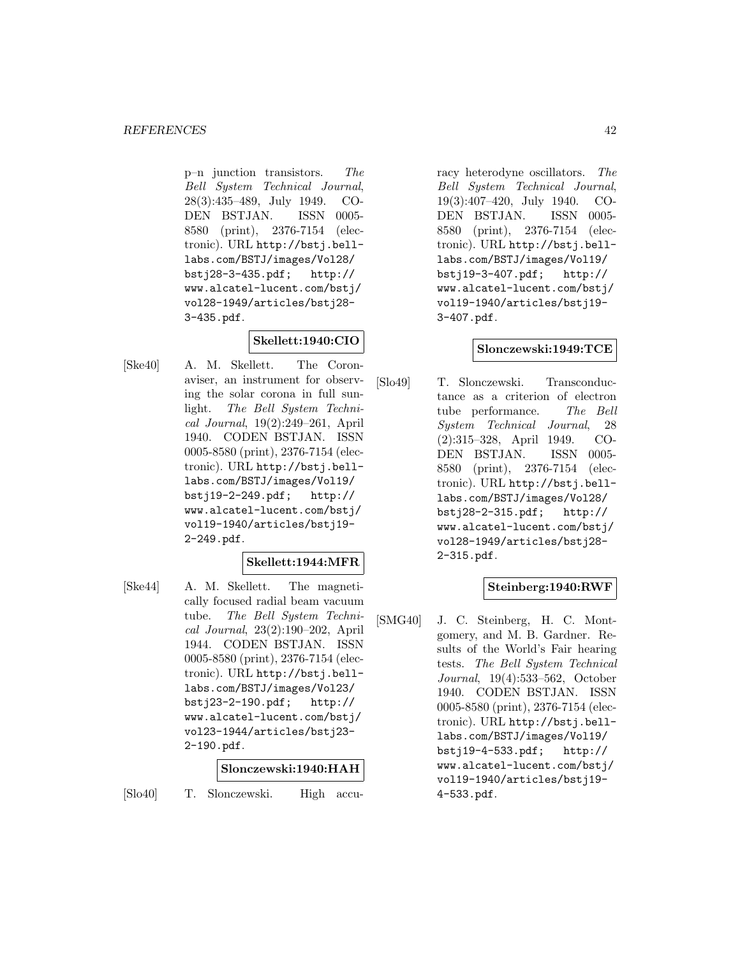p–n junction transistors. The Bell System Technical Journal, 28(3):435–489, July 1949. CO-DEN BSTJAN. ISSN 0005- 8580 (print), 2376-7154 (electronic). URL http://bstj.belllabs.com/BSTJ/images/Vol28/ bstj28-3-435.pdf; http:// www.alcatel-lucent.com/bstj/ vol28-1949/articles/bstj28- 3-435.pdf.

# **Skellett:1940:CIO**

[Ske40] A. M. Skellett. The Coronaviser, an instrument for observing the solar corona in full sunlight. The Bell System Technical Journal, 19(2):249–261, April 1940. CODEN BSTJAN. ISSN 0005-8580 (print), 2376-7154 (electronic). URL http://bstj.belllabs.com/BSTJ/images/Vol19/ bstj19-2-249.pdf; http:// www.alcatel-lucent.com/bstj/ vol19-1940/articles/bstj19- 2-249.pdf.

#### **Skellett:1944:MFR**

[Ske44] A. M. Skellett. The magnetically focused radial beam vacuum tube. The Bell System Technical Journal, 23(2):190–202, April 1944. CODEN BSTJAN. ISSN 0005-8580 (print), 2376-7154 (electronic). URL http://bstj.belllabs.com/BSTJ/images/Vol23/ bstj23-2-190.pdf; http:// www.alcatel-lucent.com/bstj/ vol23-1944/articles/bstj23- 2-190.pdf.

#### **Slonczewski:1940:HAH**

[Slo40] T. Slonczewski. High accu-

racy heterodyne oscillators. The Bell System Technical Journal, 19(3):407–420, July 1940. CO-DEN BSTJAN. ISSN 0005- 8580 (print), 2376-7154 (electronic). URL http://bstj.belllabs.com/BSTJ/images/Vol19/ bstj19-3-407.pdf; http:// www.alcatel-lucent.com/bstj/ vol19-1940/articles/bstj19- 3-407.pdf.

# **Slonczewski:1949:TCE**

[Slo49] T. Slonczewski. Transconductance as a criterion of electron tube performance. The Bell System Technical Journal, 28 (2):315–328, April 1949. CO-DEN BSTJAN. ISSN 0005- 8580 (print), 2376-7154 (electronic). URL http://bstj.belllabs.com/BSTJ/images/Vol28/ bstj28-2-315.pdf; http:// www.alcatel-lucent.com/bstj/ vol28-1949/articles/bstj28- 2-315.pdf.

#### **Steinberg:1940:RWF**

[SMG40] J. C. Steinberg, H. C. Montgomery, and M. B. Gardner. Results of the World's Fair hearing tests. The Bell System Technical Journal, 19(4):533–562, October 1940. CODEN BSTJAN. ISSN 0005-8580 (print), 2376-7154 (electronic). URL http://bstj.belllabs.com/BSTJ/images/Vol19/<br>bstj19-4-533.pdf; http://  $bstj19-4-533.pdf;$ www.alcatel-lucent.com/bstj/ vol19-1940/articles/bstj19- 4-533.pdf.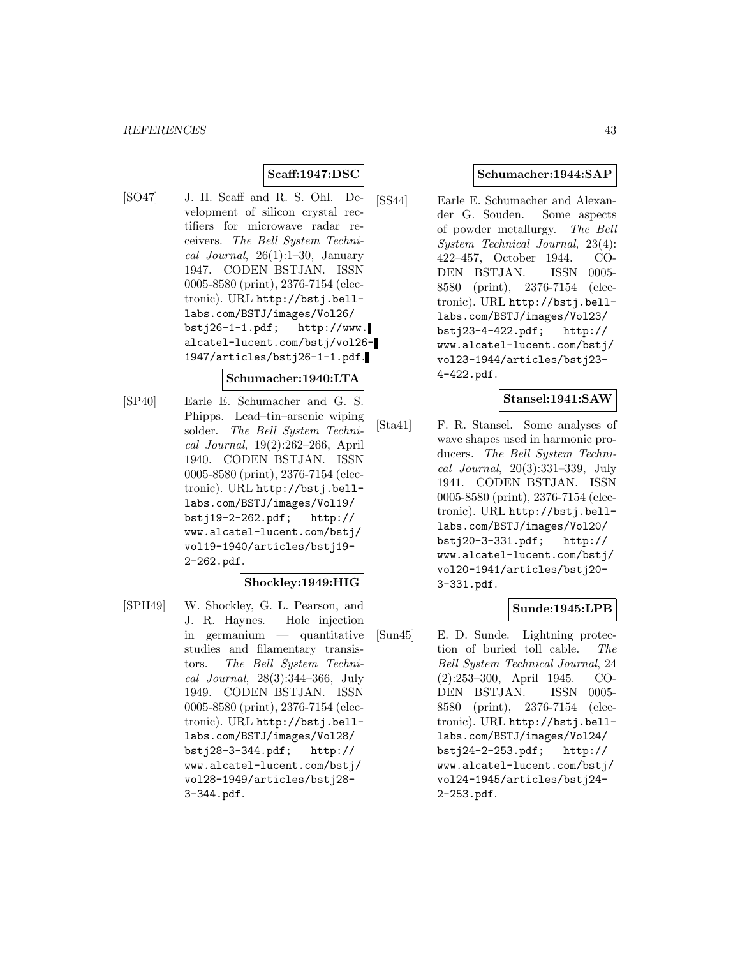# **Scaff:1947:DSC**

[SO47] J. H. Scaff and R. S. Ohl. Development of silicon crystal rectifiers for microwave radar receivers. The Bell System Technical Journal,  $26(1):1-30$ , January 1947. CODEN BSTJAN. ISSN 0005-8580 (print), 2376-7154 (electronic). URL http://bstj.belllabs.com/BSTJ/images/Vol26/  $bsti26-1-1.pdf;$  http://www. alcatel-lucent.com/bstj/vol26- 1947/articles/bstj26-1-1.pdf.

#### **Schumacher:1940:LTA**

[SP40] Earle E. Schumacher and G. S. Phipps. Lead–tin–arsenic wiping solder. The Bell System Technical Journal, 19(2):262–266, April 1940. CODEN BSTJAN. ISSN 0005-8580 (print), 2376-7154 (electronic). URL http://bstj.belllabs.com/BSTJ/images/Vol19/ bstj19-2-262.pdf; http:// www.alcatel-lucent.com/bstj/ vol19-1940/articles/bstj19- 2-262.pdf.

#### **Shockley:1949:HIG**

[SPH49] W. Shockley, G. L. Pearson, and J. R. Haynes. Hole injection in germanium — quantitative studies and filamentary transistors. The Bell System Technical Journal, 28(3):344–366, July 1949. CODEN BSTJAN. ISSN 0005-8580 (print), 2376-7154 (electronic). URL http://bstj.belllabs.com/BSTJ/images/Vol28/ bstj28-3-344.pdf; http:// www.alcatel-lucent.com/bstj/ vol28-1949/articles/bstj28- 3-344.pdf.

#### **Schumacher:1944:SAP**

[SS44] Earle E. Schumacher and Alexander G. Souden. Some aspects of powder metallurgy. The Bell System Technical Journal, 23(4): 422–457, October 1944. CO-DEN BSTJAN. ISSN 0005- 8580 (print), 2376-7154 (electronic). URL http://bstj.belllabs.com/BSTJ/images/Vol23/ bstj23-4-422.pdf; http:// www.alcatel-lucent.com/bstj/ vol23-1944/articles/bstj23- 4-422.pdf.

# **Stansel:1941:SAW**

[Sta41] F. R. Stansel. Some analyses of wave shapes used in harmonic producers. The Bell System Technical Journal, 20(3):331–339, July 1941. CODEN BSTJAN. ISSN 0005-8580 (print), 2376-7154 (electronic). URL http://bstj.belllabs.com/BSTJ/images/Vol20/ bstj20-3-331.pdf; http:// www.alcatel-lucent.com/bstj/ vol20-1941/articles/bstj20- 3-331.pdf.

#### **Sunde:1945:LPB**

[Sun45] E. D. Sunde. Lightning protection of buried toll cable. The Bell System Technical Journal, 24 (2):253–300, April 1945. CO-DEN BSTJAN. ISSN 0005- 8580 (print), 2376-7154 (electronic). URL http://bstj.belllabs.com/BSTJ/images/Vol24/<br>bstj24-2-253.pdf; http://  $bstj24-2-253.pdf;$ www.alcatel-lucent.com/bstj/ vol24-1945/articles/bstj24- 2-253.pdf.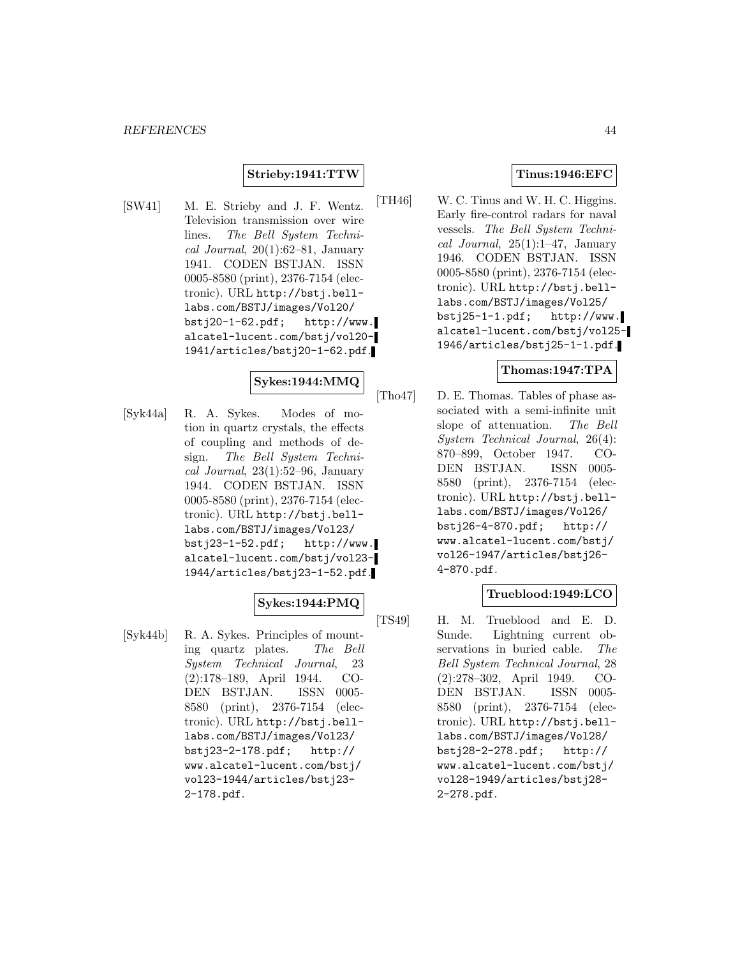#### **Strieby:1941:TTW**

[SW41] M. E. Strieby and J. F. Wentz. Television transmission over wire lines. The Bell System Technical Journal,  $20(1):62-81$ , January 1941. CODEN BSTJAN. ISSN 0005-8580 (print), 2376-7154 (electronic). URL http://bstj.belllabs.com/BSTJ/images/Vol20/ bstj20-1-62.pdf; http://www. alcatel-lucent.com/bstj/vol20- 1941/articles/bstj20-1-62.pdf.

# **Sykes:1944:MMQ**

[Syk44a] R. A. Sykes. Modes of motion in quartz crystals, the effects of coupling and methods of design. The Bell System Technical Journal,  $23(1):52-96$ , January 1944. CODEN BSTJAN. ISSN 0005-8580 (print), 2376-7154 (electronic). URL http://bstj.belllabs.com/BSTJ/images/Vol23/ bstj23-1-52.pdf; http://www. alcatel-lucent.com/bstj/vol23- 1944/articles/bstj23-1-52.pdf.

# **Sykes:1944:PMQ**

[Syk44b] R. A. Sykes. Principles of mounting quartz plates. The Bell System Technical Journal, 23 (2):178–189, April 1944. CO-DEN BSTJAN. ISSN 0005- 8580 (print), 2376-7154 (electronic). URL http://bstj.belllabs.com/BSTJ/images/Vol23/ bstj23-2-178.pdf; http:// www.alcatel-lucent.com/bstj/ vol23-1944/articles/bstj23- 2-178.pdf.

# **Tinus:1946:EFC**

[TH46] W. C. Tinus and W. H. C. Higgins. Early fire-control radars for naval vessels. The Bell System Technical Journal,  $25(1):1-47$ , January 1946. CODEN BSTJAN. ISSN 0005-8580 (print), 2376-7154 (electronic). URL http://bstj.belllabs.com/BSTJ/images/Vol25/ bstj25-1-1.pdf; http://www. alcatel-lucent.com/bstj/vol25- 1946/articles/bstj25-1-1.pdf.

#### **Thomas:1947:TPA**

[Tho47] D. E. Thomas. Tables of phase associated with a semi-infinite unit slope of attenuation. The Bell System Technical Journal, 26(4): 870–899, October 1947. CO-DEN BSTJAN. ISSN 0005- 8580 (print), 2376-7154 (electronic). URL http://bstj.belllabs.com/BSTJ/images/Vol26/ bstj26-4-870.pdf; http:// www.alcatel-lucent.com/bstj/ vol26-1947/articles/bstj26- 4-870.pdf.

# **Trueblood:1949:LCO**

[TS49] H. M. Trueblood and E. D. Sunde. Lightning current observations in buried cable. The Bell System Technical Journal, 28 (2):278–302, April 1949. CO-DEN BSTJAN. ISSN 0005- 8580 (print), 2376-7154 (electronic). URL http://bstj.belllabs.com/BSTJ/images/Vol28/<br>bstj28-2-278.pdf; http://  $bstj28-2-278.pdf;$ www.alcatel-lucent.com/bstj/ vol28-1949/articles/bstj28- 2-278.pdf.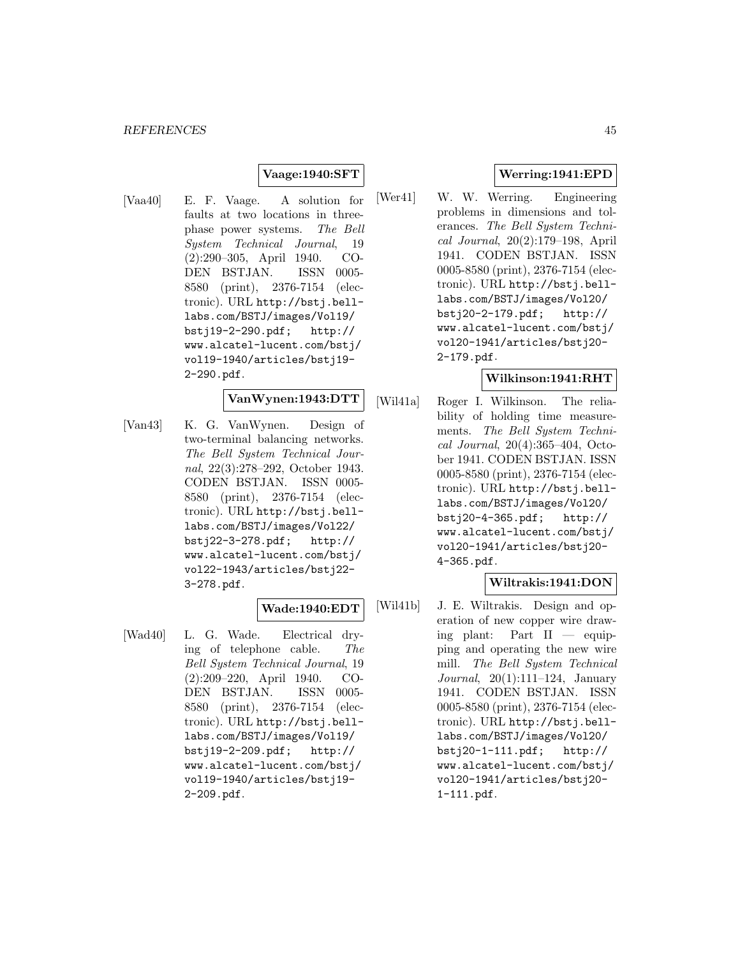#### **Vaage:1940:SFT**

[Vaa40] E. F. Vaage. A solution for faults at two locations in threephase power systems. The Bell System Technical Journal, 19 (2):290–305, April 1940. CO-DEN BSTJAN. ISSN 0005- 8580 (print), 2376-7154 (electronic). URL http://bstj.belllabs.com/BSTJ/images/Vol19/ bstj19-2-290.pdf; http:// www.alcatel-lucent.com/bstj/ vol19-1940/articles/bstj19- 2-290.pdf.

# **VanWynen:1943:DTT**

[Van43] K. G. VanWynen. Design of two-terminal balancing networks. The Bell System Technical Journal, 22(3):278–292, October 1943. CODEN BSTJAN. ISSN 0005- 8580 (print), 2376-7154 (electronic). URL http://bstj.belllabs.com/BSTJ/images/Vol22/ bstj22-3-278.pdf; http:// www.alcatel-lucent.com/bstj/ vol22-1943/articles/bstj22- 3-278.pdf.

#### **Wade:1940:EDT**

[Wad40] L. G. Wade. Electrical drying of telephone cable. The Bell System Technical Journal, 19 (2):209–220, April 1940. CO-DEN BSTJAN. ISSN 0005- 8580 (print), 2376-7154 (electronic). URL http://bstj.belllabs.com/BSTJ/images/Vol19/ bstj19-2-209.pdf; http:// www.alcatel-lucent.com/bstj/ vol19-1940/articles/bstj19- 2-209.pdf.

# **Werring:1941:EPD**

[Wer41] W. W. Werring. Engineering problems in dimensions and tolerances. The Bell System Technical Journal, 20(2):179–198, April 1941. CODEN BSTJAN. ISSN 0005-8580 (print), 2376-7154 (electronic). URL http://bstj.belllabs.com/BSTJ/images/Vol20/ bstj20-2-179.pdf; http:// www.alcatel-lucent.com/bstj/ vol20-1941/articles/bstj20- 2-179.pdf.

# **Wilkinson:1941:RHT**

[Wil41a] Roger I. Wilkinson. The reliability of holding time measurements. The Bell System Technical Journal, 20(4):365–404, October 1941. CODEN BSTJAN. ISSN 0005-8580 (print), 2376-7154 (electronic). URL http://bstj.belllabs.com/BSTJ/images/Vol20/ bstj20-4-365.pdf; http:// www.alcatel-lucent.com/bstj/ vol20-1941/articles/bstj20- 4-365.pdf.

#### **Wiltrakis:1941:DON**

[Wil41b] J. E. Wiltrakis. Design and operation of new copper wire drawing plant: Part II — equipping and operating the new wire mill. The Bell System Technical Journal, 20(1):111–124, January 1941. CODEN BSTJAN. ISSN 0005-8580 (print), 2376-7154 (electronic). URL http://bstj.belllabs.com/BSTJ/images/Vol20/ bstj20-1-111.pdf; http:// www.alcatel-lucent.com/bstj/ vol20-1941/articles/bstj20- 1-111.pdf.